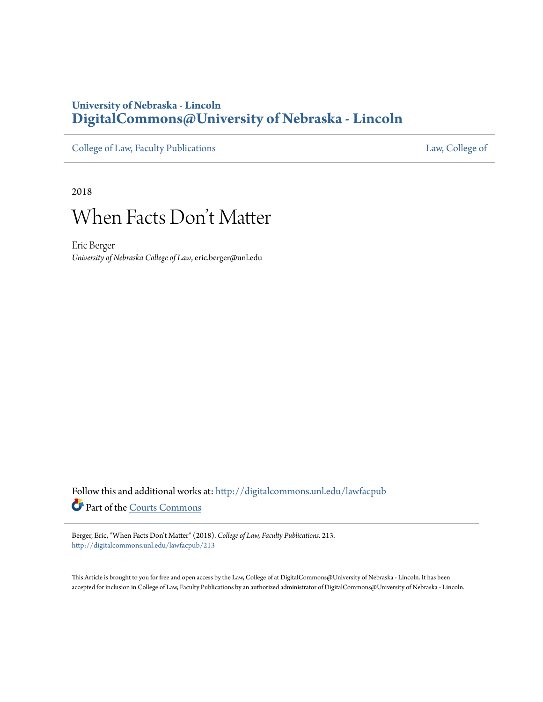## **University of Nebraska - Lincoln [DigitalCommons@University of Nebraska - Lincoln](http://digitalcommons.unl.edu?utm_source=digitalcommons.unl.edu%2Flawfacpub%2F213&utm_medium=PDF&utm_campaign=PDFCoverPages)**

[College of Law, Faculty Publications](http://digitalcommons.unl.edu/lawfacpub?utm_source=digitalcommons.unl.edu%2Flawfacpub%2F213&utm_medium=PDF&utm_campaign=PDFCoverPages) [Law, College of](http://digitalcommons.unl.edu/law?utm_source=digitalcommons.unl.edu%2Flawfacpub%2F213&utm_medium=PDF&utm_campaign=PDFCoverPages) Law, College of

2018

# When Facts Don 't Matter

Eric Berger *University of Nebraska College of Law*, eric.berger@unl.edu

Follow this and additional works at: [http://digitalcommons.unl.edu/lawfacpub](http://digitalcommons.unl.edu/lawfacpub?utm_source=digitalcommons.unl.edu%2Flawfacpub%2F213&utm_medium=PDF&utm_campaign=PDFCoverPages) Part of the [Courts Commons](http://network.bepress.com/hgg/discipline/839?utm_source=digitalcommons.unl.edu%2Flawfacpub%2F213&utm_medium=PDF&utm_campaign=PDFCoverPages)

Berger, Eric, "When Facts Don't Matter" (2018). *College of Law, Faculty Publications*. 213. [http://digitalcommons.unl.edu/lawfacpub/213](http://digitalcommons.unl.edu/lawfacpub/213?utm_source=digitalcommons.unl.edu%2Flawfacpub%2F213&utm_medium=PDF&utm_campaign=PDFCoverPages)

This Article is brought to you for free and open access by the Law, College of at DigitalCommons@University of Nebraska - Lincoln. It has been accepted for inclusion in College of Law, Faculty Publications by an authorized administrator of DigitalCommons@University of Nebraska - Lincoln.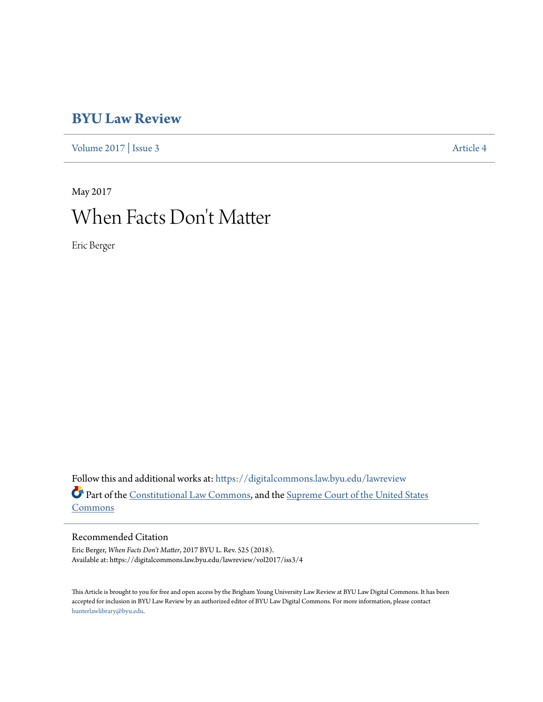## **[BYU Law Review](https://digitalcommons.law.byu.edu/lawreview?utm_source=digitalcommons.law.byu.edu%2Flawreview%2Fvol2017%2Fiss3%2F4&utm_medium=PDF&utm_campaign=PDFCoverPages)**

[Volume 2017](https://digitalcommons.law.byu.edu/lawreview/vol2017?utm_source=digitalcommons.law.byu.edu%2Flawreview%2Fvol2017%2Fiss3%2F4&utm_medium=PDF&utm_campaign=PDFCoverPages) | [Issue 3](https://digitalcommons.law.byu.edu/lawreview/vol2017/iss3?utm_source=digitalcommons.law.byu.edu%2Flawreview%2Fvol2017%2Fiss3%2F4&utm_medium=PDF&utm_campaign=PDFCoverPages) [Article 4](https://digitalcommons.law.byu.edu/lawreview/vol2017/iss3/4?utm_source=digitalcommons.law.byu.edu%2Flawreview%2Fvol2017%2Fiss3%2F4&utm_medium=PDF&utm_campaign=PDFCoverPages)

# May 2017 When Facts Don 't Matter

Eric Berger

Follow this and additional works at: [https://digitalcommons.law.byu.edu/lawreview](https://digitalcommons.law.byu.edu/lawreview?utm_source=digitalcommons.law.byu.edu%2Flawreview%2Fvol2017%2Fiss3%2F4&utm_medium=PDF&utm_campaign=PDFCoverPages) Part of the [Constitutional Law Commons,](http://network.bepress.com/hgg/discipline/589?utm_source=digitalcommons.law.byu.edu%2Flawreview%2Fvol2017%2Fiss3%2F4&utm_medium=PDF&utm_campaign=PDFCoverPages) and the [Supreme Court of the United States](http://network.bepress.com/hgg/discipline/1350?utm_source=digitalcommons.law.byu.edu%2Flawreview%2Fvol2017%2Fiss3%2F4&utm_medium=PDF&utm_campaign=PDFCoverPages) [Commons](http://network.bepress.com/hgg/discipline/1350?utm_source=digitalcommons.law.byu.edu%2Flawreview%2Fvol2017%2Fiss3%2F4&utm_medium=PDF&utm_campaign=PDFCoverPages)

#### Recommended Citation

Eric Berger, *When Facts Don't Matter*, 2017 BYU L. Rev. 525 (2018). Available at: https://digitalcommons.law.byu.edu/lawreview/vol2017/iss3/4

This Article is brought to you for free and open access by the Brigham Young University Law Review at BYU Law Digital Commons. It has been accepted for inclusion in BYU Law Review by an authorized editor of BYU Law Digital Commons. For more information, please contact [hunterlawlibrary@byu.edu.](mailto:hunterlawlibrary@byu.edu)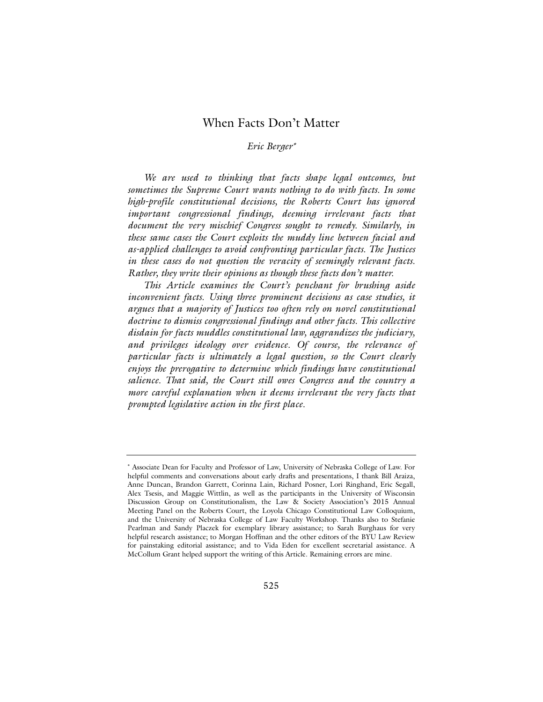### When Facts Don't Matter

#### *Eric Berger*<sup>∗</sup>

*We are used to thinking that facts shape legal outcomes, but sometimes the Supreme Court wants nothing to do with facts. In some high-profile constitutional decisions, the Roberts Court has ignored important congressional findings, deeming irrelevant facts that document the very mischief Congress sought to remedy. Similarly, in these same cases the Court exploits the muddy line between facial and as-applied challenges to avoid confronting particular facts. The Justices in these cases do not question the veracity of seemingly relevant facts. Rather, they write their opinions as though these facts don't matter.*

*This Article examines the Court's penchant for brushing aside inconvenient facts. Using three prominent decisions as case studies, it argues that a majority of Justices too often rely on novel constitutional doctrine to dismiss congressional findings and other facts. This collective disdain for facts muddles constitutional law, aggrandizes the judiciary, and privileges ideology over evidence. Of course, the relevance of particular facts is ultimately a legal question, so the Court clearly enjoys the prerogative to determine which findings have constitutional salience. That said, the Court still owes Congress and the country a more careful explanation when it deems irrelevant the very facts that prompted legislative action in the first place.*

<sup>∗</sup> Associate Dean for Faculty and Professor of Law, University of Nebraska College of Law. For helpful comments and conversations about early drafts and presentations, I thank Bill Araiza, Anne Duncan, Brandon Garrett, Corinna Lain, Richard Posner, Lori Ringhand, Eric Segall, Alex Tsesis, and Maggie Wittlin, as well as the participants in the University of Wisconsin Discussion Group on Constitutionalism, the Law & Society Association's 2015 Annual Meeting Panel on the Roberts Court, the Loyola Chicago Constitutional Law Colloquium, and the University of Nebraska College of Law Faculty Workshop. Thanks also to Stefanie Pearlman and Sandy Placzek for exemplary library assistance; to Sarah Burghaus for very helpful research assistance; to Morgan Hoffman and the other editors of the BYU Law Review for painstaking editorial assistance; and to Vida Eden for excellent secretarial assistance. A McCollum Grant helped support the writing of this Article. Remaining errors are mine.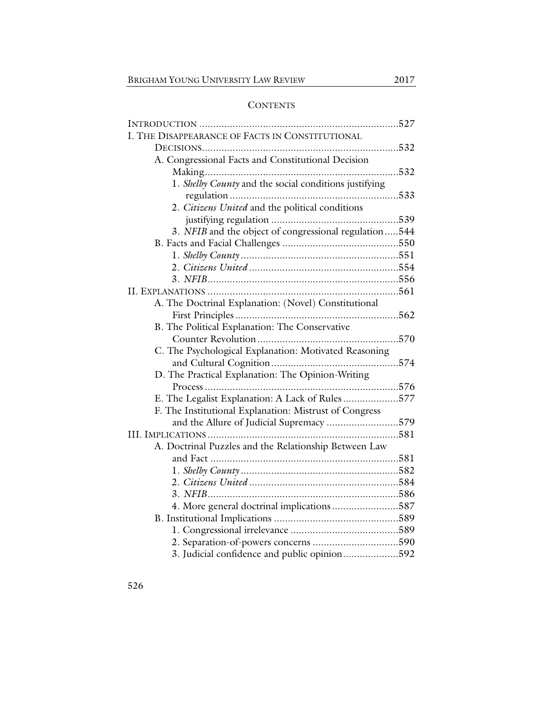### **CONTENTS**

| I. THE DISAPPEARANCE OF FACTS IN CONSTITUTIONAL        |
|--------------------------------------------------------|
|                                                        |
| A. Congressional Facts and Constitutional Decision     |
| 532                                                    |
| 1. Shelby County and the social conditions justifying  |
|                                                        |
| 2. Citizens United and the political conditions        |
|                                                        |
| 3. NFIB and the object of congressional regulation544  |
|                                                        |
|                                                        |
|                                                        |
|                                                        |
|                                                        |
| A. The Doctrinal Explanation: (Novel) Constitutional   |
|                                                        |
| B. The Political Explanation: The Conservative         |
|                                                        |
| C. The Psychological Explanation: Motivated Reasoning  |
|                                                        |
| D. The Practical Explanation: The Opinion-Writing      |
|                                                        |
| E. The Legalist Explanation: A Lack of Rules 577       |
| F. The Institutional Explanation: Mistrust of Congress |
| and the Allure of Judicial Supremacy 579               |
|                                                        |
| A. Doctrinal Puzzles and the Relationship Between Law  |
|                                                        |
|                                                        |
|                                                        |
|                                                        |
| 4. More general doctrinal implications 587             |
|                                                        |
|                                                        |
| 2. Separation-of-powers concerns 590                   |
| 3. Judicial confidence and public opinion592           |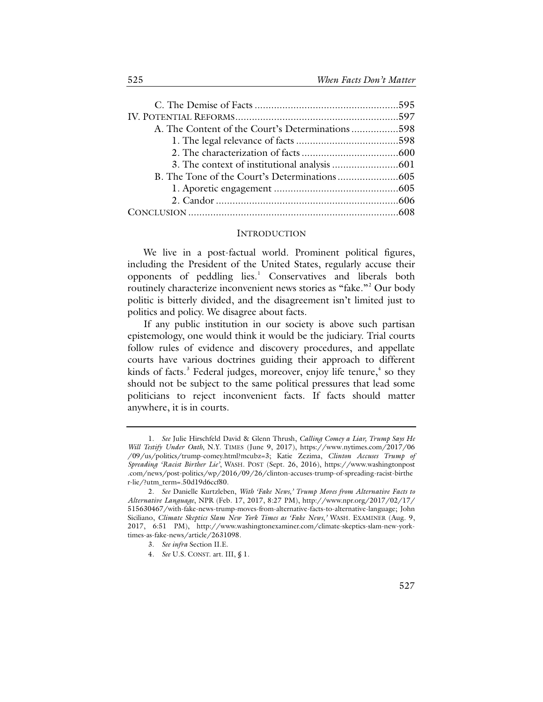| A. The Content of the Court's Determinations598 |  |
|-------------------------------------------------|--|
|                                                 |  |
|                                                 |  |
|                                                 |  |
|                                                 |  |
|                                                 |  |
|                                                 |  |
|                                                 |  |

#### **INTRODUCTION**

We live in a post-factual world. Prominent political figures, including the President of the United States, regularly accuse their opponents of peddling lies.<sup>[1](#page-4-0)</sup> Conservatives and liberals both routinely characterize inconvenient news stories as "fake."<sup>[2](#page-4-1)</sup> Our body politic is bitterly divided, and the disagreement isn't limited just to politics and policy. We disagree about facts.

If any public institution in our society is above such partisan epistemology, one would think it would be the judiciary. Trial courts follow rules of evidence and discovery procedures, and appellate courts have various doctrines guiding their approach to different kinds of facts.<sup>[3](#page-4-2)</sup> Federal judges, moreover, enjoy life tenure, $4$  so they should not be subject to the same political pressures that lead some politicians to reject inconvenient facts. If facts should matter anywhere, it is in courts.

<span id="page-4-0"></span><sup>1.</sup> *See* Julie Hirschfeld David & Glenn Thrush, *Calling Comey a Liar, Trump Says He Will Testify Under Oath*, N.Y. TIMES (June 9, 2017), https://www.nytimes.com/2017/06 /09/us/politics/trump-comey.html?mcubz=3; Katie Zezima, *Clinton Accuses Trump of Spreading 'Racist Birther Lie'*, WASH. POST (Sept. 26, 2016), https://www.washingtonpost .com/news/post-politics/wp/2016/09/26/clinton-accuses-trump-of-spreading-racist-birthe r-lie/?utm\_term=.50d19d6ccf80.

<span id="page-4-3"></span><span id="page-4-2"></span><span id="page-4-1"></span><sup>2.</sup> *See* Danielle Kurtzleben, *With 'Fake News,' Trump Moves from Alternative Facts to Alternative Language*, NPR (Feb. 17, 2017, 8:27 PM), http://www.npr.org/2017/02/17/ 515630467/with-fake-news-trump-moves-from-alternative-facts-to-alternative-language; John Siciliano, *Climate Skeptics Slam New York Times as 'Fake News*,*'* WASH. EXAMINER (Aug. 9, 2017, 6:51 PM), http://www.washingtonexaminer.com/climate-skeptics-slam-new-yorktimes-as-fake-news/article/2631098.

<sup>3.</sup> *See infra* Section II.E.

<sup>4.</sup> *See* U.S. CONST. art. III, § 1.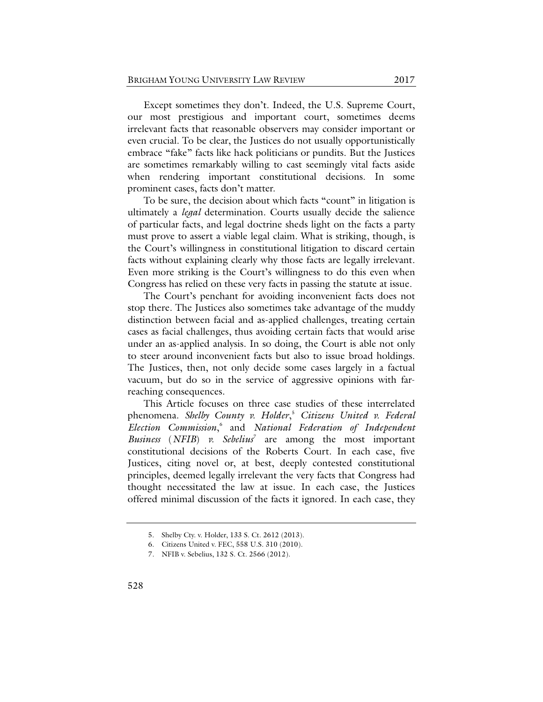Except sometimes they don't. Indeed, the U.S. Supreme Court, our most prestigious and important court, sometimes deems irrelevant facts that reasonable observers may consider important or even crucial. To be clear, the Justices do not usually opportunistically embrace "fake" facts like hack politicians or pundits. But the Justices are sometimes remarkably willing to cast seemingly vital facts aside when rendering important constitutional decisions. In some prominent cases, facts don't matter.

To be sure, the decision about which facts "count" in litigation is ultimately a *legal* determination. Courts usually decide the salience of particular facts, and legal doctrine sheds light on the facts a party must prove to assert a viable legal claim. What is striking, though, is the Court's willingness in constitutional litigation to discard certain facts without explaining clearly why those facts are legally irrelevant. Even more striking is the Court's willingness to do this even when Congress has relied on these very facts in passing the statute at issue.

The Court's penchant for avoiding inconvenient facts does not stop there. The Justices also sometimes take advantage of the muddy distinction between facial and as-applied challenges, treating certain cases as facial challenges, thus avoiding certain facts that would arise under an as-applied analysis. In so doing, the Court is able not only to steer around inconvenient facts but also to issue broad holdings. The Justices, then, not only decide some cases largely in a factual vacuum, but do so in the service of aggressive opinions with farreaching consequences.

This Article focuses on three case studies of these interrelated phenomena. *Shelby County v. Holder*, [5](#page-5-0) *Citizens United v. Federal Election Commission*, [6](#page-5-1) and *National Federation of Independent Business* (*NFIB*) *v. Sebelius*<sup>[7](#page-5-2)</sup> are among the most important constitutional decisions of the Roberts Court. In each case, five Justices, citing novel or, at best, deeply contested constitutional principles, deemed legally irrelevant the very facts that Congress had thought necessitated the law at issue. In each case, the Justices offered minimal discussion of the facts it ignored. In each case, they

<sup>5.</sup> Shelby Cty. v. Holder, 133 S. Ct. 2612 (2013).

<span id="page-5-2"></span><span id="page-5-1"></span><span id="page-5-0"></span><sup>6.</sup> Citizens United v. FEC, 558 U.S. 310 (2010).

<sup>7.</sup> NFIB v. Sebelius, 132 S. Ct. 2566 (2012).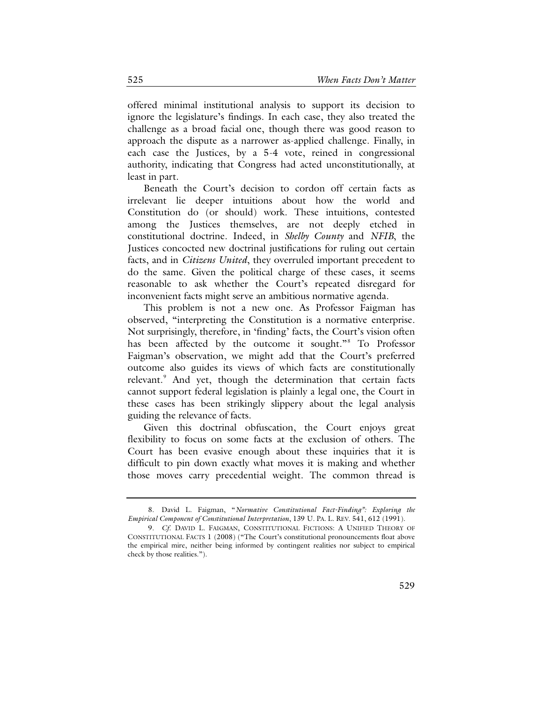offered minimal institutional analysis to support its decision to ignore the legislature's findings. In each case, they also treated the challenge as a broad facial one, though there was good reason to approach the dispute as a narrower as-applied challenge. Finally, in each case the Justices, by a 5-4 vote, reined in congressional authority, indicating that Congress had acted unconstitutionally, at least in part.

Beneath the Court's decision to cordon off certain facts as irrelevant lie deeper intuitions about how the world and Constitution do (or should) work. These intuitions, contested among the Justices themselves, are not deeply etched in constitutional doctrine. Indeed, in *Shelby County* and *NFIB*, the Justices concocted new doctrinal justifications for ruling out certain facts, and in *Citizens United*, they overruled important precedent to do the same. Given the political charge of these cases, it seems reasonable to ask whether the Court's repeated disregard for inconvenient facts might serve an ambitious normative agenda.

This problem is not a new one. As Professor Faigman has observed, "interpreting the Constitution is a normative enterprise. Not surprisingly, therefore, in 'finding' facts, the Court's vision often has been affected by the outcome it sought."<sup>[8](#page-6-0)</sup> To Professor Faigman's observation, we might add that the Court's preferred outcome also guides its views of which facts are constitutionally relevant.<sup>[9](#page-6-1)</sup> And yet, though the determination that certain facts cannot support federal legislation is plainly a legal one, the Court in these cases has been strikingly slippery about the legal analysis guiding the relevance of facts.

<span id="page-6-2"></span>Given this doctrinal obfuscation, the Court enjoys great flexibility to focus on some facts at the exclusion of others. The Court has been evasive enough about these inquiries that it is difficult to pin down exactly what moves it is making and whether those moves carry precedential weight. The common thread is

<span id="page-6-0"></span><sup>8.</sup> David L. Faigman, "*Normative Constitutional Fact-Finding": Exploring the Empirical Component of Constitutional Interpretation*, 139 U. PA. L. REV. 541, 612 (1991).

<span id="page-6-1"></span><sup>9.</sup> *Cf*. DAVID L. FAIGMAN, CONSTITUTIONAL FICTIONS: A UNIFIED THEORY OF CONSTITUTIONAL FACTS 1 (2008) ("The Court's constitutional pronouncements float above the empirical mire, neither being informed by contingent realities nor subject to empirical check by those realities.").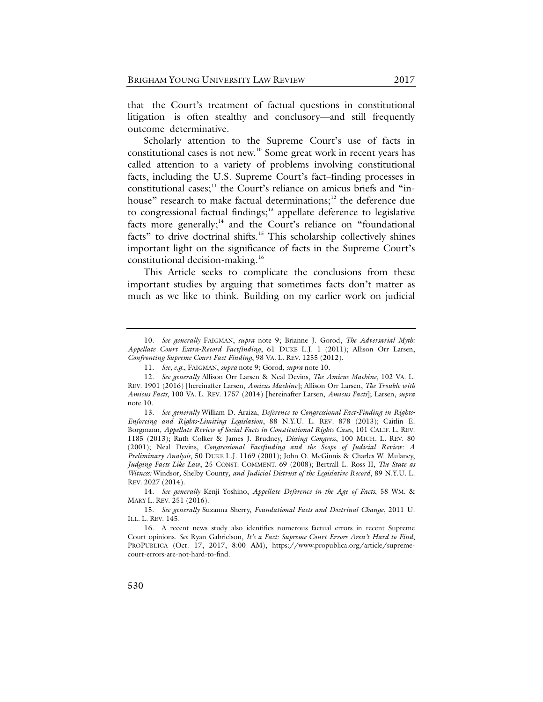that the Court's treatment of factual questions in constitutional litigation is often stealthy and conclusory—and still frequently outcome determinative.

<span id="page-7-0"></span>Scholarly attention to the Supreme Court's use of facts in constitutional cases is not new.<sup>[10](#page-7-1)</sup> Some great work in recent years has called attention to a variety of problems involving constitutional facts, including the U.S. Supreme Court's fact–finding processes in constitutional cases; $<sup>11</sup>$  $<sup>11</sup>$  $<sup>11</sup>$  the Court's reliance on amicus briefs and "in-</sup> house" research to make factual determinations; $12$  the deference due to congressional factual findings; $13$  appellate deference to legislative facts more generally;<sup>[14](#page-7-5)</sup> and the Court's reliance on "foundational facts" to drive doctrinal shifts.<sup>15</sup> This scholarship collectively shines important light on the significance of facts in the Supreme Court's constitutional decision-making.<sup>16</sup>

<span id="page-7-10"></span><span id="page-7-9"></span><span id="page-7-8"></span>This Article seeks to complicate the conclusions from these important studies by arguing that sometimes facts don't matter as much as we like to think. Building on my earlier work on judicial

<span id="page-7-1"></span><sup>10.</sup> *See generally* FAIGMAN, *supra* note [9;](#page-6-2) Brianne J. Gorod, *The Adversarial Myth: Appellate Court Extra-Record Factfinding*, 61 DUKE L.J. 1 (2011); Allison Orr Larsen, *Confronting Supreme Court Fact Finding*, 98 VA. L. REV. 1255 (2012).

<sup>11.</sup> *See, e.g.*, FAIGMAN, *supra* note [9;](#page-6-2) Gorod, *supra* not[e 10.](#page-7-0)

<span id="page-7-3"></span><span id="page-7-2"></span><sup>12.</sup> *See generally* Allison Orr Larsen & Neal Devins, *The Amicus Machine*, 102 VA. L. REV. 1901 (2016) [hereinafter Larsen, *Amicus Machine*]; Allison Orr Larsen, *The Trouble with Amicus Facts*, 100 VA. L. REV. 1757 (2014) [hereinafter Larsen, *Amicus Facts*]; Larsen, *supra*  not[e 10.](#page-7-0)

<span id="page-7-4"></span><sup>13.</sup> *See generally* William D. Araiza, *Deference to Congressional Fact-Finding in Rights-Enforcing and Rights-Limiting Legislation*, 88 N.Y.U. L. REV*.* 878 (2013); Caitlin E. Borgmann*, Appellate Review of Social Facts in Constitutional Rights Cases*, 101 CALIF. L. REV. 1185 (2013); Ruth Colker & James J. Brudney, *Dissing Congress*, 100 MICH. L. REV. 80 (2001); Neal Devins, *Congressional Factfinding and the Scope of Judicial Review: A Preliminary Analysis*, 50 DUKE L.J. 1169 (2001); John O. McGinnis & Charles W. Mulaney, *Judging Facts Like Law*, 25 CONST. COMMENT. 69 (2008); Bertrall L. Ross II, *The State as Witness:* Windsor*,* Shelby County*, and Judicial Distrust of the Legislative Record*, 89 N.Y.U. L. REV. 2027 (2014).

<span id="page-7-5"></span><sup>14.</sup> *See generally* Kenji Yoshino, *Appellate Deference in the Age of Facts*, 58 WM. & MARY L. REV. 251 (2016).

<span id="page-7-6"></span><sup>15.</sup> *See generally* Suzanna Sherry, *Foundational Facts and Doctrinal Change*, 2011 U. ILL. L. REV. 145.

<span id="page-7-7"></span><sup>16.</sup> A recent news study also identifies numerous factual errors in recent Supreme Court opinions. *See* Ryan Gabrielson, *It's a Fact: Supreme Court Errors Aren't Hard to Find*, PROPUBLICA (Oct. 17, 2017, 8:00 AM), https://www.propublica.org/article/supremecourt-errors-are-not-hard-to-find.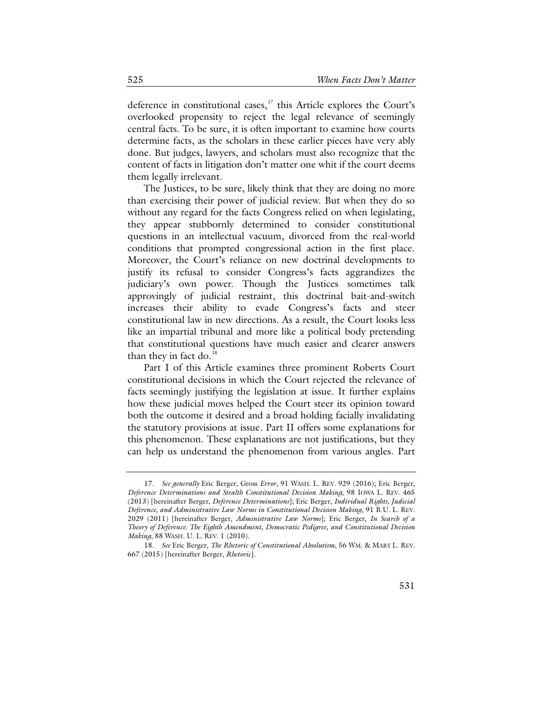deference in constitutional cases,<sup>[17](#page-8-0)</sup> this Article explores the Court's overlooked propensity to reject the legal relevance of seemingly central facts. To be sure, it is often important to examine how courts determine facts, as the scholars in these earlier pieces have very ably done. But judges, lawyers, and scholars must also recognize that the content of facts in litigation don't matter one whit if the court deems them legally irrelevant.

The Justices, to be sure, likely think that they are doing no more than exercising their power of judicial review. But when they do so without any regard for the facts Congress relied on when legislating, they appear stubbornly determined to consider constitutional questions in an intellectual vacuum, divorced from the real-world conditions that prompted congressional action in the first place. Moreover, the Court's reliance on new doctrinal developments to justify its refusal to consider Congress's facts aggrandizes the judiciary's own power. Though the Justices sometimes talk approvingly of judicial restraint, this doctrinal bait-and-switch increases their ability to evade Congress's facts and steer constitutional law in new directions. As a result, the Court looks less like an impartial tribunal and more like a political body pretending that constitutional questions have much easier and clearer answers than they in fact do.<sup>[18](#page-8-1)</sup>

Part I of this Article examines three prominent Roberts Court constitutional decisions in which the Court rejected the relevance of facts seemingly justifying the legislation at issue. It further explains how these judicial moves helped the Court steer its opinion toward both the outcome it desired and a broad holding facially invalidating the statutory provisions at issue. Part II offers some explanations for this phenomenon. These explanations are not justifications, but they can help us understand the phenomenon from various angles. Part

<span id="page-8-0"></span><sup>17.</sup> *See generally* Eric Berger, Gross *Error*, 91 WASH. L. REV. 929 (2016); Eric Berger, *Deference Determinations and Stealth Constitutional Decision Making*, 98 IOWA L. REV. 465 (2013) [hereinafter Berger, *Deference Determinations*]; Eric Berger, *Individual Rights, Judicial Deference, and Administrative Law Norms in Constitutional Decision Making*, 91 B.U. L. REV. 2029 (2011) [hereinafter Berger, *Administrative Law Norms*]; Eric Berger, *In Search of a Theory of Deference: The Eighth Amendment, Democratic Pedigree, and Constitutional Decision Making*, 88 WASH. U. L. REV. 1 (2010).

<span id="page-8-1"></span><sup>18.</sup> *See* Eric Berger, *The Rhetoric of Constitutional Absolutism*, 56 WM. & MARY L. REV. 667 (2015) [hereinafter Berger, *Rhetoric*].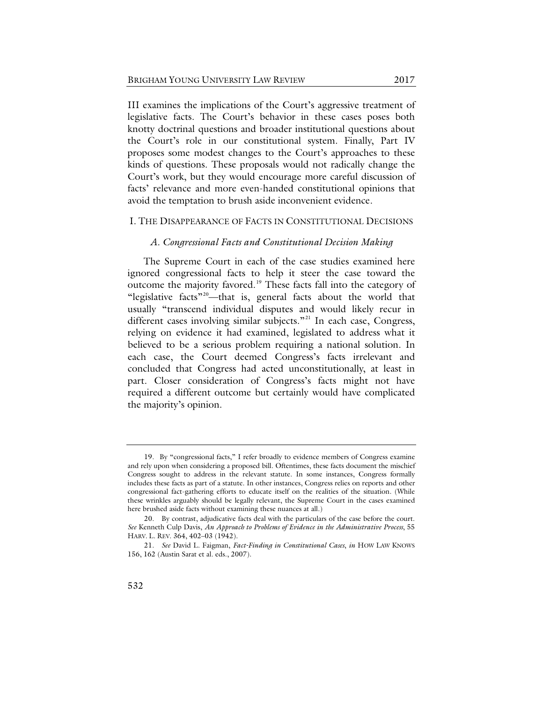III examines the implications of the Court's aggressive treatment of legislative facts. The Court's behavior in these cases poses both knotty doctrinal questions and broader institutional questions about the Court's role in our constitutional system. Finally, Part IV proposes some modest changes to the Court's approaches to these kinds of questions. These proposals would not radically change the Court's work, but they would encourage more careful discussion of facts' relevance and more even-handed constitutional opinions that avoid the temptation to brush aside inconvenient evidence.

#### I. THE DISAPPEARANCE OF FACTS IN CONSTITUTIONAL DECISIONS

#### *A. Congressional Facts and Constitutional Decision Making*

The Supreme Court in each of the case studies examined here ignored congressional facts to help it steer the case toward the outcome the majority favored.<sup>[19](#page-9-0)</sup> These facts fall into the category of "legislative facts"[20](#page-9-1)—that is, general facts about the world that usually "transcend individual disputes and would likely recur in different cases involving similar subjects."<sup>[21](#page-9-2)</sup> In each case, Congress, relying on evidence it had examined, legislated to address what it believed to be a serious problem requiring a national solution. In each case, the Court deemed Congress's facts irrelevant and concluded that Congress had acted unconstitutionally, at least in part. Closer consideration of Congress's facts might not have required a different outcome but certainly would have complicated the majority's opinion.

<span id="page-9-0"></span><sup>19.</sup> By "congressional facts," I refer broadly to evidence members of Congress examine and rely upon when considering a proposed bill. Oftentimes, these facts document the mischief Congress sought to address in the relevant statute. In some instances, Congress formally includes these facts as part of a statute. In other instances, Congress relies on reports and other congressional fact-gathering efforts to educate itself on the realities of the situation. (While these wrinkles arguably should be legally relevant, the Supreme Court in the cases examined here brushed aside facts without examining these nuances at all.)

<span id="page-9-1"></span><sup>20.</sup> By contrast, adjudicative facts deal with the particulars of the case before the court. *See* Kenneth Culp Davis, *An Approach to Problems of Evidence in the Administrative Process*, 55 HARV. L. REV. 364, 402–03 (1942).

<span id="page-9-2"></span><sup>21.</sup> *See* David L. Faigman, *Fact-Finding in Constitutional Cases*, *in* HOW LAW KNOWS 156, 162 (Austin Sarat et al. eds., 2007).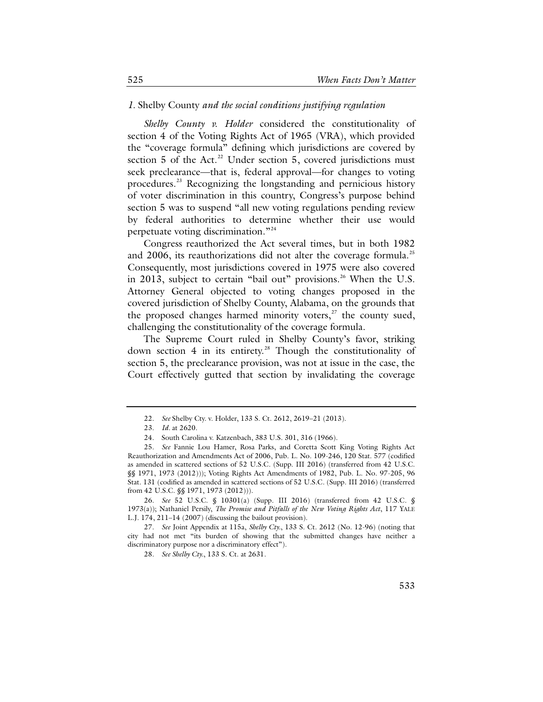#### *1.* Shelby County *and the social conditions justifying regulation*

*Shelby County v. Holder* considered the constitutionality of section 4 of the Voting Rights Act of 1965 (VRA), which provided the "coverage formula" defining which jurisdictions are covered by section  $5$  of the Act.<sup>[22](#page-10-0)</sup> Under section  $5$ , covered jurisdictions must seek preclearance—that is, federal approval—for changes to voting procedures.[23](#page-10-1) Recognizing the longstanding and pernicious history of voter discrimination in this country, Congress's purpose behind section 5 was to suspend "all new voting regulations pending review by federal authorities to determine whether their use would perpetuate voting discrimination."[24](#page-10-2)

Congress reauthorized the Act several times, but in both 1982 and 2006, its reauthorizations did not alter the coverage formula.<sup>[25](#page-10-3)</sup> Consequently, most jurisdictions covered in 1975 were also covered in 2013, subject to certain "bail out" provisions.<sup>[26](#page-10-4)</sup> When the U.S. Attorney General objected to voting changes proposed in the covered jurisdiction of Shelby County, Alabama, on the grounds that the proposed changes harmed minority voters, $27$  the county sued, challenging the constitutionality of the coverage formula.

The Supreme Court ruled in Shelby County's favor, striking down section 4 in its entirety.[28](#page-10-6) Though the constitutionality of section 5, the preclearance provision, was not at issue in the case, the Court effectively gutted that section by invalidating the coverage

<span id="page-10-4"></span>26. *See* 52 U.S.C. § 10301(a) (Supp. III 2016) (transferred from 42 U.S.C. § 1973(a)); Nathaniel Persily, *The Promise and Pitfalls of the New Voting Rights Act*, 117 YALE L.J. 174, 211–14 (2007) (discussing the bailout provision).

<span id="page-10-6"></span><span id="page-10-5"></span>27. *See* Joint Appendix at 115a, *Shelby Cty.*, 133 S. Ct. 2612 (No. 12-96) (noting that city had not met "its burden of showing that the submitted changes have neither a discriminatory purpose nor a discriminatory effect").

28. *See Shelby Cty.*, 133 S. Ct. at 2631.

<sup>22.</sup> *See* Shelby Cty. v. Holder, 133 S. Ct. 2612, 2619–21 (2013).

<sup>23.</sup> *Id.* at 2620.

<sup>24.</sup> South Carolina v. Katzenbach, 383 U.S. 301, 316 (1966).

<span id="page-10-3"></span><span id="page-10-2"></span><span id="page-10-1"></span><span id="page-10-0"></span><sup>25.</sup> *See* Fannie Lou Hamer, Rosa Parks, and Coretta Scott King Voting Rights Act Reauthorization and Amendments Act of 2006, Pub. L. No. 109-246, 120 Stat. 577 (codified as amended in scattered sections of 52 U.S.C. (Supp. III 2016) (transferred from 42 U.S.C. §§ 1971, 1973 (2012))); Voting Rights Act Amendments of 1982, Pub. L. No. 97-205, 96 Stat. 131 (codified as amended in scattered sections of 52 U.S.C. (Supp. III 2016) (transferred from 42 U.S.C. §§ 1971, 1973 (2012))).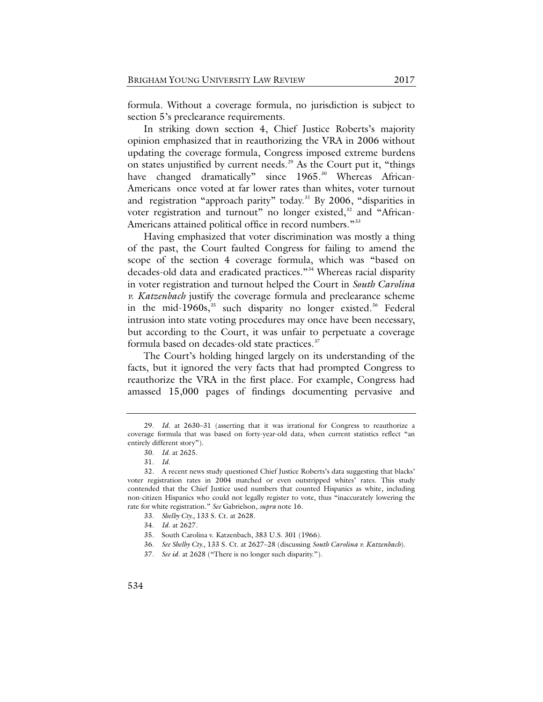formula. Without a coverage formula, no jurisdiction is subject to section 5's preclearance requirements.

In striking down section 4, Chief Justice Roberts's majority opinion emphasized that in reauthorizing the VRA in 2006 without updating the coverage formula, Congress imposed extreme burdens on states unjustified by current needs.<sup>[29](#page-11-0)</sup> As the Court put it, "things have changed dramatically" since 1965.<sup>30</sup> Whereas African-Americans once voted at far lower rates than whites, voter turnout and registration "approach parity" today.<sup>[31](#page-11-2)</sup> By 2006, "disparities in voter registration and turnout" no longer existed, $32$  and "African-Americans attained political office in record numbers."<sup>[33](#page-11-4)</sup>

Having emphasized that voter discrimination was mostly a thing of the past, the Court faulted Congress for failing to amend the scope of the section 4 coverage formula, which was "based on decades-old data and eradicated practices."[34](#page-11-5) Whereas racial disparity in voter registration and turnout helped the Court in *South Carolina v. Katzenbach* justify the coverage formula and preclearance scheme in the mid-1960s, $35$  such disparity no longer existed.<sup>[36](#page-11-7)</sup> Federal intrusion into state voting procedures may once have been necessary, but according to the Court, it was unfair to perpetuate a coverage formula based on decades-old state practices.<sup>[37](#page-11-8)</sup>

The Court's holding hinged largely on its understanding of the facts, but it ignored the very facts that had prompted Congress to reauthorize the VRA in the first place. For example, Congress had amassed 15,000 pages of findings documenting pervasive and

- <span id="page-11-7"></span>36. *See Shelby Cty.*, 133 S. Ct. at 2627–28 (discussing *South Carolina v. Katzenbach*).
- <span id="page-11-8"></span>37. *See id*. at 2628 ("There is no longer such disparity.").

<span id="page-11-0"></span><sup>29.</sup> *Id*. at 2630–31 (asserting that it was irrational for Congress to reauthorize a coverage formula that was based on forty-year-old data, when current statistics reflect "an entirely different story").

<sup>30.</sup> *Id.* at 2625.

<sup>31.</sup> *Id*.

<span id="page-11-6"></span><span id="page-11-5"></span><span id="page-11-4"></span><span id="page-11-3"></span><span id="page-11-2"></span><span id="page-11-1"></span><sup>32.</sup> A recent news study questioned Chief Justice Roberts's data suggesting that blacks' voter registration rates in 2004 matched or even outstripped whites' rates. This study contended that the Chief Justice used numbers that counted Hispanics as white, including non-citizen Hispanics who could not legally register to vote, thus "inaccurately lowering the rate for white registration." *See* Gabrielson, *supra* note [16.](#page-7-8)

<sup>33.</sup> *Shelby Cty.*, 133 S. Ct. at 2628.

<sup>34.</sup> *Id*. at 2627.

<sup>35.</sup> South Carolina v. Katzenbach, 383 U.S. 301 (1966).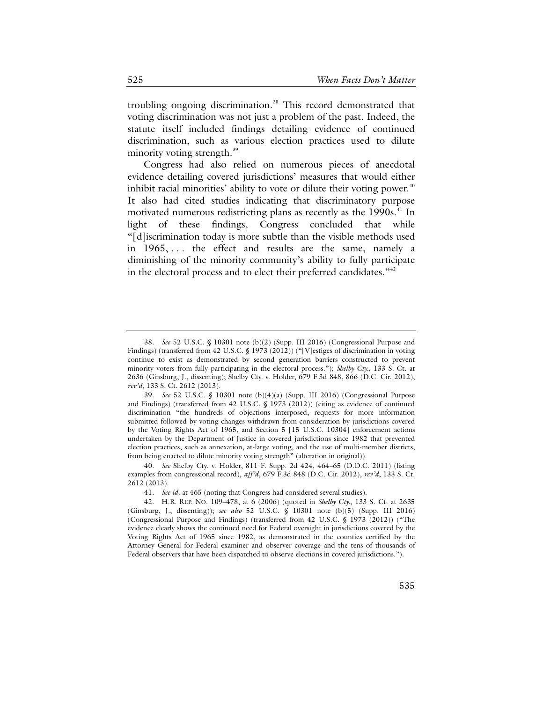troubling ongoing discrimination.<sup>[38](#page-12-0)</sup> This record demonstrated that voting discrimination was not just a problem of the past. Indeed, the statute itself included findings detailing evidence of continued discrimination, such as various election practices used to dilute minority voting strength.<sup>[39](#page-12-1)</sup>

Congress had also relied on numerous pieces of anecdotal evidence detailing covered jurisdictions' measures that would either inhibit racial minorities' ability to vote or dilute their voting power. $40$ It also had cited studies indicating that discriminatory purpose motivated numerous redistricting plans as recently as the 1990s.<sup>[41](#page-12-3)</sup> In light of these findings, Congress concluded that while "[d]iscrimination today is more subtle than the visible methods used in 1965, . . . the effect and results are the same, namely a diminishing of the minority community's ability to fully participate in the electoral process and to elect their preferred candidates."<sup>[42](#page-12-4)</sup>

<span id="page-12-0"></span><sup>38.</sup> *See* 52 U.S.C. § 10301 note (b)(2) (Supp. III 2016) (Congressional Purpose and Findings) (transferred from 42 U.S.C. § 1973 (2012)) ("[V]estiges of discrimination in voting continue to exist as demonstrated by second generation barriers constructed to prevent minority voters from fully participating in the electoral process."); *Shelby Cty.*, 133 S. Ct. at 2636 (Ginsburg, J., dissenting); Shelby Cty. v. Holder, 679 F.3d 848, 866 (D.C. Cir. 2012), *rev'd*, 133 S. Ct. 2612 (2013).

<span id="page-12-1"></span><sup>39.</sup> *See* 52 U.S.C. § 10301 note (b)(4)(a) (Supp. III 2016) (Congressional Purpose and Findings) (transferred from 42 U.S.C. § 1973 (2012)) (citing as evidence of continued discrimination "the hundreds of objections interposed, requests for more information submitted followed by voting changes withdrawn from consideration by jurisdictions covered by the Voting Rights Act of 1965, and Section 5 [15 U.S.C. 10304] enforcement actions undertaken by the Department of Justice in covered jurisdictions since 1982 that prevented election practices, such as annexation, at-large voting, and the use of multi-member districts, from being enacted to dilute minority voting strength" (alteration in original)).

<span id="page-12-2"></span><sup>40.</sup> *See* Shelby Cty. v. Holder, 811 F. Supp. 2d 424, 464–65 (D.D.C. 2011) (listing examples from congressional record), *aff'd*, 679 F.3d 848 (D.C. Cir. 2012), *rev'd*, 133 S. Ct. 2612 (2013).

<sup>41.</sup> *See id*. at 465 (noting that Congress had considered several studies).

<span id="page-12-4"></span><span id="page-12-3"></span><sup>42.</sup> H.R. REP. NO. 109–478, at 6 (2006) (quoted in *Shelby Cty.*, 133 S. Ct. at 2635 (Ginsburg, J., dissenting)); *see also* 52 U.S.C. § 10301 note (b)(5) (Supp. III 2016) (Congressional Purpose and Findings) (transferred from 42 U.S.C. § 1973 (2012)) ("The evidence clearly shows the continued need for Federal oversight in jurisdictions covered by the Voting Rights Act of 1965 since 1982, as demonstrated in the counties certified by the Attorney General for Federal examiner and observer coverage and the tens of thousands of Federal observers that have been dispatched to observe elections in covered jurisdictions.").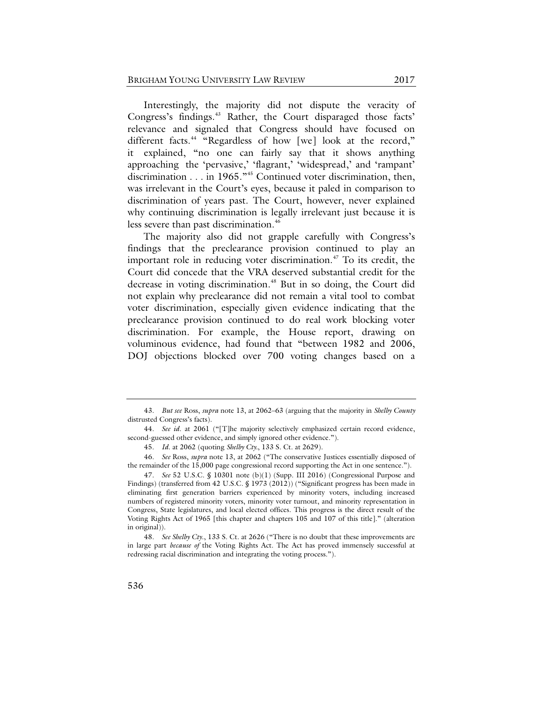Interestingly, the majority did not dispute the veracity of Congress's findings.<sup>[43](#page-13-0)</sup> Rather, the Court disparaged those facts' relevance and signaled that Congress should have focused on different facts.<sup>[44](#page-13-1)</sup> "Regardless of how [we] look at the record," it explained, "no one can fairly say that it shows anything approaching the 'pervasive,' 'flagrant,' 'widespread,' and 'rampant' discrimination . . . in 1965."[45](#page-13-2) Continued voter discrimination, then, was irrelevant in the Court's eyes, because it paled in comparison to discrimination of years past. The Court, however, never explained why continuing discrimination is legally irrelevant just because it is less severe than past discrimination.<sup>[46](#page-13-3)</sup>

The majority also did not grapple carefully with Congress's findings that the preclearance provision continued to play an important role in reducing voter discrimination.<sup> $47$ </sup> To its credit, the Court did concede that the VRA deserved substantial credit for the decrease in voting discrimination.<sup>[48](#page-13-5)</sup> But in so doing, the Court did not explain why preclearance did not remain a vital tool to combat voter discrimination, especially given evidence indicating that the preclearance provision continued to do real work blocking voter discrimination. For example, the House report, drawing on voluminous evidence, had found that "between 1982 and 2006, DOJ objections blocked over 700 voting changes based on a

<span id="page-13-0"></span><sup>43.</sup> *But see* Ross, *supra* not[e 13,](#page-7-9) at 2062–63 (arguing that the majority in *Shelby County* distrusted Congress's facts).

<span id="page-13-1"></span><sup>44.</sup> *See id*. at 2061 ("[T]he majority selectively emphasized certain record evidence, second-guessed other evidence, and simply ignored other evidence.").

<sup>45.</sup> *Id*. at 2062 (quoting *Shelby Cty.*, 133 S. Ct. at 2629).

<span id="page-13-3"></span><span id="page-13-2"></span><sup>46.</sup> *See* Ross, *supra* note [13,](#page-7-10) at 2062 ("The conservative Justices essentially disposed of the remainder of the 15,000 page congressional record supporting the Act in one sentence.").

<span id="page-13-4"></span><sup>47.</sup> *See* 52 U.S.C. § 10301 note (b)(1) (Supp. III 2016) (Congressional Purpose and Findings) (transferred from 42 U.S.C. § 1973 (2012)) ("Significant progress has been made in eliminating first generation barriers experienced by minority voters, including increased numbers of registered minority voters, minority voter turnout, and minority representation in Congress, State legislatures, and local elected offices. This progress is the direct result of the Voting Rights Act of 1965 [this chapter and chapters 105 and 107 of this title]." (alteration in original)).

<span id="page-13-5"></span><sup>48.</sup> *See Shelby Cty*., 133 S. Ct. at 2626 ("There is no doubt that these improvements are in large part *because of* the Voting Rights Act. The Act has proved immensely successful at redressing racial discrimination and integrating the voting process.").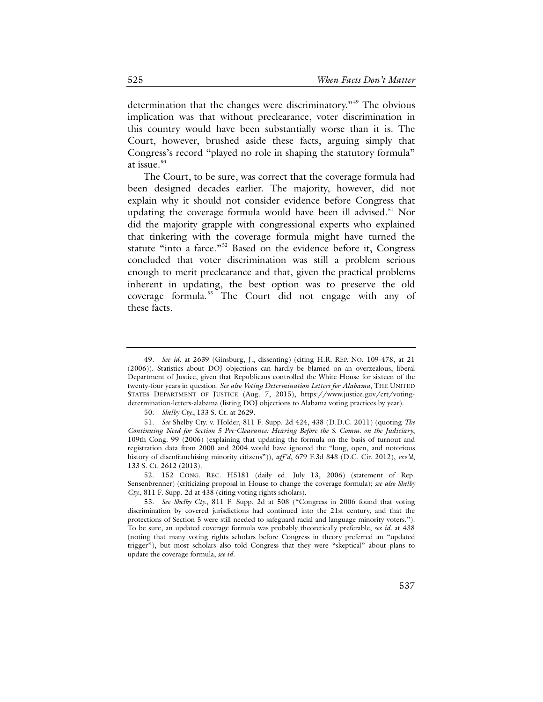determination that the changes were discriminatory.<sup>"[49](#page-14-0)</sup> The obvious implication was that without preclearance, voter discrimination in this country would have been substantially worse than it is. The Court, however, brushed aside these facts, arguing simply that Congress's record "played no role in shaping the statutory formula" at issue.<sup>[50](#page-14-1)</sup>

The Court, to be sure, was correct that the coverage formula had been designed decades earlier. The majority, however, did not explain why it should not consider evidence before Congress that updating the coverage formula would have been ill advised.<sup>[51](#page-14-2)</sup> Nor did the majority grapple with congressional experts who explained that tinkering with the coverage formula might have turned the statute "into a farce."<sup>[52](#page-14-3)</sup> Based on the evidence before it, Congress concluded that voter discrimination was still a problem serious enough to merit preclearance and that, given the practical problems inherent in updating, the best option was to preserve the old coverage formula.<sup>[53](#page-14-4)</sup> The Court did not engage with any of these facts.

<span id="page-14-0"></span><sup>49.</sup> *See id*. at 2639 (Ginsburg, J., dissenting) (citing H.R. REP. NO. 109-478, at 21 (2006)). Statistics about DOJ objections can hardly be blamed on an overzealous, liberal Department of Justice, given that Republicans controlled the White House for sixteen of the twenty-four years in question. *See also Voting Determination Letters for Alabama*, THE UNITED STATES DEPARTMENT OF JUSTICE (Aug. 7, 2015), https://www.justice.gov/crt/votingdetermination-letters-alabama (listing DOJ objections to Alabama voting practices by year).

<sup>50.</sup> *Shelby Cty.*, 133 S. Ct. at 2629.

<span id="page-14-2"></span><span id="page-14-1"></span><sup>51.</sup> *See* Shelby Cty. v. Holder, 811 F. Supp. 2d 424, 438 (D.D.C. 2011) (quoting *The Continuing Need for Section 5 Pre-Clearance: Hearing Before the S. Comm. on the Judiciary*, 109th Cong. 99 (2006) (explaining that updating the formula on the basis of turnout and registration data from 2000 and 2004 would have ignored the "long, open, and notorious history of disenfranchising minority citizens")), *aff'd*, 679 F.3d 848 (D.C. Cir. 2012), *rev'd*, 133 S. Ct. 2612 (2013).

<span id="page-14-3"></span><sup>52.</sup> 152 CONG. REC. H5181 (daily ed. July 13, 2006) (statement of Rep. Sensenbrenner) (criticizing proposal in House to change the coverage formula); *see also Shelby Cty.*, 811 F. Supp. 2d at 438 (citing voting rights scholars).

<span id="page-14-4"></span><sup>53.</sup> *See Shelby Cty.*, 811 F. Supp. 2d at 508 ("Congress in 2006 found that voting discrimination by covered jurisdictions had continued into the 21st century, and that the protections of Section 5 were still needed to safeguard racial and language minority voters."). To be sure, an updated coverage formula was probably theoretically preferable, *see id.* at 438 (noting that many voting rights scholars before Congress in theory preferred an "updated trigger"), but most scholars also told Congress that they were "skeptical" about plans to update the coverage formula, *see id.*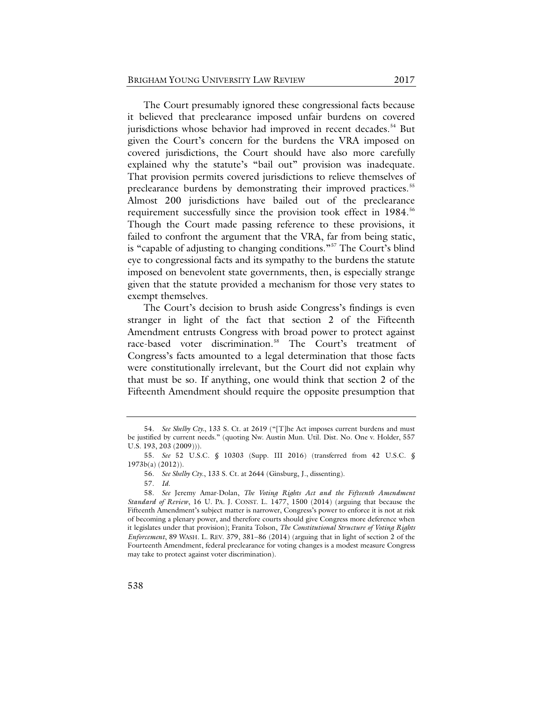The Court presumably ignored these congressional facts because it believed that preclearance imposed unfair burdens on covered jurisdictions whose behavior had improved in recent decades.<sup>[54](#page-15-0)</sup> But given the Court's concern for the burdens the VRA imposed on covered jurisdictions, the Court should have also more carefully explained why the statute's "bail out" provision was inadequate. That provision permits covered jurisdictions to relieve themselves of preclearance burdens by demonstrating their improved practices.<sup>[55](#page-15-1)</sup> Almost 200 jurisdictions have bailed out of the preclearance requirement successfully since the provision took effect in 1984.<sup>[56](#page-15-2)</sup> Though the Court made passing reference to these provisions, it failed to confront the argument that the VRA, far from being static, is "capable of adjusting to changing conditions."[57](#page-15-3) The Court's blind eye to congressional facts and its sympathy to the burdens the statute imposed on benevolent state governments, then, is especially strange given that the statute provided a mechanism for those very states to exempt themselves.

The Court's decision to brush aside Congress's findings is even stranger in light of the fact that section 2 of the Fifteenth Amendment entrusts Congress with broad power to protect against race-based voter discrimination.<sup>[58](#page-15-4)</sup> The Court's treatment of Congress's facts amounted to a legal determination that those facts were constitutionally irrelevant, but the Court did not explain why that must be so. If anything, one would think that section 2 of the Fifteenth Amendment should require the opposite presumption that

<span id="page-15-0"></span><sup>54.</sup> *See Shelby Cty.*, 133 S. Ct. at 2619 ("[T]he Act imposes current burdens and must be justified by current needs." (quoting Nw. Austin Mun. Util. Dist. No. One v. Holder, 557 U.S. 193, 203 (2009))).

<span id="page-15-1"></span><sup>55.</sup> *See* 52 U.S.C. § 10303 (Supp. III 2016) (transferred from 42 U.S.C. § 1973b(a) (2012)).

<sup>56.</sup> *See Shelby Cty*., 133 S. Ct. at 2644 (Ginsburg, J., dissenting).

<sup>57.</sup> *Id.*

<span id="page-15-4"></span><span id="page-15-3"></span><span id="page-15-2"></span><sup>58.</sup> *See* Jeremy Amar-Dolan, *The Voting Rights Act and the Fifteenth Amendment Standard of Review*, 16 U. PA. J. CONST. L. 1477, 1500 (2014) (arguing that because the Fifteenth Amendment's subject matter is narrower, Congress's power to enforce it is not at risk of becoming a plenary power, and therefore courts should give Congress more deference when it legislates under that provision); Franita Tolson, *The Constitutional Structure of Voting Rights Enforcement*, 89 WASH. L. REV. 379, 381−86 (2014) (arguing that in light of section 2 of the Fourteenth Amendment, federal preclearance for voting changes is a modest measure Congress may take to protect against voter discrimination).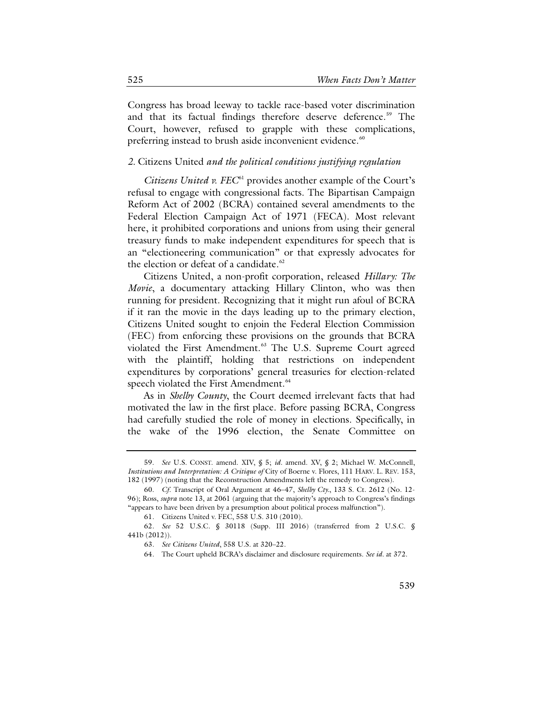Congress has broad leeway to tackle race-based voter discrimination and that its factual findings therefore deserve deference. [59](#page-16-0) The Court, however, refused to grapple with these complications, preferring instead to brush aside inconvenient evidence.<sup>[60](#page-16-1)</sup>

#### *2.* Citizens United *and the political conditions justifying regulation*

*Citizens United v. FEC*[61](#page-16-2) provides another example of the Court's refusal to engage with congressional facts. The Bipartisan Campaign Reform Act of 2002 (BCRA) contained several amendments to the Federal Election Campaign Act of 1971 (FECA). Most relevant here, it prohibited corporations and unions from using their general treasury funds to make independent expenditures for speech that is an "electioneering communication" or that expressly advocates for the election or defeat of a candidate. $62$ 

Citizens United, a non-profit corporation, released *Hillary: The Movie*, a documentary attacking Hillary Clinton, who was then running for president. Recognizing that it might run afoul of BCRA if it ran the movie in the days leading up to the primary election, Citizens United sought to enjoin the Federal Election Commission (FEC) from enforcing these provisions on the grounds that BCRA violated the First Amendment.<sup>[63](#page-16-4)</sup> The U.S. Supreme Court agreed with the plaintiff, holding that restrictions on independent expenditures by corporations' general treasuries for election-related speech violated the First Amendment.<sup>[64](#page-16-5)</sup>

As in *Shelby County*, the Court deemed irrelevant facts that had motivated the law in the first place. Before passing BCRA, Congress had carefully studied the role of money in elections. Specifically, in the wake of the 1996 election, the Senate Committee on

<span id="page-16-0"></span><sup>59.</sup> *See* U.S. CONST. amend. XIV, § 5; *id.* amend. XV, § 2; Michael W. McConnell, *Institutions and Interpretation: A Critique of* City of Boerne v. Flores, 111 HARV. L. REV. 153, 182 (1997) (noting that the Reconstruction Amendments left the remedy to Congress).

<span id="page-16-1"></span><sup>60.</sup> *Cf*. Transcript of Oral Argument at 46−47, *Shelby Cty.*, 133 S. Ct. 2612 (No. 12- 96); Ross, *supra* not[e 13,](#page-7-9) at 2061 (arguing that the majority's approach to Congress's findings "appears to have been driven by a presumption about political process malfunction").

<sup>61.</sup> Citizens United v. FEC, 558 U.S. 310 (2010).

<span id="page-16-5"></span><span id="page-16-4"></span><span id="page-16-3"></span><span id="page-16-2"></span><sup>62.</sup> *See* 52 U.S.C. § 30118 (Supp. III 2016) (transferred from 2 U.S.C. § 441b (2012)).

<sup>63.</sup> *See Citizens United*, 558 U.S. at 320–22.

<sup>64.</sup> The Court upheld BCRA's disclaimer and disclosure requirements. *See id.* at 372.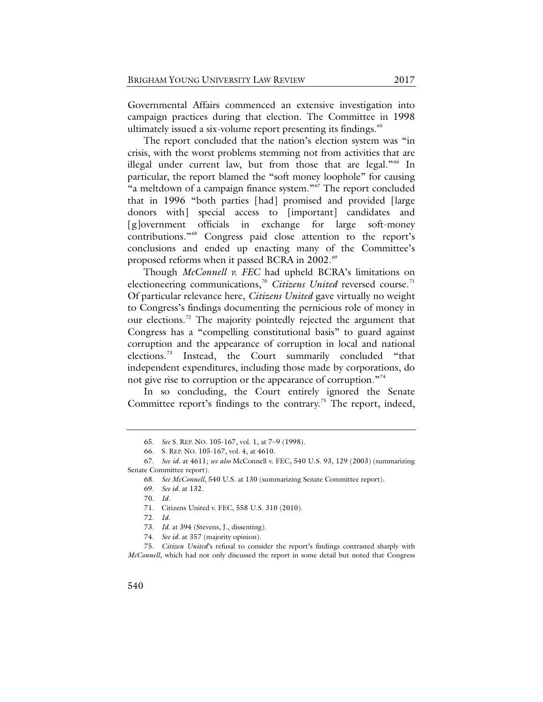Governmental Affairs commenced an extensive investigation into campaign practices during that election. The Committee in 1998 ultimately issued a six-volume report presenting its findings.<sup>[65](#page-17-0)</sup>

The report concluded that the nation's election system was "in crisis, with the worst problems stemming not from activities that are illegal under current law, but from those that are legal."<sup>[66](#page-17-1)</sup> In particular, the report blamed the "soft money loophole" for causing "a meltdown of a campaign finance system."[67](#page-17-2) The report concluded that in 1996 "both parties [had] promised and provided [large donors with] special access to [important] candidates and [g]overnment officials in exchange for large soft-money contributions."[68](#page-17-3) Congress paid close attention to the report's conclusions and ended up enacting many of the Committee's proposed reforms when it passed BCRA in 2002.<sup>[69](#page-17-4)</sup>

Though *McConnell v. FEC* had upheld BCRA's limitations on electioneering communications,<sup>[70](#page-17-5)</sup> Citizens United reversed course.<sup>[71](#page-17-6)</sup> Of particular relevance here, *Citizens United* gave virtually no weight to Congress's findings documenting the pernicious role of money in our elections.<sup>[72](#page-17-7)</sup> The majority pointedly rejected the argument that Congress has a "compelling constitutional basis" to guard against corruption and the appearance of corruption in local and national elections.[73](#page-17-8) Instead, the Court summarily concluded "that independent expenditures, including those made by corporations, do not give rise to corruption or the appearance of corruption."<sup>[74](#page-17-9)</sup>

In so concluding, the Court entirely ignored the Senate Committee report's findings to the contrary.<sup>[75](#page-17-10)</sup> The report, indeed,

<sup>65.</sup> *See* S. REP. NO. 105-167, vol. 1, at 7−9 (1998).

<sup>66.</sup> S. REP. NO. 105-167, vol. 4, at 4610.

<span id="page-17-5"></span><span id="page-17-4"></span><span id="page-17-3"></span><span id="page-17-2"></span><span id="page-17-1"></span><span id="page-17-0"></span><sup>67.</sup> *See id.* at 4611; *see also* McConnell v. FEC, 540 U.S. 93, 129 (2003) (summarizing Senate Committee report).

<sup>68.</sup> *See McConnell*, 540 U.S. at 130 (summarizing Senate Committee report).

<sup>69.</sup> *See id.* at 132.

<sup>70.</sup> *Id.*

<sup>71.</sup> Citizens United v. FEC, 558 U.S. 310 (2010).

<sup>72.</sup> *Id.*

<sup>73.</sup> *Id.* at 394 (Stevens, J., dissenting).

<sup>74.</sup> *See id.* at 357 (majority opinion).

<span id="page-17-10"></span><span id="page-17-9"></span><span id="page-17-8"></span><span id="page-17-7"></span><span id="page-17-6"></span><sup>75.</sup> *Citizen United*'s refusal to consider the report's findings contrasted sharply with *McConnell*, which had not only discussed the report in some detail but noted that Congress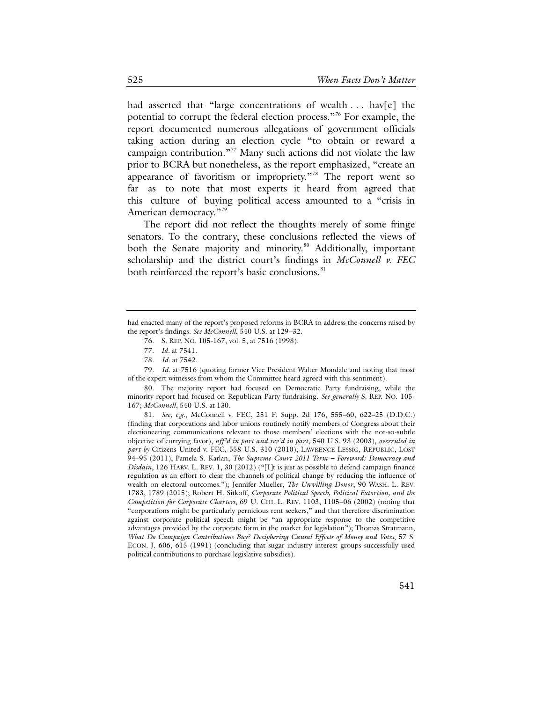had asserted that "large concentrations of wealth ... hav[e] the potential to corrupt the federal election process."[76](#page-18-0) For example, the report documented numerous allegations of government officials taking action during an election cycle "to obtain or reward a campaign contribution."<sup>[77](#page-18-1)</sup> Many such actions did not violate the law prior to BCRA but nonetheless, as the report emphasized, "create an appearance of favoritism or impropriety."<sup>[78](#page-18-2)</sup> The report went so far as to note that most experts it heard from agreed that this culture of buying political access amounted to a "crisis in American democracy."<sup>[79](#page-18-3)</sup>

The report did not reflect the thoughts merely of some fringe senators. To the contrary, these conclusions reflected the views of both the Senate majority and minority.<sup>[80](#page-18-4)</sup> Additionally, important scholarship and the district court's findings in *McConnell v. FEC* both reinforced the report's basic conclusions.<sup>[81](#page-18-5)</sup>

<span id="page-18-3"></span><span id="page-18-2"></span><span id="page-18-1"></span>79. *Id.* at 7516 (quoting former Vice President Walter Mondale and noting that most of the expert witnesses from whom the Committee heard agreed with this sentiment).

<span id="page-18-4"></span>80. The majority report had focused on Democratic Party fundraising, while the minority report had focused on Republican Party fundraising. *See generally* S. REP. NO. 105- 167; *McConnell*, 540 U.S. at 130.

<span id="page-18-5"></span>81. *See, e.g.*, McConnell v. FEC, 251 F. Supp. 2d 176, 555–60, 622–25 (D.D.C.) (finding that corporations and labor unions routinely notify members of Congress about their electioneering communications relevant to those members' elections with the not-so-subtle objective of currying favor), *aff'd in part and rev'd in part*, 540 U.S. 93 (2003), *overruled in part by* Citizens United v. FEC, 558 U.S. 310 (2010); LAWRENCE LESSIG, REPUBLIC, LOST 94–95 (2011); Pamela S. Karlan, *The Supreme Court 2011 Term – Foreword: Democracy and Disdain*, 126 HARV. L. REV. 1, 30 (2012) ("[I]t is just as possible to defend campaign finance regulation as an effort to clear the channels of political change by reducing the influence of wealth on electoral outcomes."); Jennifer Mueller, *The Unwilling Donor*, 90 WASH. L. REV. 1783, 1789 (2015); Robert H. Sitkoff, *Corporate Political Speech, Political Extortion, and the Competition for Corporate Charters*, 69 U. CHI. L. REV. 1103, 1105−06 (2002) (noting that "corporations might be particularly pernicious rent seekers," and that therefore discrimination against corporate political speech might be "an appropriate response to the competitive advantages provided by the corporate form in the market for legislation"); Thomas Stratmann, *What Do Campaign Contributions Buy? Deciphering Causal Effects of Money and Votes*, 57 S. ECON. J. 606, 615 (1991) (concluding that sugar industry interest groups successfully used political contributions to purchase legislative subsidies).

<span id="page-18-0"></span>had enacted many of the report's proposed reforms in BCRA to address the concerns raised by the report's findings. *See McConnell*, 540 U.S. at 129−32.

<span id="page-18-6"></span><sup>76.</sup> S. REP. NO. 105-167, vol. 5, at 7516 (1998).

<sup>77.</sup> *Id.* at 7541.

<sup>78.</sup> *Id.* at 7542.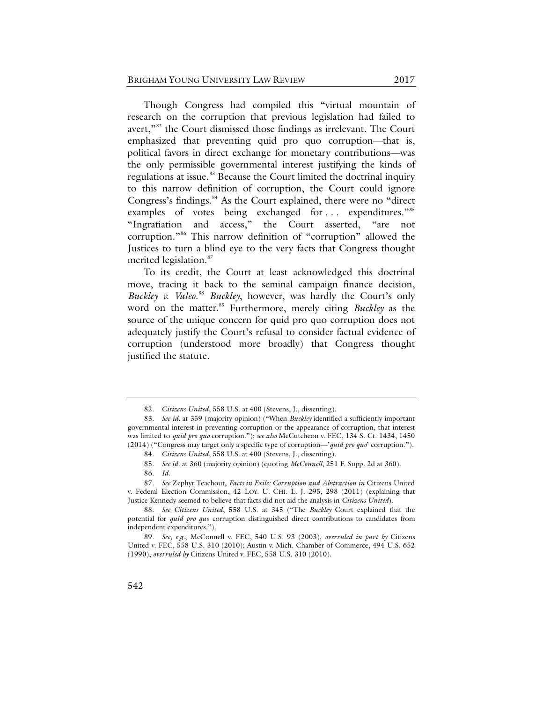Though Congress had compiled this "virtual mountain of research on the corruption that previous legislation had failed to avert,"[82](#page-19-0) the Court dismissed those findings as irrelevant. The Court emphasized that preventing quid pro quo corruption—that is, political favors in direct exchange for monetary contributions—was the only permissible governmental interest justifying the kinds of regulations at issue.<sup>[83](#page-19-1)</sup> Because the Court limited the doctrinal inquiry to this narrow definition of corruption, the Court could ignore Congress's findings.<sup>[84](#page-19-2)</sup> As the Court explained, there were no "direct examples of votes being exchanged for ... expenditures."<sup>[85](#page-19-3)</sup> "Ingratiation and access," the Court asserted, "are not corruption."[86](#page-19-4) This narrow definition of "corruption" allowed the Justices to turn a blind eye to the very facts that Congress thought merited legislation.<sup>[87](#page-19-5)</sup>

To its credit, the Court at least acknowledged this doctrinal move, tracing it back to the seminal campaign finance decision, Buckley v. Valeo.<sup>[88](#page-19-6)</sup> Buckley, however, was hardly the Court's only word on the matter.<sup>[89](#page-19-7)</sup> Furthermore, merely citing *Buckley* as the source of the unique concern for quid pro quo corruption does not adequately justify the Court's refusal to consider factual evidence of corruption (understood more broadly) that Congress thought justified the statute.

<sup>82.</sup> *Citizens United*, 558 U.S. at 400 (Stevens, J., dissenting).

<span id="page-19-1"></span><span id="page-19-0"></span><sup>83.</sup> *See id.* at 359 (majority opinion) ("When *Buckley* identified a sufficiently important governmental interest in preventing corruption or the appearance of corruption, that interest was limited to *quid pro quo* corruption."); *see also* McCutcheon v. FEC, 134 S. Ct. 1434, 1450 (2014) ("Congress may target only a specific type of corruption—'*quid pro quo*' corruption.").

<sup>84.</sup> *Citizens United*, 558 U.S. at 400 (Stevens, J., dissenting).

<sup>85.</sup> *See id.* at 360 (majority opinion) (quoting *McConnell*, 251 F. Supp. 2d at 360).

<sup>86.</sup> *Id.*

<span id="page-19-5"></span><span id="page-19-4"></span><span id="page-19-3"></span><span id="page-19-2"></span><sup>87.</sup> *See* Zephyr Teachout, *Facts in Exile: Corruption and Abstraction in* Citizens United v. Federal Election Commission, 42 LOY. U. CHI. L. J. 295, 298 (2011) (explaining that Justice Kennedy seemed to believe that facts did not aid the analysis in *Citizens United*).

<span id="page-19-6"></span><sup>88.</sup> *See Citizens United*, 558 U.S. at 345 ("The *Buckley* Court explained that the potential for *quid pro quo* corruption distinguished direct contributions to candidates from independent expenditures.").

<span id="page-19-7"></span><sup>89.</sup> *See, e.g.*, McConnell v. FEC, 540 U.S. 93 (2003), *overruled in part by* Citizens United v. FEC, 558 U.S. 310 (2010); Austin v. Mich. Chamber of Commerce, 494 U.S. 652 (1990), *overruled by* Citizens United v. FEC, 558 U.S. 310 (2010).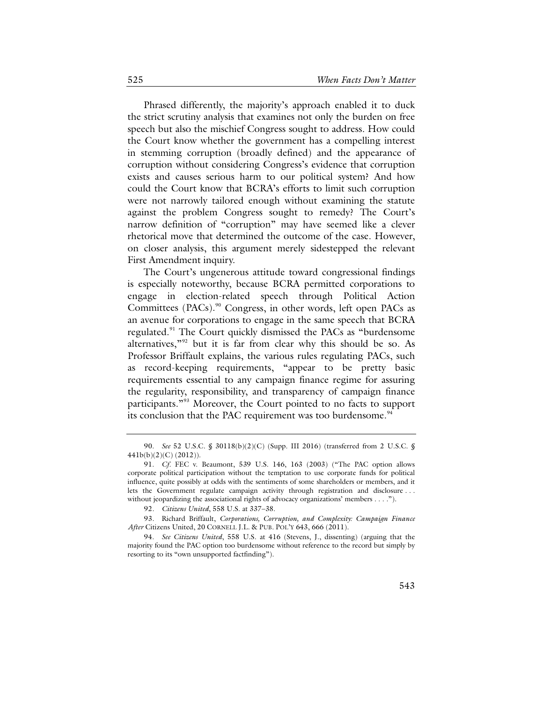Phrased differently, the majority's approach enabled it to duck the strict scrutiny analysis that examines not only the burden on free speech but also the mischief Congress sought to address. How could the Court know whether the government has a compelling interest in stemming corruption (broadly defined) and the appearance of corruption without considering Congress's evidence that corruption exists and causes serious harm to our political system? And how could the Court know that BCRA's efforts to limit such corruption were not narrowly tailored enough without examining the statute against the problem Congress sought to remedy? The Court's narrow definition of "corruption" may have seemed like a clever rhetorical move that determined the outcome of the case. However, on closer analysis, this argument merely sidestepped the relevant First Amendment inquiry.

The Court's ungenerous attitude toward congressional findings is especially noteworthy, because BCRA permitted corporations to engage in election-related speech through Political Action Committees (PACs).<sup>[90](#page-20-0)</sup> Congress, in other words, left open PACs as an avenue for corporations to engage in the same speech that BCRA regulated.<sup>[91](#page-20-1)</sup> The Court quickly dismissed the PACs as "burdensome alternatives,"[92](#page-20-2) but it is far from clear why this should be so. As Professor Briffault explains, the various rules regulating PACs, such as record-keeping requirements, "appear to be pretty basic requirements essential to any campaign finance regime for assuring the regularity, responsibility, and transparency of campaign finance participants."<sup>[93](#page-20-3)</sup> Moreover, the Court pointed to no facts to support its conclusion that the PAC requirement was too burdensome.<sup>[94](#page-20-4)</sup>

<span id="page-20-0"></span><sup>90.</sup> *See* 52 U.S.C. § 30118(b)(2)(C) (Supp. III 2016) (transferred from 2 U.S.C. § 441b(b)(2)(C) (2012)).

<span id="page-20-1"></span><sup>91.</sup> *Cf.* FEC v. Beaumont, 539 U.S. 146, 163 (2003) ("The PAC option allows corporate political participation without the temptation to use corporate funds for political influence, quite possibly at odds with the sentiments of some shareholders or members, and it lets the Government regulate campaign activity through registration and disclosure . . . without jeopardizing the associational rights of advocacy organizations' members . . . .").

<sup>92.</sup> *Citizens United*, 558 U.S. at 337–38.

<span id="page-20-3"></span><span id="page-20-2"></span><sup>93.</sup> Richard Briffault, *Corporations, Corruption, and Complexity: Campaign Finance After* Citizens United, 20 CORNELL J.L. & PUB. POL'Y 643, 666 (2011).

<span id="page-20-4"></span><sup>94.</sup> *See Citizens United*, 558 U.S. at 416 (Stevens, J., dissenting) (arguing that the majority found the PAC option too burdensome without reference to the record but simply by resorting to its "own unsupported factfinding").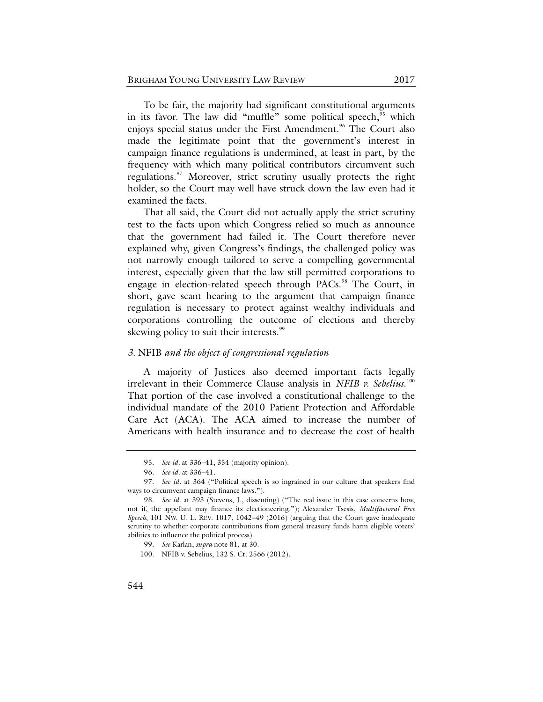To be fair, the majority had significant constitutional arguments in its favor. The law did "muffle" some political speech, "which enjoys special status under the First Amendment.<sup>[96](#page-21-1)</sup> The Court also made the legitimate point that the government's interest in campaign finance regulations is undermined, at least in part, by the frequency with which many political contributors circumvent such regulations.<sup>[97](#page-21-2)</sup> Moreover, strict scrutiny usually protects the right holder, so the Court may well have struck down the law even had it examined the facts.

That all said, the Court did not actually apply the strict scrutiny test to the facts upon which Congress relied so much as announce that the government had failed it. The Court therefore never explained why, given Congress's findings, the challenged policy was not narrowly enough tailored to serve a compelling governmental interest, especially given that the law still permitted corporations to engage in election-related speech through PACs.<sup>[98](#page-21-3)</sup> The Court, in short, gave scant hearing to the argument that campaign finance regulation is necessary to protect against wealthy individuals and corporations controlling the outcome of elections and thereby skewing policy to suit their interests.<sup>[99](#page-21-4)</sup>

#### *3.* NFIB *and the object of congressional regulation*

A majority of Justices also deemed important facts legally irrelevant in their Commerce Clause analysis in *NFIB v. Sebelius*. [100](#page-21-5) That portion of the case involved a constitutional challenge to the individual mandate of the 2010 Patient Protection and Affordable Care Act (ACA). The ACA aimed to increase the number of Americans with health insurance and to decrease the cost of health

<sup>95.</sup> *See id.* at 336–41, 354 (majority opinion).

<sup>96.</sup> *See id.* at 336–41.

<span id="page-21-2"></span><span id="page-21-1"></span><span id="page-21-0"></span><sup>97.</sup> *See id.* at 364 ("Political speech is so ingrained in our culture that speakers find ways to circumvent campaign finance laws.").

<span id="page-21-5"></span><span id="page-21-4"></span><span id="page-21-3"></span><sup>98.</sup> *See id.* at 393 (Stevens, J., dissenting) ("The real issue in this case concerns how, not if, the appellant may finance its electioneering."); Alexander Tsesis, *Multifactoral Free Speech*, 101 NW. U. L. REV. 1017, 1042−49 (2016) (arguing that the Court gave inadequate scrutiny to whether corporate contributions from general treasury funds harm eligible voters' abilities to influence the political process).

<sup>99.</sup> *See* Karlan, *supra* note [81,](#page-18-6) at 30.

<sup>100.</sup> NFIB v. Sebelius, 132 S. Ct. 2566 (2012).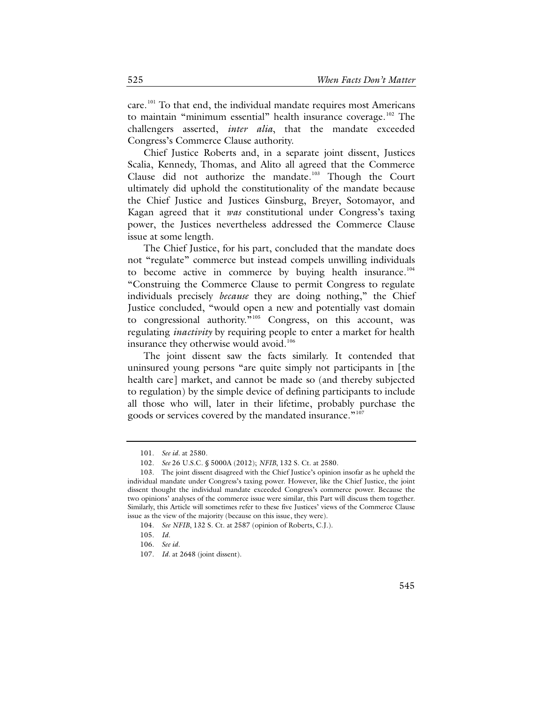care.<sup>[101](#page-22-0)</sup> To that end, the individual mandate requires most Americans to maintain "minimum essential" health insurance coverage.<sup>[102](#page-22-1)</sup> The challengers asserted, *inter alia*, that the mandate exceeded Congress's Commerce Clause authority.

<span id="page-22-7"></span>Chief Justice Roberts and, in a separate joint dissent, Justices Scalia, Kennedy, Thomas, and Alito all agreed that the Commerce Clause did not authorize the mandate.[103](#page-22-2) Though the Court ultimately did uphold the constitutionality of the mandate because the Chief Justice and Justices Ginsburg, Breyer, Sotomayor, and Kagan agreed that it *was* constitutional under Congress's taxing power, the Justices nevertheless addressed the Commerce Clause issue at some length.

The Chief Justice, for his part, concluded that the mandate does not "regulate" commerce but instead compels unwilling individuals to become active in commerce by buying health insurance.<sup>[104](#page-22-3)</sup> "Construing the Commerce Clause to permit Congress to regulate individuals precisely *because* they are doing nothing," the Chief Justice concluded, "would open a new and potentially vast domain to congressional authority."<sup>[105](#page-22-4)</sup> Congress, on this account, was regulating *inactivity* by requiring people to enter a market for health insurance they otherwise would avoid.<sup>[106](#page-22-5)</sup>

The joint dissent saw the facts similarly. It contended that uninsured young persons "are quite simply not participants in [the health care] market, and cannot be made so (and thereby subjected to regulation) by the simple device of defining participants to include all those who will, later in their lifetime, probably purchase the goods or services covered by the mandated insurance."<sup>[107](#page-22-6)</sup>

<sup>101.</sup> *See id.* at 2580.

<sup>102.</sup> *See* 26 U.S.C. § 5000A (2012); *NFIB*, 132 S. Ct. at 2580.

<span id="page-22-2"></span><span id="page-22-1"></span><span id="page-22-0"></span><sup>103.</sup> The joint dissent disagreed with the Chief Justice's opinion insofar as he upheld the individual mandate under Congress's taxing power. However, like the Chief Justice, the joint dissent thought the individual mandate exceeded Congress's commerce power. Because the two opinions' analyses of the commerce issue were similar, this Part will discuss them together. Similarly, this Article will sometimes refer to these five Justices' views of the Commerce Clause issue as the view of the majority (because on this issue, they were).

<span id="page-22-5"></span><span id="page-22-4"></span><span id="page-22-3"></span><sup>104.</sup> *See NFIB*, 132 S. Ct. at 2587 (opinion of Roberts, C.J.).

<sup>105.</sup> *Id.*

<sup>106.</sup> *See id.*

<span id="page-22-6"></span><sup>107.</sup> *Id.* at 2648 (joint dissent).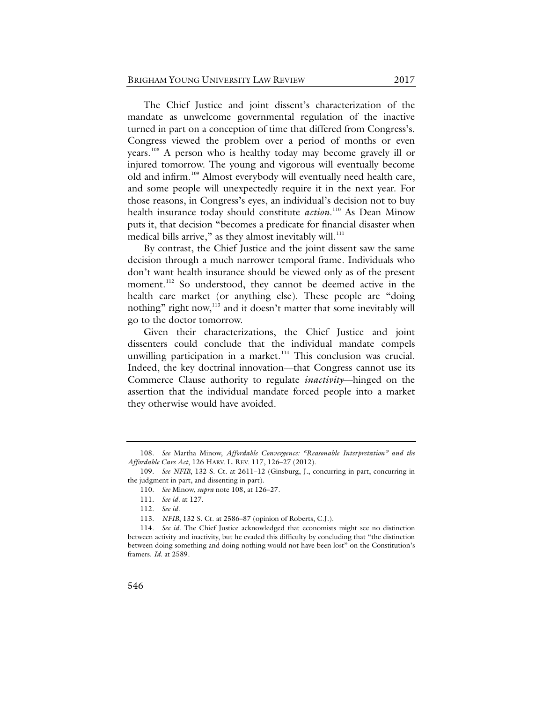<span id="page-23-0"></span>The Chief Justice and joint dissent's characterization of the mandate as unwelcome governmental regulation of the inactive turned in part on a conception of time that differed from Congress's. Congress viewed the problem over a period of months or even years.[108](#page-23-1) A person who is healthy today may become gravely ill or injured tomorrow. The young and vigorous will eventually become old and infirm.[109](#page-23-2) Almost everybody will eventually need health care, and some people will unexpectedly require it in the next year. For those reasons, in Congress's eyes, an individual's decision not to buy health insurance today should constitute *action*. [110](#page-23-3) As Dean Minow puts it, that decision "becomes a predicate for financial disaster when medical bills arrive," as they almost inevitably will. $^{111}$  $^{111}$  $^{111}$ 

By contrast, the Chief Justice and the joint dissent saw the same decision through a much narrower temporal frame. Individuals who don't want health insurance should be viewed only as of the present moment.<sup>[112](#page-23-5)</sup> So understood, they cannot be deemed active in the health care market (or anything else). These people are "doing nothing" right now,<sup>[113](#page-23-6)</sup> and it doesn't matter that some inevitably will go to the doctor tomorrow.

Given their characterizations, the Chief Justice and joint dissenters could conclude that the individual mandate compels unwilling participation in a market.<sup>[114](#page-23-7)</sup> This conclusion was crucial. Indeed, the key doctrinal innovation––that Congress cannot use its Commerce Clause authority to regulate *inactivity*––hinged on the assertion that the individual mandate forced people into a market they otherwise would have avoided.

<span id="page-23-1"></span><sup>108.</sup> *See* Martha Minow, *Affordable Convergence: "Reasonable Interpretation" and the Affordable Care Act*, 126 HARV. L. REV. 117, 126–27 (2012).

<span id="page-23-4"></span><span id="page-23-3"></span><span id="page-23-2"></span><sup>109.</sup> *See NFIB*, 132 S. Ct. at 2611–12 (Ginsburg, J., concurring in part, concurring in the judgment in part, and dissenting in part).

<sup>110.</sup> *See* Minow, *supra* note [108,](#page-23-0) at 126–27.

<sup>111.</sup> *See id.* at 127.

<sup>112.</sup> *See id.*

<sup>113.</sup> *NFIB*, 132 S. Ct. at 2586–87 (opinion of Roberts, C.J.).

<span id="page-23-7"></span><span id="page-23-6"></span><span id="page-23-5"></span><sup>114.</sup> *See id.* The Chief Justice acknowledged that economists might see no distinction between activity and inactivity, but he evaded this difficulty by concluding that "the distinction between doing something and doing nothing would not have been lost" on the Constitution's framers. *Id.* at 2589.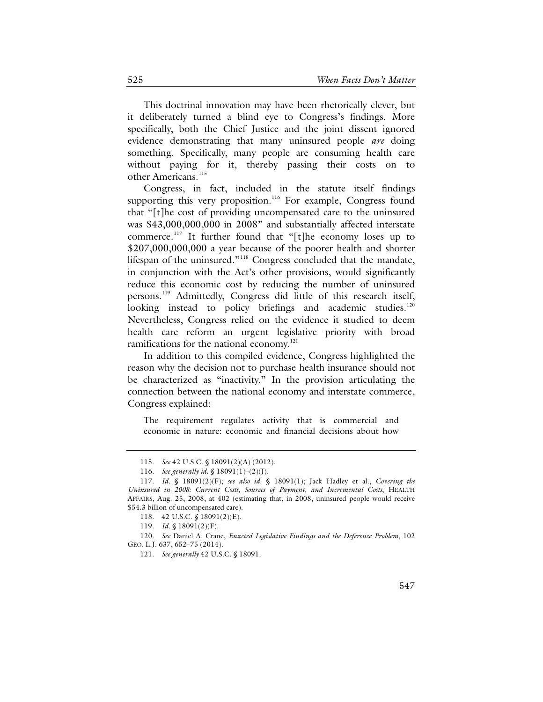This doctrinal innovation may have been rhetorically clever, but it deliberately turned a blind eye to Congress's findings. More specifically, both the Chief Justice and the joint dissent ignored evidence demonstrating that many uninsured people *are* doing something. Specifically, many people are consuming health care without paying for it, thereby passing their costs on to other Americans.<sup>[115](#page-24-0)</sup>

Congress, in fact, included in the statute itself findings supporting this very proposition.<sup>116</sup> For example, Congress found that "[t]he cost of providing uncompensated care to the uninsured was \$43,000,000,000 in 2008" and substantially affected interstate commerce.<sup>[117](#page-24-2)</sup> It further found that "[t]he economy loses up to \$207,000,000,000 a year because of the poorer health and shorter lifespan of the uninsured."<sup>[118](#page-24-3)</sup> Congress concluded that the mandate, in conjunction with the Act's other provisions, would significantly reduce this economic cost by reducing the number of uninsured persons.<sup>[119](#page-24-4)</sup> Admittedly, Congress did little of this research itself, looking instead to policy briefings and academic studies.<sup>[120](#page-24-5)</sup> Nevertheless, Congress relied on the evidence it studied to deem health care reform an urgent legislative priority with broad ramifications for the national economy.<sup>[121](#page-24-6)</sup>

<span id="page-24-7"></span>In addition to this compiled evidence, Congress highlighted the reason why the decision not to purchase health insurance should not be characterized as "inactivity." In the provision articulating the connection between the national economy and interstate commerce, Congress explained:

The requirement regulates activity that is commercial and economic in nature: economic and financial decisions about how

<span id="page-24-6"></span><span id="page-24-5"></span><span id="page-24-4"></span><span id="page-24-3"></span>120. *See* Daniel A. Crane, *Enacted Legislative Findings and the Deference Problem*, 102 GEO. L.J. 637, 652–75 (2014).

<sup>115.</sup> *See* 42 U.S.C. § 18091(2)(A) (2012).

<sup>116.</sup> *See generally id.* § 18091(1)–(2)(J).

<span id="page-24-2"></span><span id="page-24-1"></span><span id="page-24-0"></span><sup>117.</sup> *Id.* § 18091(2)(F); *see also id.* § 18091(1); Jack Hadley et al., *Covering the Uninsured in 2008: Current Costs, Sources of Payment, and Incremental Costs*, HEALTH AFFAIRS, Aug. 25, 2008, at 402 (estimating that, in 2008, uninsured people would receive \$54.3 billion of uncompensated care).

<sup>118.</sup> 42 U.S.C. § 18091(2)(E).

<sup>119.</sup> *Id.* § 18091(2)(F).

<sup>121.</sup> *See generally* 42 U.S.C. § 18091.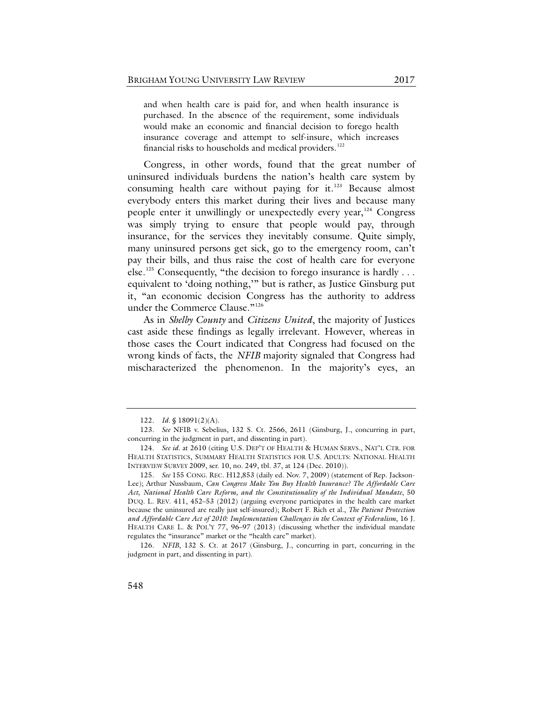and when health care is paid for, and when health insurance is purchased. In the absence of the requirement, some individuals would make an economic and financial decision to forego health insurance coverage and attempt to self-insure, which increases financial risks to households and medical providers.<sup>[122](#page-25-0)</sup>

Congress, in other words, found that the great number of uninsured individuals burdens the nation's health care system by consuming health care without paying for  $it.^{123}$  $it.^{123}$  $it.^{123}$  Because almost everybody enters this market during their lives and because many people enter it unwillingly or unexpectedly every year,<sup>[124](#page-25-2)</sup> Congress was simply trying to ensure that people would pay, through insurance, for the services they inevitably consume. Quite simply, many uninsured persons get sick, go to the emergency room, can't pay their bills, and thus raise the cost of health care for everyone else.<sup>[125](#page-25-3)</sup> Consequently, "the decision to forego insurance is hardly ... equivalent to 'doing nothing,'" but is rather, as Justice Ginsburg put it, "an economic decision Congress has the authority to address under the Commerce Clause."<sup>[126](#page-25-4)</sup>

As in *Shelby County* and *Citizens United*, the majority of Justices cast aside these findings as legally irrelevant. However, whereas in those cases the Court indicated that Congress had focused on the wrong kinds of facts, the *NFIB* majority signaled that Congress had mischaracterized the phenomenon. In the majority's eyes, an

<sup>122.</sup> *Id.* § 18091(2)(A).

<span id="page-25-1"></span><span id="page-25-0"></span><sup>123.</sup> *See* NFIB v. Sebelius, 132 S. Ct. 2566, 2611 (Ginsburg, J., concurring in part, concurring in the judgment in part, and dissenting in part).

<span id="page-25-2"></span><sup>124.</sup> *See id.* at 2610 (citing U.S. DEP'T OF HEALTH & HUMAN SERVS., NAT'L CTR. FOR HEALTH STATISTICS, SUMMARY HEALTH STATISTICS FOR U.S. ADULTS: NATIONAL HEALTH INTERVIEW SURVEY 2009, ser. 10, no. 249, tbl. 37, at 124 (Dec. 2010)).

<span id="page-25-3"></span><sup>125.</sup> *See* 155 CONG. REC. H12,853 (daily ed. Nov. 7, 2009) (statement of Rep. Jackson-Lee); Arthur Nussbaum, *Can Congress Make You Buy Health Insurance? The Affordable Care Act, National Health Care Reform, and the Constitutionality of the Individual Mandate*, 50 DUQ. L. REV. 411, 452–53 (2012) (arguing everyone participates in the health care market because the uninsured are really just self-insured); Robert F. Rich et al., *The Patient Protection and Affordable Care Act of 2010: Implementation Challenges in the Context of Federalism*, 16 J. HEALTH CARE L. & POL'Y 77, 96–97 (2013) (discussing whether the individual mandate regulates the "insurance" market or the "health care" market).

<span id="page-25-4"></span><sup>126.</sup> *NFIB*, 132 S. Ct. at 2617 (Ginsburg, J., concurring in part, concurring in the judgment in part, and dissenting in part).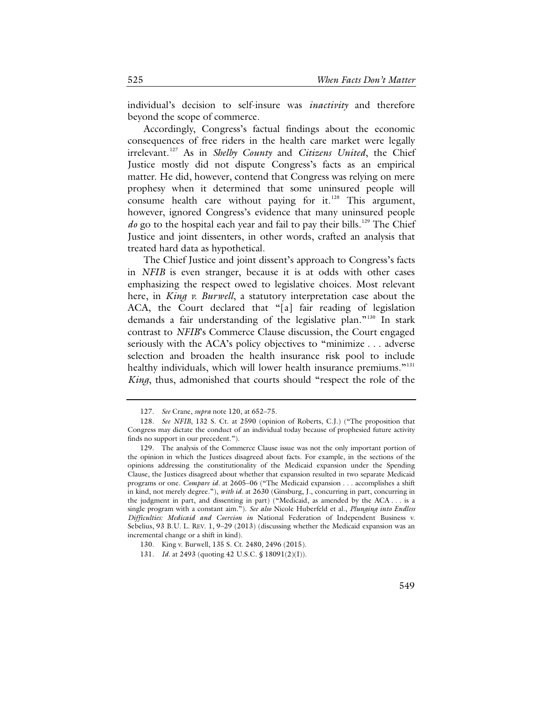individual's decision to self-insure was *inactivity* and therefore beyond the scope of commerce.

Accordingly, Congress's factual findings about the economic consequences of free riders in the health care market were legally irrelevant.[127](#page-26-0) As in *Shelby County* and *Citizens United*, the Chief Justice mostly did not dispute Congress's facts as an empirical matter. He did, however, contend that Congress was relying on mere prophesy when it determined that some uninsured people will consume health care without paying for it.<sup>[128](#page-26-1)</sup> This argument, however, ignored Congress's evidence that many uninsured people *do* go to the hospital each year and fail to pay their bills.<sup>[129](#page-26-2)</sup> The Chief Justice and joint dissenters, in other words, crafted an analysis that treated hard data as hypothetical.

The Chief Justice and joint dissent's approach to Congress's facts in *NFIB* is even stranger, because it is at odds with other cases emphasizing the respect owed to legislative choices. Most relevant here, in *King v. Burwell*, a statutory interpretation case about the ACA, the Court declared that "[a] fair reading of legislation demands a fair understanding of the legislative plan."<sup>[130](#page-26-3)</sup> In stark contrast to *NFIB*'s Commerce Clause discussion, the Court engaged seriously with the ACA's policy objectives to "minimize . . . adverse selection and broaden the health insurance risk pool to include healthy individuals, which will lower health insurance premiums."<sup>[131](#page-26-4)</sup> *King*, thus, admonished that courts should "respect the role of the

<sup>127.</sup> *See* Crane, *supra* not[e 120,](#page-24-7) at 652–75.

<span id="page-26-1"></span><span id="page-26-0"></span><sup>128.</sup> *See NFIB*, 132 S. Ct. at 2590 (opinion of Roberts, C.J.) ("The proposition that Congress may dictate the conduct of an individual today because of prophesied future activity finds no support in our precedent.").

<span id="page-26-2"></span><sup>129.</sup> The analysis of the Commerce Clause issue was not the only important portion of the opinion in which the Justices disagreed about facts. For example, in the sections of the opinions addressing the constitutionality of the Medicaid expansion under the Spending Clause, the Justices disagreed about whether that expansion resulted in two separate Medicaid programs or one. *Compare id.* at 2605–06 ("The Medicaid expansion . . . accomplishes a shift in kind, not merely degree."), *with id.* at 2630 (Ginsburg, J., concurring in part, concurring in the judgment in part, and dissenting in part) ("Medicaid, as amended by the ACA . . . is a single program with a constant aim."). *See also* Nicole Huberfeld et al., *Plunging into Endless Difficulties: Medicaid and Coercion in* National Federation of Independent Business v. Sebelius, 93 B.U. L. REV. 1, 9–29 (2013) (discussing whether the Medicaid expansion was an incremental change or a shift in kind).

<span id="page-26-3"></span><sup>130.</sup> King v. Burwell, 135 S. Ct. 2480, 2496 (2015).

<span id="page-26-4"></span><sup>131.</sup> *Id.* at 2493 (quoting 42 U.S.C. § 18091(2)(I)).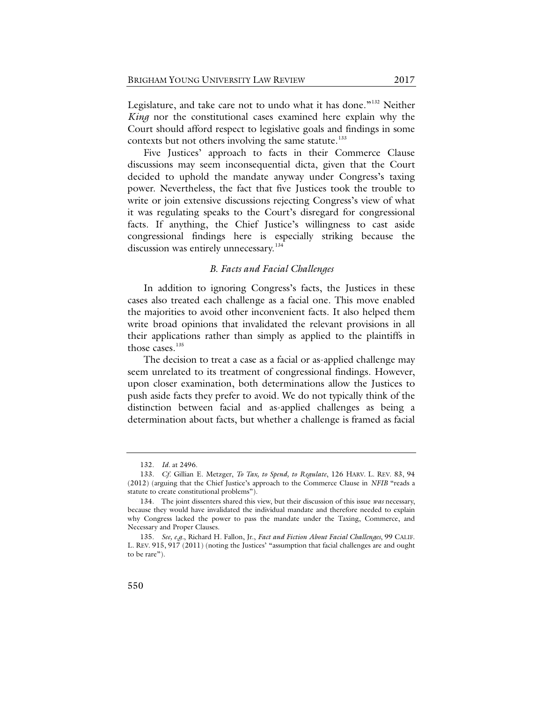Legislature, and take care not to undo what it has done."<sup>[132](#page-27-0)</sup> Neither *King* nor the constitutional cases examined here explain why the Court should afford respect to legislative goals and findings in some contexts but not others involving the same statute.<sup>[133](#page-27-1)</sup>

Five Justices' approach to facts in their Commerce Clause discussions may seem inconsequential dicta, given that the Court decided to uphold the mandate anyway under Congress's taxing power. Nevertheless, the fact that five Justices took the trouble to write or join extensive discussions rejecting Congress's view of what it was regulating speaks to the Court's disregard for congressional facts. If anything, the Chief Justice's willingness to cast aside congressional findings here is especially striking because the discussion was entirely unnecessary.<sup>[134](#page-27-2)</sup>

#### <span id="page-27-5"></span>*B. Facts and Facial Challenges*

In addition to ignoring Congress's facts, the Justices in these cases also treated each challenge as a facial one. This move enabled the majorities to avoid other inconvenient facts. It also helped them write broad opinions that invalidated the relevant provisions in all their applications rather than simply as applied to the plaintiffs in those cases. [135](#page-27-3)

<span id="page-27-4"></span>The decision to treat a case as a facial or as-applied challenge may seem unrelated to its treatment of congressional findings. However, upon closer examination, both determinations allow the Justices to push aside facts they prefer to avoid. We do not typically think of the distinction between facial and as-applied challenges as being a determination about facts, but whether a challenge is framed as facial

<sup>132.</sup> *Id.* at 2496.

<span id="page-27-1"></span><span id="page-27-0"></span><sup>133.</sup> *Cf.* Gillian E. Metzger, *To Tax, to Spend, to Regulate*, 126 HARV. L. REV. 83, 94 (2012) (arguing that the Chief Justice's approach to the Commerce Clause in *NFIB* "reads a statute to create constitutional problems").

<span id="page-27-2"></span><sup>134.</sup> The joint dissenters shared this view, but their discussion of this issue *was* necessary, because they would have invalidated the individual mandate and therefore needed to explain why Congress lacked the power to pass the mandate under the Taxing, Commerce, and Necessary and Proper Clauses.

<span id="page-27-3"></span><sup>135.</sup> *See, e.g.*, Richard H. Fallon, Jr., *Fact and Fiction About Facial Challenges*, 99 CALIF. L. REV. 915, 917 (2011) (noting the Justices' "assumption that facial challenges are and ought to be rare").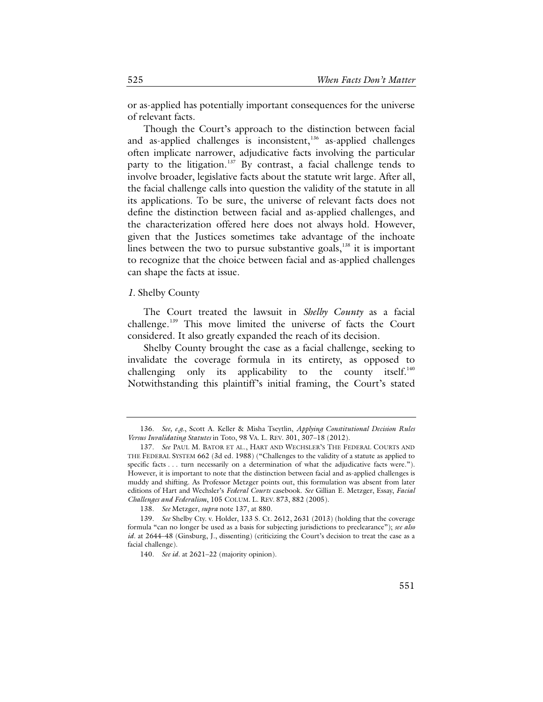or as-applied has potentially important consequences for the universe of relevant facts.

<span id="page-28-0"></span>Though the Court's approach to the distinction between facial and as-applied challenges is inconsistent,<sup>[136](#page-28-1)</sup> as-applied challenges often implicate narrower, adjudicative facts involving the particular party to the litigation.<sup>[137](#page-28-2)</sup> By contrast, a facial challenge tends to involve broader, legislative facts about the statute writ large. After all, the facial challenge calls into question the validity of the statute in all its applications. To be sure, the universe of relevant facts does not define the distinction between facial and as-applied challenges, and the characterization offered here does not always hold. However, given that the Justices sometimes take advantage of the inchoate lines between the two to pursue substantive goals,  $138$  it is important to recognize that the choice between facial and as-applied challenges can shape the facts at issue.

#### *1.* Shelby County

The Court treated the lawsuit in *Shelby County* as a facial challenge[.139](#page-28-4) This move limited the universe of facts the Court considered. It also greatly expanded the reach of its decision.

Shelby County brought the case as a facial challenge, seeking to invalidate the coverage formula in its entirety, as opposed to challenging only its applicability to the county itself.<sup>[140](#page-28-5)</sup> Notwithstanding this plaintiff's initial framing, the Court's stated

<sup>136.</sup> *See, e.g.*, Scott A. Keller & Misha Tseytlin, *Applying Constitutional Decision Rules Versus Invalidating Statutes* in Toto, 98 VA. L. REV. 301, 307–18 (2012).

<span id="page-28-2"></span><span id="page-28-1"></span><sup>137.</sup> *See* PAUL M. BATOR ET AL., HART AND WECHSLER'S THE FEDERAL COURTS AND THE FEDERAL SYSTEM 662 (3d ed. 1988) ("Challenges to the validity of a statute as applied to specific facts . . . turn necessarily on a determination of what the adjudicative facts were."). However, it is important to note that the distinction between facial and as-applied challenges is muddy and shifting. As Professor Metzger points out, this formulation was absent from later editions of Hart and Wechsler's *Federal Courts* casebook. *See* Gillian E. Metzger, Essay, *Facial Challenges and Federalism*, 105 COLUM. L. REV. 873, 882 (2005).

<sup>138.</sup> *See* Metzger, *supra* not[e 137,](#page-28-0) at 880.

<span id="page-28-5"></span><span id="page-28-4"></span><span id="page-28-3"></span><sup>139.</sup> *See* Shelby Cty. v. Holder, 133 S. Ct. 2612, 2631 (2013) (holding that the coverage formula "can no longer be used as a basis for subjecting jurisdictions to preclearance"); *see also id.* at 2644–48 (Ginsburg, J., dissenting) (criticizing the Court's decision to treat the case as a facial challenge).

<sup>140.</sup> *See id.* at 2621–22 (majority opinion).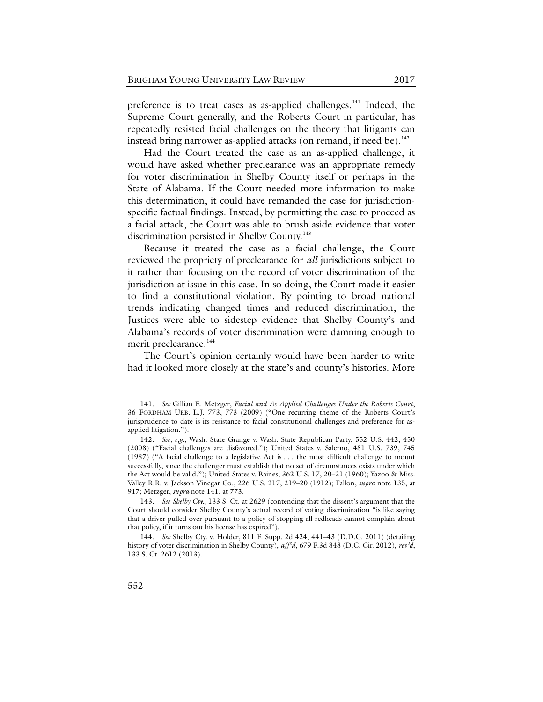<span id="page-29-0"></span>preference is to treat cases as as-applied challenges.<sup>[141](#page-29-1)</sup> Indeed, the Supreme Court generally, and the Roberts Court in particular, has repeatedly resisted facial challenges on the theory that litigants can instead bring narrower as-applied attacks (on remand, if need be). [142](#page-29-2)

Had the Court treated the case as an as-applied challenge, it would have asked whether preclearance was an appropriate remedy for voter discrimination in Shelby County itself or perhaps in the State of Alabama. If the Court needed more information to make this determination, it could have remanded the case for jurisdictionspecific factual findings. Instead, by permitting the case to proceed as a facial attack, the Court was able to brush aside evidence that voter discrimination persisted in Shelby County.<sup>[143](#page-29-3)</sup>

Because it treated the case as a facial challenge, the Court reviewed the propriety of preclearance for *all* jurisdictions subject to it rather than focusing on the record of voter discrimination of the jurisdiction at issue in this case. In so doing, the Court made it easier to find a constitutional violation. By pointing to broad national trends indicating changed times and reduced discrimination, the Justices were able to sidestep evidence that Shelby County's and Alabama's records of voter discrimination were damning enough to merit preclearance.<sup>[144](#page-29-4)</sup>

The Court's opinion certainly would have been harder to write had it looked more closely at the state's and county's histories. More

<span id="page-29-1"></span><sup>141.</sup> *See* Gillian E. Metzger, *Facial and As-Applied Challenges Under the Roberts Court*, 36 FORDHAM URB. L.J. 773, 773 (2009) ("One recurring theme of the Roberts Court's jurisprudence to date is its resistance to facial constitutional challenges and preference for asapplied litigation.").

<span id="page-29-2"></span><sup>142.</sup> *See, e.g.*, Wash. State Grange v. Wash. State Republican Party, 552 U.S. 442, 450 (2008) ("Facial challenges are disfavored."); United States v. Salerno, 481 U.S. 739, 745 (1987) ("A facial challenge to a legislative Act is . . . the most difficult challenge to mount successfully, since the challenger must establish that no set of circumstances exists under which the Act would be valid."); United States v. Raines, 362 U.S. 17, 20–21 (1960); Yazoo & Miss. Valley R.R. v. Jackson Vinegar Co., 226 U.S. 217, 219–20 (1912); Fallon, *supra* not[e 135,](#page-27-4) at 917; Metzger, *supra* note [141,](#page-29-0) at 773.

<span id="page-29-3"></span><sup>143.</sup> *See Shelby Cty.*, 133 S. Ct. at 2629 (contending that the dissent's argument that the Court should consider Shelby County's actual record of voting discrimination "is like saying that a driver pulled over pursuant to a policy of stopping all redheads cannot complain about that policy, if it turns out his license has expired").

<span id="page-29-4"></span><sup>144.</sup> *See* Shelby Cty. v. Holder, 811 F. Supp. 2d 424, 441–43 (D.D.C. 2011) (detailing history of voter discrimination in Shelby County), *aff'd*, 679 F.3d 848 (D.C. Cir. 2012), *rev'd*, 133 S. Ct. 2612 (2013).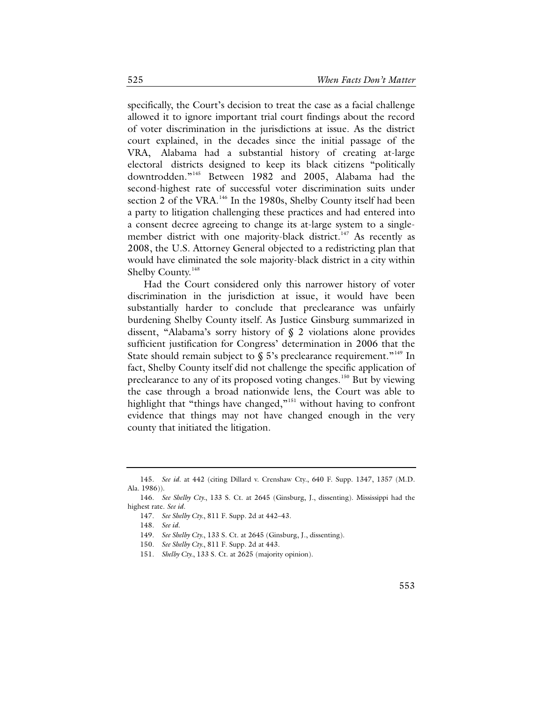specifically, the Court's decision to treat the case as a facial challenge allowed it to ignore important trial court findings about the record of voter discrimination in the jurisdictions at issue. As the district court explained, in the decades since the initial passage of the VRA, Alabama had a substantial history of creating at-large electoral districts designed to keep its black citizens "politically downtrodden."[145](#page-30-0) Between 1982 and 2005, Alabama had the second-highest rate of successful voter discrimination suits under section 2 of the VRA.<sup>[146](#page-30-1)</sup> In the 1980s, Shelby County itself had been a party to litigation challenging these practices and had entered into a consent decree agreeing to change its at-large system to a single-member district with one majority-black district.<sup>[147](#page-30-2)</sup> As recently as 2008, the U.S. Attorney General objected to a redistricting plan that would have eliminated the sole majority-black district in a city within Shelby County.<sup>[148](#page-30-3)</sup>

Had the Court considered only this narrower history of voter discrimination in the jurisdiction at issue, it would have been substantially harder to conclude that preclearance was unfairly burdening Shelby County itself. As Justice Ginsburg summarized in dissent, "Alabama's sorry history of § 2 violations alone provides sufficient justification for Congress' determination in 2006 that the State should remain subject to  $\S$  5's preclearance requirement."<sup>[149](#page-30-4)</sup> In fact, Shelby County itself did not challenge the specific application of preclearance to any of its proposed voting changes.<sup>[150](#page-30-5)</sup> But by viewing the case through a broad nationwide lens, the Court was able to highlight that "things have changed,"<sup>[151](#page-30-6)</sup> without having to confront evidence that things may not have changed enough in the very county that initiated the litigation.

<span id="page-30-0"></span><sup>145.</sup> *See id*. at 442 (citing Dillard v. Crenshaw Cty., 640 F. Supp. 1347, 1357 (M.D. Ala. 1986)).

<span id="page-30-6"></span><span id="page-30-5"></span><span id="page-30-4"></span><span id="page-30-3"></span><span id="page-30-2"></span><span id="page-30-1"></span><sup>146.</sup> *See Shelby Cty.*, 133 S. Ct. at 2645 (Ginsburg, J., dissenting). Mississippi had the highest rate. *See id.*

<sup>147.</sup> *See Shelby Cty.*, 811 F. Supp. 2d at 442–43.

<sup>148.</sup> *See id.*

<sup>149.</sup> *See Shelby Cty.*, 133 S. Ct. at 2645 (Ginsburg, J., dissenting).

<sup>150.</sup> *See Shelby Cty.*, 811 F. Supp. 2d at 443.

<sup>151.</sup> *Shelby Cty.*, 133 S. Ct. at 2625 (majority opinion).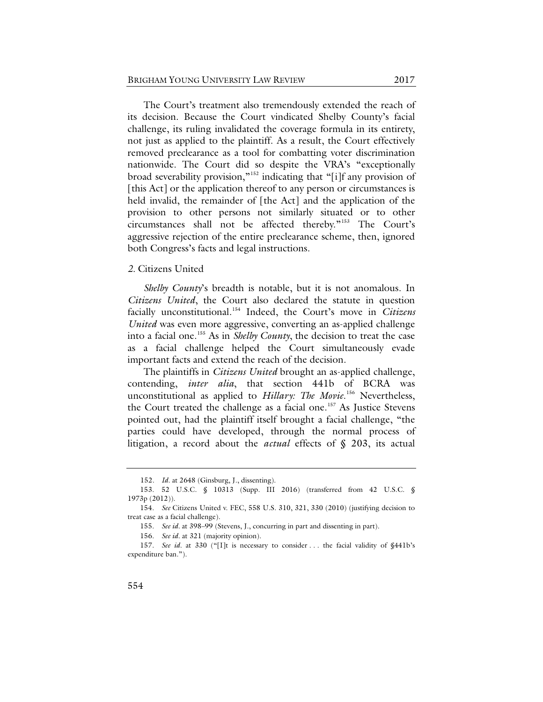The Court's treatment also tremendously extended the reach of its decision. Because the Court vindicated Shelby County's facial challenge, its ruling invalidated the coverage formula in its entirety, not just as applied to the plaintiff. As a result, the Court effectively removed preclearance as a tool for combatting voter discrimination nationwide. The Court did so despite the VRA's "exceptionally broad severability provision,"[152](#page-31-0) indicating that "[i]f any provision of [this Act] or the application thereof to any person or circumstances is held invalid, the remainder of [the Act] and the application of the provision to other persons not similarly situated or to other circumstances shall not be affected thereby."[153](#page-31-1) The Court's aggressive rejection of the entire preclearance scheme, then, ignored both Congress's facts and legal instructions.

#### *2.* Citizens United

*Shelby County*'s breadth is notable, but it is not anomalous. In *Citizens United*, the Court also declared the statute in question facially unconstitutional.[154](#page-31-2) Indeed, the Court's move in *Citizens United* was even more aggressive, converting an as-applied challenge into a facial one.[155](#page-31-3) As in *Shelby County*, the decision to treat the case as a facial challenge helped the Court simultaneously evade important facts and extend the reach of the decision.

The plaintiffs in *Citizens United* brought an as-applied challenge, contending, *inter alia*, that section 441b of BCRA was unconstitutional as applied to *Hillary: The Movie*. [156](#page-31-4) Nevertheless, the Court treated the challenge as a facial one.<sup>157</sup> As Justice Stevens pointed out, had the plaintiff itself brought a facial challenge, "the parties could have developed, through the normal process of litigation, a record about the *actual* effects of § 203, its actual

<sup>152</sup>*. Id.* at 2648 (Ginsburg, J., dissenting).

<span id="page-31-1"></span><span id="page-31-0"></span><sup>153.</sup> 52 U.S.C. § 10313 (Supp. III 2016) (transferred from 42 U.S.C. § 1973p (2012)).

<span id="page-31-3"></span><span id="page-31-2"></span><sup>154.</sup> *See* Citizens United v. FEC, 558 U.S. 310, 321, 330 (2010) (justifying decision to treat case as a facial challenge).

<sup>155.</sup> *See id.* at 398–99 (Stevens, J., concurring in part and dissenting in part).

<sup>156.</sup> *See id.* at 321 (majority opinion).

<span id="page-31-5"></span><span id="page-31-4"></span><sup>157.</sup> *See id.* at 330 ("[I]t is necessary to consider ... the facial validity of §441b's expenditure ban.").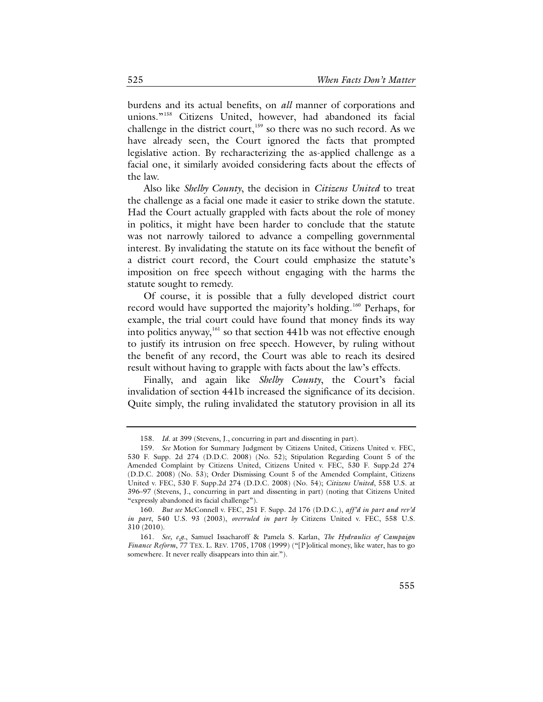burdens and its actual benefits, on *all* manner of corporations and unions."<sup>[158](#page-32-0)</sup> Citizens United, however, had abandoned its facial challenge in the district court,<sup>159</sup> so there was no such record. As we have already seen, the Court ignored the facts that prompted legislative action. By recharacterizing the as-applied challenge as a facial one, it similarly avoided considering facts about the effects of the law.

Also like *Shelby County*, the decision in *Citizens United* to treat the challenge as a facial one made it easier to strike down the statute. Had the Court actually grappled with facts about the role of money in politics, it might have been harder to conclude that the statute was not narrowly tailored to advance a compelling governmental interest. By invalidating the statute on its face without the benefit of a district court record, the Court could emphasize the statute's imposition on free speech without engaging with the harms the statute sought to remedy.

Of course, it is possible that a fully developed district court record would have supported the majority's holding.<sup>[160](#page-32-2)</sup> Perhaps, for example, the trial court could have found that money finds its way into politics anyway,<sup>[161](#page-32-3)</sup> so that section 441b was not effective enough to justify its intrusion on free speech. However, by ruling without the benefit of any record, the Court was able to reach its desired result without having to grapple with facts about the law's effects.

Finally, and again like *Shelby County*, the Court's facial invalidation of section 441b increased the significance of its decision. Quite simply, the ruling invalidated the statutory provision in all its

<sup>158.</sup> *Id*. at 399 (Stevens, J., concurring in part and dissenting in part).

<span id="page-32-1"></span><span id="page-32-0"></span><sup>159.</sup> *See* Motion for Summary Judgment by Citizens United, Citizens United v. FEC, 530 F. Supp. 2d 274 (D.D.C. 2008) (No. 52); Stipulation Regarding Count 5 of the Amended Complaint by Citizens United, Citizens United v. FEC, 530 F. Supp.2d 274 (D.D.C. 2008) (No. 53); Order Dismissing Count 5 of the Amended Complaint, Citizens United v. FEC, 530 F. Supp.2d 274 (D.D.C. 2008) (No. 54); *Citizens United*, 558 U.S. at 396–97 (Stevens, J., concurring in part and dissenting in part) (noting that Citizens United "expressly abandoned its facial challenge").

<span id="page-32-2"></span><sup>160.</sup> *But see* McConnell v. FEC, 251 F. Supp. 2d 176 (D.D.C.), *aff'd in part and rev'd in part*, 540 U.S. 93 (2003), *overruled in part by* Citizens United v. FEC, 558 U.S. 310 (2010).

<span id="page-32-3"></span><sup>161.</sup> *See, e.g.*, Samuel Issacharoff & Pamela S. Karlan, *The Hydraulics of Campaign Finance Reform*, 77 TEX. L. REV. 1705, 1708 (1999) ("[P]olitical money, like water, has to go somewhere. It never really disappears into thin air.").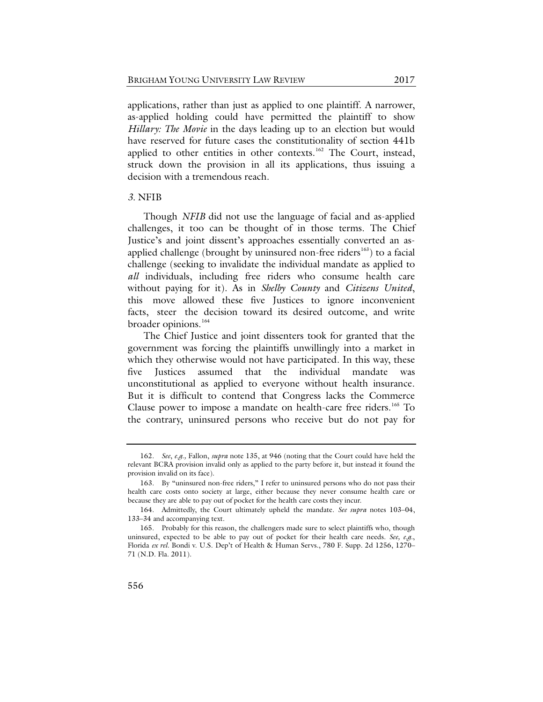applications, rather than just as applied to one plaintiff. A narrower, as-applied holding could have permitted the plaintiff to show *Hillary: The Movie* in the days leading up to an election but would have reserved for future cases the constitutionality of section 441b applied to other entities in other contexts.<sup>[162](#page-33-0)</sup> The Court, instead, struck down the provision in all its applications, thus issuing a decision with a tremendous reach.

#### *3.* NFIB

Though *NFIB* did not use the language of facial and as-applied challenges, it too can be thought of in those terms. The Chief Justice's and joint dissent's approaches essentially converted an as-applied challenge (brought by uninsured non-free riders<sup>[163](#page-33-1)</sup>) to a facial challenge (seeking to invalidate the individual mandate as applied to *all* individuals, including free riders who consume health care without paying for it). As in *Shelby County* and *Citizens United*, this move allowed these five Justices to ignore inconvenient facts, steer the decision toward its desired outcome, and write broader opinions. [164](#page-33-2)

The Chief Justice and joint dissenters took for granted that the government was forcing the plaintiffs unwillingly into a market in which they otherwise would not have participated. In this way, these five Justices assumed that the individual mandate was unconstitutional as applied to everyone without health insurance. But it is difficult to contend that Congress lacks the Commerce Clause power to impose a mandate on health-care free riders.<sup>165</sup> To the contrary, uninsured persons who receive but do not pay for

<span id="page-33-0"></span><sup>162.</sup> *See*, *e.g*.*,* Fallon, *supra* note [135,](#page-27-4) at 946 (noting that the Court could have held the relevant BCRA provision invalid only as applied to the party before it, but instead it found the provision invalid on its face).

<span id="page-33-1"></span><sup>163.</sup> By "uninsured non-free riders," I refer to uninsured persons who do not pass their health care costs onto society at large, either because they never consume health care or because they are able to pay out of pocket for the health care costs they incur.

<span id="page-33-2"></span><sup>164.</sup> Admittedly, the Court ultimately upheld the mandate. *See supra* notes [103–](#page-22-7)04, [133–](#page-27-5)34 and accompanying text.

<span id="page-33-3"></span><sup>165.</sup> Probably for this reason, the challengers made sure to select plaintiffs who, though uninsured, expected to be able to pay out of pocket for their health care needs. *See, e.g.*, Florida *ex rel.* Bondi v. U.S. Dep't of Health & Human Servs., 780 F. Supp. 2d 1256, 1270– 71 (N.D. Fla. 2011).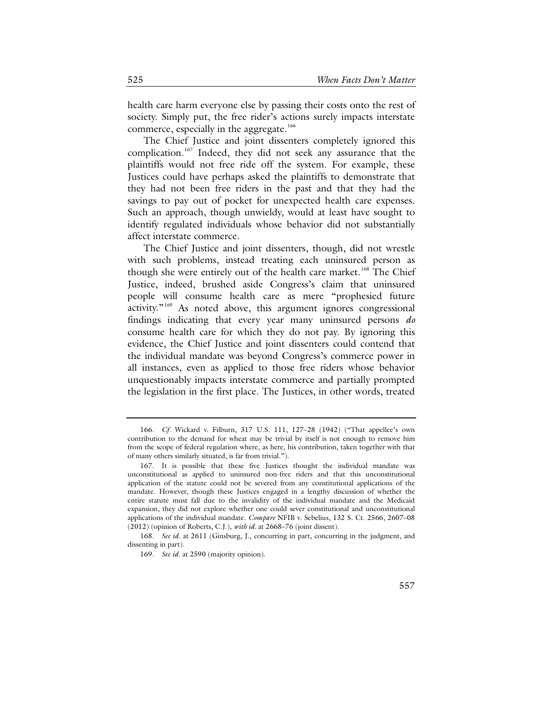health care harm everyone else by passing their costs onto the rest of society. Simply put, the free rider's actions surely impacts interstate commerce, especially in the aggregate.<sup>[166](#page-34-0)</sup>

The Chief Justice and joint dissenters completely ignored this complication.<sup>[167](#page-34-1)</sup> Indeed, they did not seek any assurance that the plaintiffs would not free ride off the system. For example, these Justices could have perhaps asked the plaintiffs to demonstrate that they had not been free riders in the past and that they had the savings to pay out of pocket for unexpected health care expenses. Such an approach, though unwieldy, would at least have sought to identify regulated individuals whose behavior did not substantially affect interstate commerce.

The Chief Justice and joint dissenters, though, did not wrestle with such problems, instead treating each uninsured person as though she were entirely out of the health care market.<sup>[168](#page-34-2)</sup> The Chief Justice, indeed, brushed aside Congress's claim that uninsured people will consume health care as mere "prophesied future activity."[169](#page-34-3) As noted above, this argument ignores congressional findings indicating that every year many uninsured persons *do* consume health care for which they do not pay. By ignoring this evidence, the Chief Justice and joint dissenters could contend that the individual mandate was beyond Congress's commerce power in all instances, even as applied to those free riders whose behavior unquestionably impacts interstate commerce and partially prompted the legislation in the first place. The Justices, in other words, treated

<span id="page-34-0"></span><sup>166.</sup> *Cf*. Wickard v. Filburn, 317 U.S. 111, 127–28 (1942) ("That appellee's own contribution to the demand for wheat may be trivial by itself is not enough to remove him from the scope of federal regulation where, as here, his contribution, taken together with that of many others similarly situated, is far from trivial.").

<span id="page-34-1"></span><sup>167.</sup> It is possible that these five Justices thought the individual mandate was unconstitutional as applied to uninsured non-free riders and that this unconstitutional application of the statute could not be severed from any constitutional applications of the mandate. However, though these Justices engaged in a lengthy discussion of whether the entire statute must fall due to the invalidity of the individual mandate and the Medicaid expansion, they did not explore whether one could sever constitutional and unconstitutional applications of the individual mandate. *Compare* NFIB v. Sebelius, 132 S. Ct. 2566, 2607–08 (2012) (opinion of Roberts, C.J.), *with id.* at 2668–76 (joint dissent).

<span id="page-34-3"></span><span id="page-34-2"></span><sup>168.</sup> *See id.* at 2611 (Ginsburg, J., concurring in part, concurring in the judgment, and dissenting in part).

<sup>169.</sup> *See id*. at 2590 (majority opinion).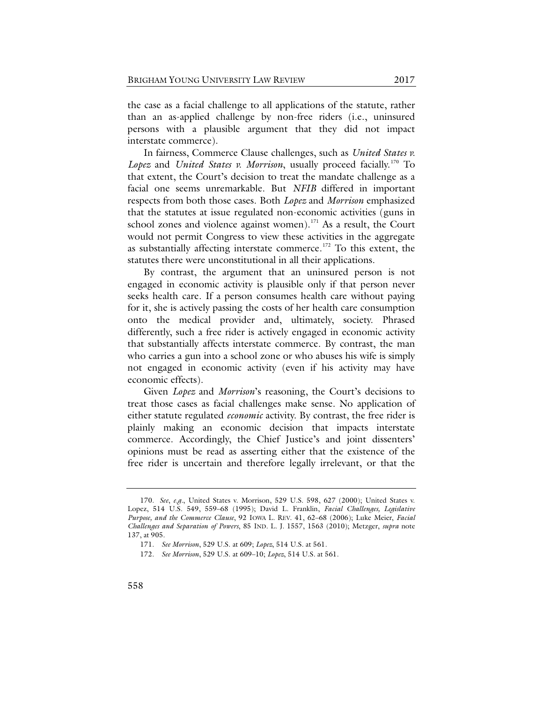the case as a facial challenge to all applications of the statute, rather than an as-applied challenge by non-free riders (i.e., uninsured persons with a plausible argument that they did not impact interstate commerce).

In fairness, Commerce Clause challenges, such as *United States v.*  Lopez and *United States v. Morrison*, usually proceed facially.<sup>[170](#page-35-0)</sup> To that extent, the Court's decision to treat the mandate challenge as a facial one seems unremarkable. But *NFIB* differed in important respects from both those cases. Both *Lopez* and *Morrison* emphasized that the statutes at issue regulated non-economic activities (guns in school zones and violence against women).<sup>171</sup> As a result, the Court would not permit Congress to view these activities in the aggregate as substantially affecting interstate commerce.<sup>[172](#page-35-2)</sup> To this extent, the statutes there were unconstitutional in all their applications.

By contrast, the argument that an uninsured person is not engaged in economic activity is plausible only if that person never seeks health care. If a person consumes health care without paying for it, she is actively passing the costs of her health care consumption onto the medical provider and, ultimately, society. Phrased differently, such a free rider is actively engaged in economic activity that substantially affects interstate commerce. By contrast, the man who carries a gun into a school zone or who abuses his wife is simply not engaged in economic activity (even if his activity may have economic effects).

Given *Lopez* and *Morrison*'s reasoning, the Court's decisions to treat those cases as facial challenges make sense. No application of either statute regulated *economic* activity. By contrast, the free rider is plainly making an economic decision that impacts interstate commerce. Accordingly, the Chief Justice's and joint dissenters' opinions must be read as asserting either that the existence of the free rider is uncertain and therefore legally irrelevant, or that the

<span id="page-35-1"></span><span id="page-35-0"></span><sup>170.</sup> *See*, *e.g.*, United States v. Morrison, 529 U.S. 598, 627 (2000); United States v. Lopez, 514 U.S. 549, 559–68 (1995); David L. Franklin, *Facial Challenges, Legislative Purpose, and the Commerce Clause*, 92 IOWA L. REV. 41, 62–68 (2006); Luke Meier, *Facial Challenges and Separation of Powers*, 85 IND. L. J. 1557, 1563 (2010); Metzger, *supra* note [137,](#page-28-0) at 905.

<span id="page-35-2"></span><sup>171.</sup> *See Morrison*, 529 U.S. at 609; *Lopez*, 514 U.S. at 561.

<sup>172.</sup> *See Morrison*, 529 U.S. at 609–10; *Lopez*, 514 U.S. at 561.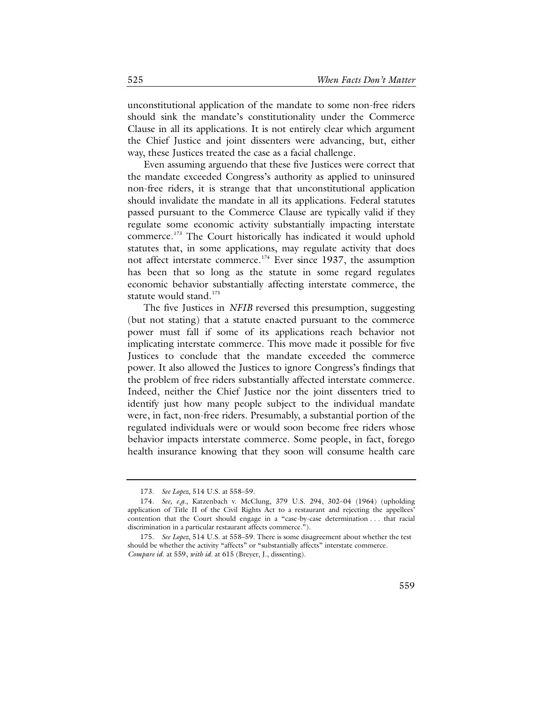unconstitutional application of the mandate to some non-free riders should sink the mandate's constitutionality under the Commerce Clause in all its applications. It is not entirely clear which argument the Chief Justice and joint dissenters were advancing, but, either way, these Justices treated the case as a facial challenge.

Even assuming arguendo that these five Justices were correct that the mandate exceeded Congress's authority as applied to uninsured non-free riders, it is strange that that unconstitutional application should invalidate the mandate in all its applications. Federal statutes passed pursuant to the Commerce Clause are typically valid if they regulate some economic activity substantially impacting interstate commerce.<sup>[173](#page-36-0)</sup> The Court historically has indicated it would uphold statutes that, in some applications, may regulate activity that does not affect interstate commerce.<sup>[174](#page-36-1)</sup> Ever since 1937, the assumption has been that so long as the statute in some regard regulates economic behavior substantially affecting interstate commerce, the statute would stand.<sup>[175](#page-36-2)</sup>

The five Justices in *NFIB* reversed this presumption, suggesting (but not stating) that a statute enacted pursuant to the commerce power must fall if some of its applications reach behavior not implicating interstate commerce. This move made it possible for five Justices to conclude that the mandate exceeded the commerce power. It also allowed the Justices to ignore Congress's findings that the problem of free riders substantially affected interstate commerce. Indeed, neither the Chief Justice nor the joint dissenters tried to identify just how many people subject to the individual mandate were, in fact, non-free riders. Presumably, a substantial portion of the regulated individuals were or would soon become free riders whose behavior impacts interstate commerce. Some people, in fact, forego health insurance knowing that they soon will consume health care

<sup>173.</sup> *See Lopez*, 514 U.S. at 558–59.

<span id="page-36-1"></span><span id="page-36-0"></span><sup>174.</sup> *See, e.g.*, Katzenbach v. McClung, 379 U.S. 294, 302–04 (1964) (upholding application of Title II of the Civil Rights Act to a restaurant and rejecting the appellees' contention that the Court should engage in a "case-by-case determination . . . that racial discrimination in a particular restaurant affects commerce.").

<span id="page-36-2"></span><sup>175.</sup> *See Lopez*, 514 U.S. at 558–59. There is some disagreement about whether the test should be whether the activity "affects" or "substantially affects" interstate commerce. *Compare id*. at 559, *with id.* at 615 (Breyer, J., dissenting).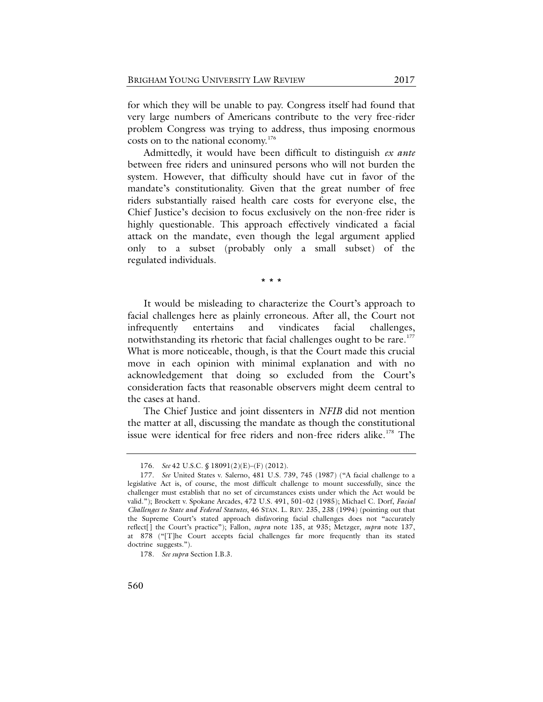for which they will be unable to pay. Congress itself had found that very large numbers of Americans contribute to the very free-rider problem Congress was trying to address, thus imposing enormous costs on to the national economy. [176](#page-37-0)

Admittedly, it would have been difficult to distinguish *ex ante* between free riders and uninsured persons who will not burden the system. However, that difficulty should have cut in favor of the mandate's constitutionality. Given that the great number of free riders substantially raised health care costs for everyone else, the Chief Justice's decision to focus exclusively on the non-free rider is highly questionable. This approach effectively vindicated a facial attack on the mandate, even though the legal argument applied only to a subset (probably only a small subset) of the regulated individuals.

\* \* \*

It would be misleading to characterize the Court's approach to facial challenges here as plainly erroneous. After all, the Court not infrequently entertains and vindicates facial challenges, notwithstanding its rhetoric that facial challenges ought to be rare.<sup>[177](#page-37-1)</sup> What is more noticeable, though, is that the Court made this crucial move in each opinion with minimal explanation and with no acknowledgement that doing so excluded from the Court's consideration facts that reasonable observers might deem central to the cases at hand.

The Chief Justice and joint dissenters in *NFIB* did not mention the matter at all, discussing the mandate as though the constitutional issue were identical for free riders and non-free riders alike.<sup>[178](#page-37-2)</sup> The

<sup>176.</sup> *See* 42 U.S.C. § 18091(2)(E)–(F) (2012).

<span id="page-37-1"></span><span id="page-37-0"></span><sup>177.</sup> *See* United States v. Salerno, 481 U.S. 739, 745 (1987) ("A facial challenge to a legislative Act is, of course, the most difficult challenge to mount successfully, since the challenger must establish that no set of circumstances exists under which the Act would be valid."); Brockett v. Spokane Arcades, 472 U.S. 491, 501–02 (1985); Michael C. Dorf, *Facial Challenges to State and Federal Statutes*, 46 STAN. L. REV. 235, 238 (1994) (pointing out that the Supreme Court's stated approach disfavoring facial challenges does not "accurately reflect[] the Court's practice"); Fallon, *supra* note [135,](#page-27-0) at 935; Metzger, *supra* note [137,](#page-28-0) at 878 ("[T]he Court accepts facial challenges far more frequently than its stated doctrine suggests.").

<span id="page-37-2"></span><sup>178.</sup> *See supra* Section I.B.3.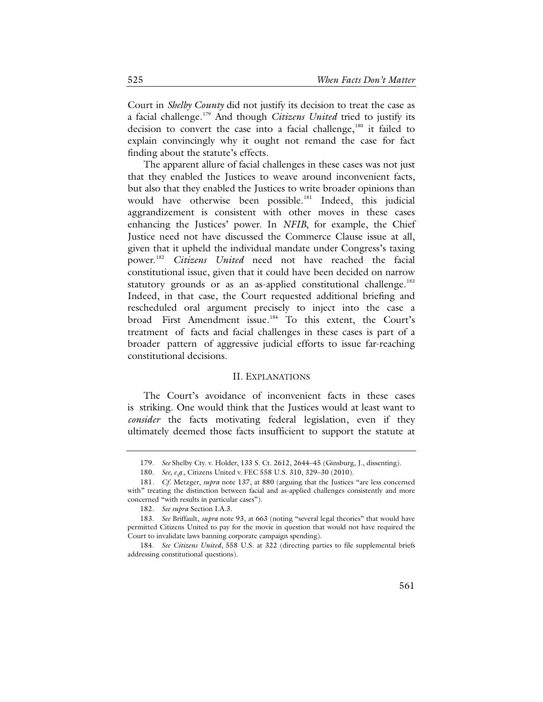Court in *Shelby County* did not justify its decision to treat the case as a facial challenge.[179](#page-38-0) And though *Citizens United* tried to justify its decision to convert the case into a facial challenge, $180$  it failed to explain convincingly why it ought not remand the case for fact finding about the statute's effects.

The apparent allure of facial challenges in these cases was not just that they enabled the Justices to weave around inconvenient facts, but also that they enabled the Justices to write broader opinions than would have otherwise been possible.<sup>[181](#page-38-2)</sup> Indeed, this judicial aggrandizement is consistent with other moves in these cases enhancing the Justices' power. In *NFIB*, for example, the Chief Justice need not have discussed the Commerce Clause issue at all, given that it upheld the individual mandate under Congress's taxing power.[182](#page-38-3) *Citizens United* need not have reached the facial constitutional issue, given that it could have been decided on narrow statutory grounds or as an as-applied constitutional challenge.<sup>[183](#page-38-4)</sup> Indeed, in that case, the Court requested additional briefing and rescheduled oral argument precisely to inject into the case a broad First Amendment issue.<sup>[184](#page-38-5)</sup> To this extent, the Court's treatment of facts and facial challenges in these cases is part of a broader pattern of aggressive judicial efforts to issue far-reaching constitutional decisions.

# II. EXPLANATIONS

The Court's avoidance of inconvenient facts in these cases is striking. One would think that the Justices would at least want to *consider* the facts motivating federal legislation, even if they ultimately deemed those facts insufficient to support the statute at

<sup>179.</sup> *See* Shelby Cty. v. Holder, 133 S. Ct. 2612, 2644–45 (Ginsburg, J., dissenting).

<sup>180.</sup> *See, e.g.,* Citizens United v. FEC 558 U.S. 310, 329–30 (2010).

<span id="page-38-2"></span><span id="page-38-1"></span><span id="page-38-0"></span><sup>181.</sup> *Cf*. Metzger, *supra* note [137,](#page-28-0) at 880 (arguing that the Justices "are less concerned with" treating the distinction between facial and as-applied challenges consistently and more concerned "with results in particular cases").

<sup>182.</sup> *See supra* Section I.A.3.

<span id="page-38-4"></span><span id="page-38-3"></span><sup>183.</sup> *See* Briffault, *supra* note [93,](#page-20-0) at 663 (noting "several legal theories" that would have permitted Citizens United to pay for the movie in question that would not have required the Court to invalidate laws banning corporate campaign spending).

<span id="page-38-5"></span><sup>184.</sup> *See Citizens United*, 558 U.S. at 322 (directing parties to file supplemental briefs addressing constitutional questions).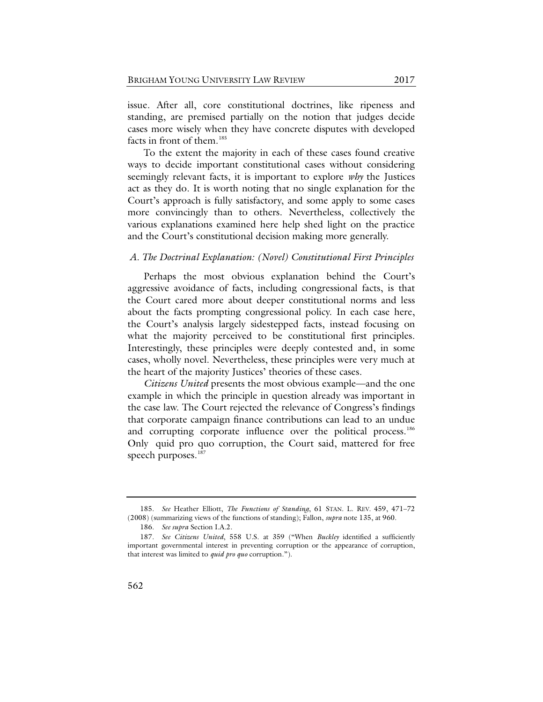issue. After all, core constitutional doctrines, like ripeness and standing, are premised partially on the notion that judges decide cases more wisely when they have concrete disputes with developed facts in front of them.<sup>[185](#page-39-0)</sup>

To the extent the majority in each of these cases found creative ways to decide important constitutional cases without considering seemingly relevant facts, it is important to explore *why* the Justices act as they do. It is worth noting that no single explanation for the Court's approach is fully satisfactory, and some apply to some cases more convincingly than to others. Nevertheless, collectively the various explanations examined here help shed light on the practice and the Court's constitutional decision making more generally.

### *A. The Doctrinal Explanation: (Novel) Constitutional First Principles*

Perhaps the most obvious explanation behind the Court's aggressive avoidance of facts, including congressional facts, is that the Court cared more about deeper constitutional norms and less about the facts prompting congressional policy. In each case here, the Court's analysis largely sidestepped facts, instead focusing on what the majority perceived to be constitutional first principles. Interestingly, these principles were deeply contested and, in some cases, wholly novel. Nevertheless, these principles were very much at the heart of the majority Justices' theories of these cases.

*Citizens United* presents the most obvious example—and the one example in which the principle in question already was important in the case law. The Court rejected the relevance of Congress's findings that corporate campaign finance contributions can lead to an undue and corrupting corporate influence over the political process.<sup>[186](#page-39-1)</sup> Only quid pro quo corruption, the Court said, mattered for free speech purposes.<sup>[187](#page-39-2)</sup>

<span id="page-39-0"></span><sup>185.</sup> *See* Heather Elliott, *The Functions of Standing*, 61 STAN. L. REV. 459, 471–72 (2008) (summarizing views of the functions of standing); Fallon, *supra* not[e 135,](#page-27-0) at 960.

<sup>186.</sup> *See supra* Section I.A.2.

<span id="page-39-2"></span><span id="page-39-1"></span><sup>187.</sup> *See Citizens United*, 558 U.S. at 359 ("When *Buckley* identified a sufficiently important governmental interest in preventing corruption or the appearance of corruption, that interest was limited to *quid pro quo* corruption.").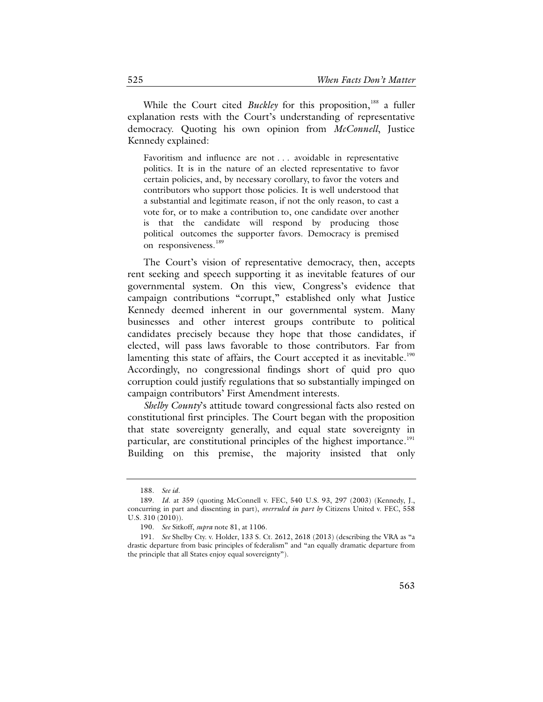While the Court cited *Buckley* for this proposition,<sup>[188](#page-40-0)</sup> a fuller explanation rests with the Court's understanding of representative democracy. Quoting his own opinion from *McConnell*, Justice Kennedy explained:

Favoritism and influence are not . . . avoidable in representative politics. It is in the nature of an elected representative to favor certain policies, and, by necessary corollary, to favor the voters and contributors who support those policies. It is well understood that a substantial and legitimate reason, if not the only reason, to cast a vote for, or to make a contribution to, one candidate over another is that the candidate will respond by producing those political outcomes the supporter favors. Democracy is premised on responsiveness.<sup>[189](#page-40-1)</sup>

The Court's vision of representative democracy, then, accepts rent seeking and speech supporting it as inevitable features of our governmental system. On this view, Congress's evidence that campaign contributions "corrupt," established only what Justice Kennedy deemed inherent in our governmental system. Many businesses and other interest groups contribute to political candidates precisely because they hope that those candidates, if elected, will pass laws favorable to those contributors. Far from lamenting this state of affairs, the Court accepted it as inevitable.<sup>[190](#page-40-2)</sup> Accordingly, no congressional findings short of quid pro quo corruption could justify regulations that so substantially impinged on campaign contributors' First Amendment interests.

*Shelby County*'s attitude toward congressional facts also rested on constitutional first principles. The Court began with the proposition that state sovereignty generally, and equal state sovereignty in particular, are constitutional principles of the highest importance.<sup>[191](#page-40-3)</sup> Building on this premise, the majority insisted that only

<sup>188.</sup> *See id*.

<span id="page-40-1"></span><span id="page-40-0"></span><sup>189.</sup> *Id*. at 359 (quoting McConnell v. FEC, 540 U.S. 93, 297 (2003) (Kennedy, J., concurring in part and dissenting in part), *overruled in part by* Citizens United v. FEC, 558 U.S. 310 (2010)).

<sup>190.</sup> *See* Sitkoff, *supra* not[e 81,](#page-18-0) at 1106.

<span id="page-40-3"></span><span id="page-40-2"></span><sup>191.</sup> *See* Shelby Cty. v. Holder, 133 S. Ct. 2612, 2618 (2013) (describing the VRA as "a drastic departure from basic principles of federalism" and "an equally dramatic departure from the principle that all States enjoy equal sovereignty").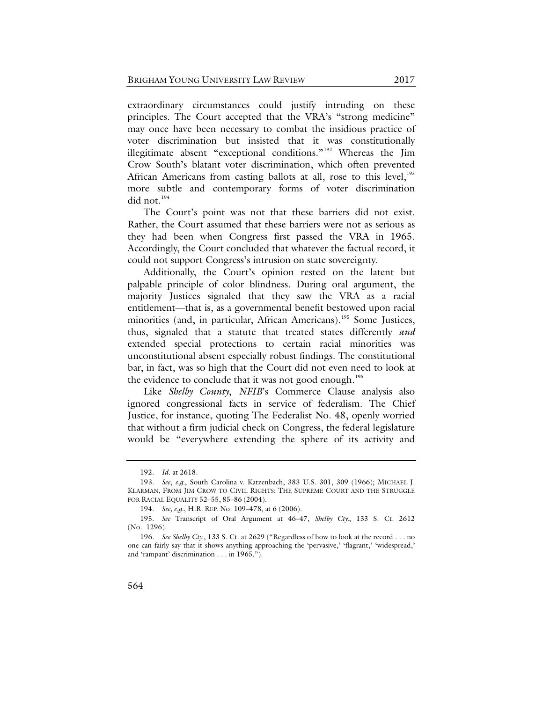extraordinary circumstances could justify intruding on these principles. The Court accepted that the VRA's "strong medicine" may once have been necessary to combat the insidious practice of voter discrimination but insisted that it was constitutionally illegitimate absent "exceptional conditions."[192](#page-41-0) Whereas the Jim Crow South's blatant voter discrimination, which often prevented African Americans from casting ballots at all, rose to this level, $193$ more subtle and contemporary forms of voter discrimination did not.<sup>[194](#page-41-2)</sup>

The Court's point was not that these barriers did not exist. Rather, the Court assumed that these barriers were not as serious as they had been when Congress first passed the VRA in 1965. Accordingly, the Court concluded that whatever the factual record, it could not support Congress's intrusion on state sovereignty.

Additionally, the Court's opinion rested on the latent but palpable principle of color blindness. During oral argument, the majority Justices signaled that they saw the VRA as a racial entitlement—that is, as a governmental benefit bestowed upon racial minorities (and, in particular, African Americans).<sup>[195](#page-41-3)</sup> Some Justices, thus, signaled that a statute that treated states differently *and* extended special protections to certain racial minorities was unconstitutional absent especially robust findings. The constitutional bar, in fact, was so high that the Court did not even need to look at the evidence to conclude that it was not good enough.<sup>[196](#page-41-4)</sup>

Like *Shelby County*, *NFIB*'s Commerce Clause analysis also ignored congressional facts in service of federalism. The Chief Justice, for instance, quoting The Federalist No. 48, openly worried that without a firm judicial check on Congress, the federal legislature would be "everywhere extending the sphere of its activity and

<sup>192.</sup> *Id*. at 2618.

<span id="page-41-1"></span><span id="page-41-0"></span><sup>193.</sup> *See*, *e.g.*, South Carolina v. Katzenbach, 383 U.S. 301, 309 (1966); MICHAEL J. KLARMAN, FROM JIM CROW TO CIVIL RIGHTS: THE SUPREME COURT AND THE STRUGGLE FOR RACIAL EQUALITY 52–55, 85–86 (2004).

<sup>194.</sup> *See, e.g.*, H.R. REP. No. 109–478, at 6 (2006).

<span id="page-41-3"></span><span id="page-41-2"></span><sup>195.</sup> *See* Transcript of Oral Argument at 46–47, *Shelby Cty.*, 133 S. Ct. 2612 (No. 1296).

<span id="page-41-4"></span><sup>196.</sup> *See Shelby Cty.*, 133 S. Ct. at 2629 ("Regardless of how to look at the record . . . no one can fairly say that it shows anything approaching the 'pervasive,' 'flagrant,' 'widespread,' and 'rampant' discrimination . . . in 1965.").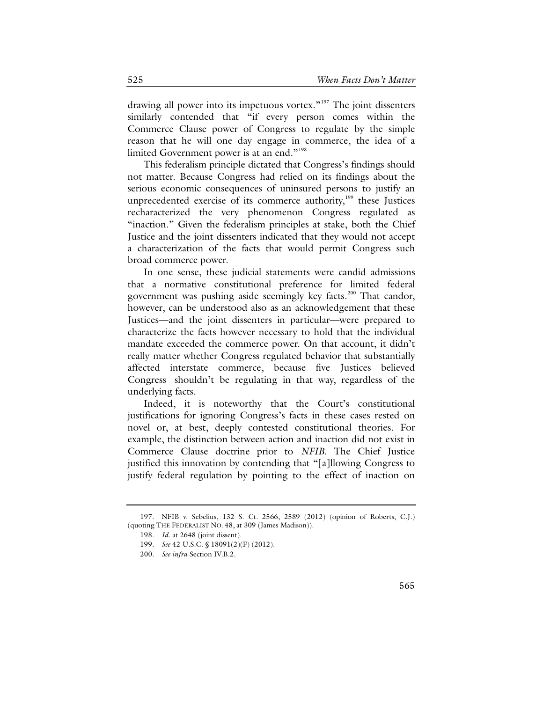drawing all power into its impetuous vortex."<sup>[197](#page-42-0)</sup> The joint dissenters similarly contended that "if every person comes within the Commerce Clause power of Congress to regulate by the simple reason that he will one day engage in commerce, the idea of a limited Government power is at an end."<sup>[198](#page-42-1)</sup>

This federalism principle dictated that Congress's findings should not matter. Because Congress had relied on its findings about the serious economic consequences of uninsured persons to justify an unprecedented exercise of its commerce authority,<sup>199</sup> these Justices recharacterized the very phenomenon Congress regulated as "inaction." Given the federalism principles at stake, both the Chief Justice and the joint dissenters indicated that they would not accept a characterization of the facts that would permit Congress such broad commerce power.

In one sense, these judicial statements were candid admissions that a normative constitutional preference for limited federal government was pushing aside seemingly key facts. [200](#page-42-3) That candor, however, can be understood also as an acknowledgement that these Justices—and the joint dissenters in particular—were prepared to characterize the facts however necessary to hold that the individual mandate exceeded the commerce power. On that account, it didn't really matter whether Congress regulated behavior that substantially affected interstate commerce, because five Justices believed Congress shouldn't be regulating in that way, regardless of the underlying facts.

Indeed, it is noteworthy that the Court's constitutional justifications for ignoring Congress's facts in these cases rested on novel or, at best, deeply contested constitutional theories. For example, the distinction between action and inaction did not exist in Commerce Clause doctrine prior to *NFIB*. The Chief Justice justified this innovation by contending that "[a]llowing Congress to justify federal regulation by pointing to the effect of inaction on

<span id="page-42-3"></span><span id="page-42-2"></span><span id="page-42-1"></span><span id="page-42-0"></span><sup>197.</sup> NFIB v. Sebelius, 132 S. Ct. 2566, 2589 (2012) (opinion of Roberts, C.J.) (quoting THE FEDERALIST NO. 48, at 309 (James Madison)).

<sup>198.</sup> *Id*. at 2648 (joint dissent).

<sup>199.</sup> *See* 42 U.S.C. § 18091(2)(F) (2012).

<sup>200.</sup> *See infra* Section IV.B.2.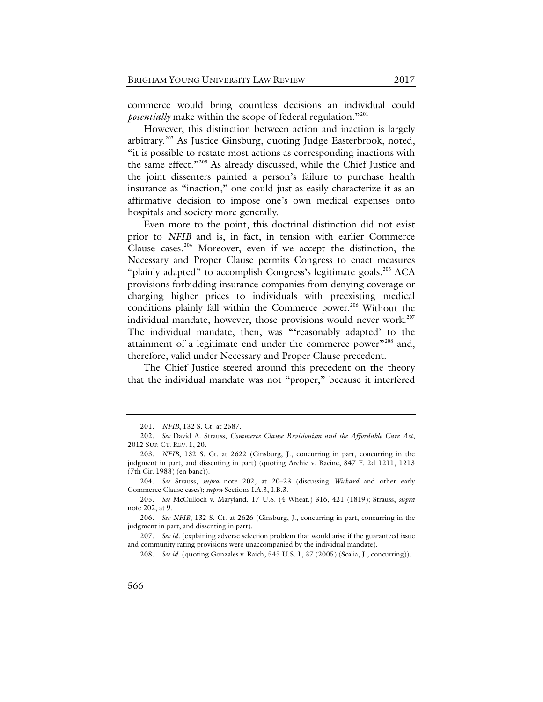<span id="page-43-9"></span>commerce would bring countless decisions an individual could *potentially* make within the scope of federal regulation."<sup>[201](#page-43-1)</sup>

<span id="page-43-0"></span>However, this distinction between action and inaction is largely arbitrary.<sup>[202](#page-43-2)</sup> As Justice Ginsburg, quoting Judge Easterbrook, noted, "it is possible to restate most actions as corresponding inactions with the same effect."<sup>[203](#page-43-3)</sup> As already discussed, while the Chief Justice and the joint dissenters painted a person's failure to purchase health insurance as "inaction," one could just as easily characterize it as an affirmative decision to impose one's own medical expenses onto hospitals and society more generally.

Even more to the point, this doctrinal distinction did not exist prior to *NFIB* and is, in fact, in tension with earlier Commerce Clause cases.<sup>[204](#page-43-4)</sup> Moreover, even if we accept the distinction, the Necessary and Proper Clause permits Congress to enact measures "plainly adapted" to accomplish Congress's legitimate goals.<sup>[205](#page-43-5)</sup> ACA provisions forbidding insurance companies from denying coverage or charging higher prices to individuals with preexisting medical conditions plainly fall within the Commerce power.<sup>[206](#page-43-6)</sup> Without the individual mandate, however, those provisions would never work.<sup>[207](#page-43-7)</sup> The individual mandate, then, was "'reasonably adapted' to the attainment of a legitimate end under the commerce power"<sup>[208](#page-43-8)</sup> and, therefore, valid under Necessary and Proper Clause precedent.

The Chief Justice steered around this precedent on the theory that the individual mandate was not "proper," because it interfered

<sup>201.</sup> *NFIB*, 132 S. Ct. at 2587.

<span id="page-43-2"></span><span id="page-43-1"></span><sup>202.</sup> *See* David A. Strauss, *Commerce Clause Revisionism and the Affordable Care Act*, 2012 SUP. CT. REV. 1, 20.

<span id="page-43-3"></span><sup>203.</sup> *NFIB*, 132 S. Ct. at 2622 (Ginsburg, J., concurring in part, concurring in the judgment in part, and dissenting in part) (quoting Archie v. Racine, 847 F. 2d 1211, 1213 (7th Cir. 1988) (en banc)).

<span id="page-43-4"></span><sup>204.</sup> *See* Strauss, *supra* note [202,](#page-43-0) at 20–23 (discussing *Wickard* and other early Commerce Clause cases); *supra* Sections I.A.3, I.B.3.

<span id="page-43-5"></span><sup>205.</sup> *See* McCulloch v. Maryland, 17 U.S. (4 Wheat.) 316, 421 (1819)*;* Strauss, *supra*  not[e 202,](#page-43-0) at 9.

<span id="page-43-6"></span><sup>206.</sup> *See NFIB*, 132 S. Ct. at 2626 (Ginsburg, J., concurring in part, concurring in the judgment in part, and dissenting in part).

<span id="page-43-8"></span><span id="page-43-7"></span><sup>207.</sup> *See id.* (explaining adverse selection problem that would arise if the guaranteed issue and community rating provisions were unaccompanied by the individual mandate).

<sup>208.</sup> *See id.* (quoting Gonzales v. Raich, 545 U.S. 1, 37 (2005) (Scalia, J., concurring)).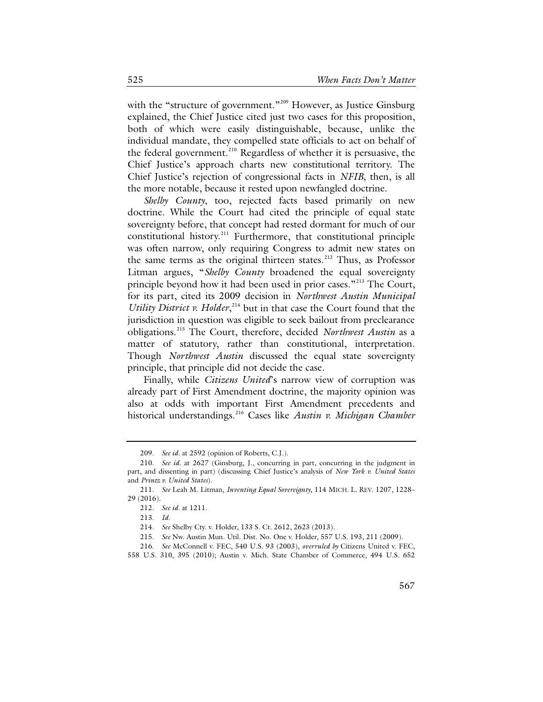with the "structure of government."<sup>[209](#page-44-0)</sup> However, as Justice Ginsburg explained, the Chief Justice cited just two cases for this proposition, both of which were easily distinguishable, because, unlike the individual mandate, they compelled state officials to act on behalf of the federal government.<sup>[210](#page-44-1)</sup> Regardless of whether it is persuasive, the Chief Justice's approach charts new constitutional territory. The Chief Justice's rejection of congressional facts in *NFIB*, then, is all the more notable, because it rested upon newfangled doctrine.

*Shelby County*, too, rejected facts based primarily on new doctrine. While the Court had cited the principle of equal state sovereignty before, that concept had rested dormant for much of our constitutional history.<sup>[211](#page-44-2)</sup> Furthermore, that constitutional principle was often narrow, only requiring Congress to admit new states on the same terms as the original thirteen states.<sup>[212](#page-44-3)</sup> Thus, as Professor Litman argues, "*Shelby County* broadened the equal sovereignty principle beyond how it had been used in prior cases."<sup>[213](#page-44-4)</sup> The Court, for its part, cited its 2009 decision in *Northwest Austin Municipal Utility District v. Holder*<sup>[214](#page-44-5)</sup> but in that case the Court found that the jurisdiction in question was eligible to seek bailout from preclearance obligations.[215](#page-44-6) The Court, therefore, decided *Northwest Austin* as a matter of statutory, rather than constitutional, interpretation. Though *Northwest Austin* discussed the equal state sovereignty principle, that principle did not decide the case.

Finally, while *Citizens United*'s narrow view of corruption was already part of First Amendment doctrine, the majority opinion was also at odds with important First Amendment precedents and historical understandings.[216](#page-44-7) Cases like *Austin v. Michigan Chamber* 

216. *See* McConnell v. FEC, 540 U.S. 93 (2003), *overruled by* Citizens United v. FEC,

<span id="page-44-8"></span><sup>209.</sup> *See id.* at 2592 (opinion of Roberts, C.J.).

<span id="page-44-1"></span><span id="page-44-0"></span><sup>210.</sup> *See id.* at 2627 (Ginsburg, J., concurring in part, concurring in the judgment in part, and dissenting in part) (discussing Chief Justice's analysis of *New York v. United States*  and *Printz v. United States*).

<span id="page-44-4"></span><span id="page-44-3"></span><span id="page-44-2"></span><sup>211.</sup> *See* Leah M. Litman, *Inventing Equal Sovereignty*, 114 MICH. L. REV. 1207, 1228– 29 (2016).

<sup>212.</sup> *See id.* at 1211.

<sup>213.</sup> *Id.*

<sup>214.</sup> *See* Shelby Cty. v. Holder, 133 S. Ct. 2612, 2623 (2013).

<sup>215.</sup> *See* Nw. Austin Mun. Util. Dist. No. One v. Holder, 557 U.S. 193, 211 (2009).

<span id="page-44-7"></span><span id="page-44-6"></span><span id="page-44-5"></span><sup>558</sup> U.S. 310, 395 (2010); Austin v. Mich. State Chamber of Commerce, 494 U.S. 652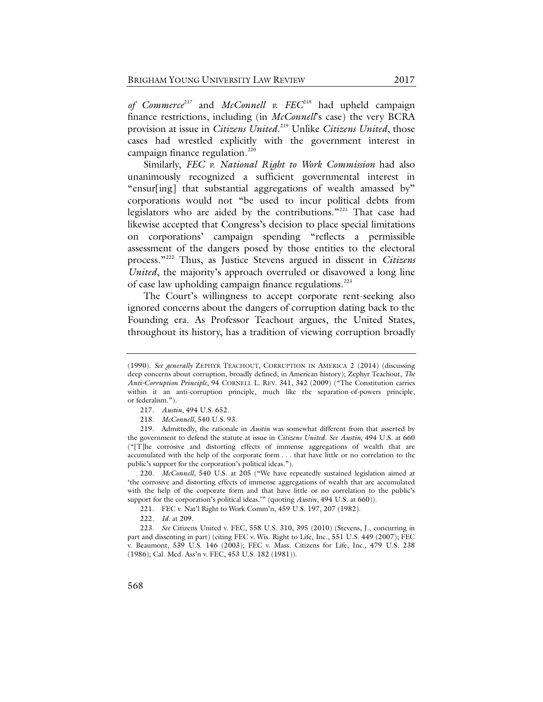*of Commerce*[217](#page-45-0) and *McConnell v. FEC*[218](#page-45-1) had upheld campaign finance restrictions, including (in *McConnell*'s case) the very BCRA provision at issue in *Citizens United*. [219](#page-45-2) Unlike *Citizens United*, those cases had wrestled explicitly with the government interest in campaign finance regulation.<sup>[220](#page-45-3)</sup>

Similarly, *FEC v. National Right to Work Commission* had also unanimously recognized a sufficient governmental interest in "ensur[ing] that substantial aggregations of wealth amassed by" corporations would not "be used to incur political debts from legislators who are aided by the contributions."<sup>[221](#page-45-4)</sup> That case had likewise accepted that Congress's decision to place special limitations on corporations' campaign spending "reflects a permissible assessment of the dangers posed by those entities to the electoral process."[222](#page-45-5) Thus, as Justice Stevens argued in dissent in *Citizens United*, the majority's approach overruled or disavowed a long line of case law upholding campaign finance regulations. $^{223}$  $^{223}$  $^{223}$ 

The Court's willingness to accept corporate rent-seeking also ignored concerns about the dangers of corruption dating back to the Founding era. As Professor Teachout argues, the United States, throughout its history, has a tradition of viewing corruption broadly

<sup>(1990).</sup> *See generally* ZEPHYR TEACHOUT, CORRUPTION IN AMERICA 2 (2014) (discussing deep concerns about corruption, broadly defined, in American history); Zephyr Teachout, *The Anti-Corruption Principle*, 94 CORNELL L. REV. 341, 342 (2009) ("The Constitution carries within it an anti-corruption principle, much like the separation-of-powers principle, or federalism.").

<sup>217.</sup> *Austin*, 494 U.S. 652.

<sup>218.</sup> *McConnell*, 540 U.S. 93.

<span id="page-45-2"></span><span id="page-45-1"></span><span id="page-45-0"></span><sup>219.</sup> Admittedly, the rationale in *Austin* was somewhat different from that asserted by the government to defend the statute at issue in *Citizens United*. *See Austin*, 494 U.S. at 660 ("[T]he corrosive and distorting effects of immense aggregations of wealth that are accumulated with the help of the corporate form . . . that have little or no correlation to the public's support for the corporation's political ideas.").

<span id="page-45-3"></span><sup>220.</sup> *McConnell*, 540 U.S. at 205 ("We have repeatedly sustained legislation aimed at 'the corrosive and distorting effects of immense aggregations of wealth that are accumulated with the help of the corporate form and that have little or no correlation to the public's support for the corporation's political ideas.'" (quoting *Austin*, 494 U.S. at 660)).

<sup>221.</sup> FEC v. Nat'l Right to Work Comm'n, 459 U.S. 197, 207 (1982).

<sup>222.</sup> *Id.* at 209.

<span id="page-45-6"></span><span id="page-45-5"></span><span id="page-45-4"></span><sup>223.</sup> *See* Citizens United v. FEC, 558 U.S. 310, 395 (2010) (Stevens, J., concurring in part and dissenting in part) (citing FEC v. Wis. Right to Life, Inc., 551 U.S. 449 (2007); FEC v. Beaumont, 539 U.S. 146 (2003); FEC v. Mass. Citizens for Life, Inc., 479 U.S. 238 (1986); Cal. Med. Ass'n v. FEC, 453 U.S. 182 (1981)).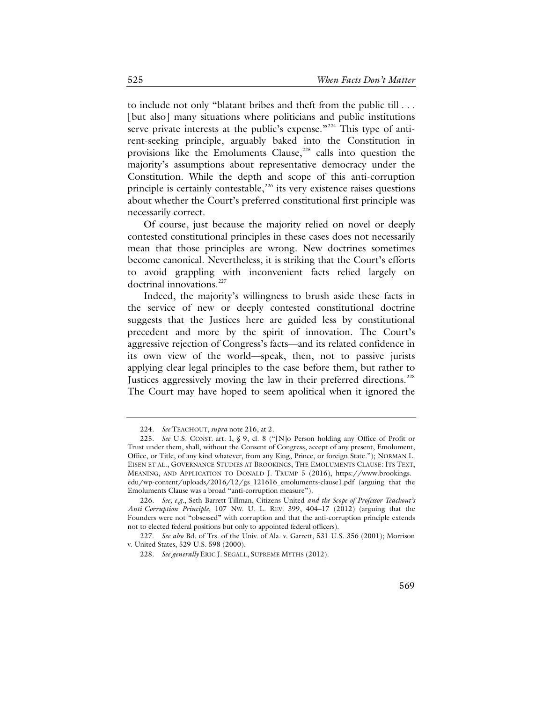to include not only "blatant bribes and theft from the public till . . . [but also] many situations where politicians and public institutions serve private interests at the public's expense."<sup>[224](#page-46-0)</sup> This type of antirent-seeking principle, arguably baked into the Constitution in provisions like the Emoluments Clause, $225$  calls into question the majority's assumptions about representative democracy under the Constitution. While the depth and scope of this anti-corruption principle is certainly contestable, $226$  its very existence raises questions about whether the Court's preferred constitutional first principle was necessarily correct.

Of course, just because the majority relied on novel or deeply contested constitutional principles in these cases does not necessarily mean that those principles are wrong. New doctrines sometimes become canonical. Nevertheless, it is striking that the Court's efforts to avoid grappling with inconvenient facts relied largely on doctrinal innovations.<sup>[227](#page-46-3)</sup>

<span id="page-46-6"></span>Indeed, the majority's willingness to brush aside these facts in the service of new or deeply contested constitutional doctrine suggests that the Justices here are guided less by constitutional precedent and more by the spirit of innovation. The Court's aggressive rejection of Congress's facts—and its related confidence in its own view of the world—speak, then, not to passive jurists applying clear legal principles to the case before them, but rather to Justices aggressively moving the law in their preferred directions.<sup>[228](#page-46-4)</sup> The Court may have hoped to seem apolitical when it ignored the

<span id="page-46-5"></span><sup>224.</sup> *See* TEACHOUT, *supra* note [216,](#page-44-8) at 2.

<span id="page-46-1"></span><span id="page-46-0"></span><sup>225.</sup> *See* U.S. CONST. art. I, § 9, cl. 8 ("[N]o Person holding any Office of Profit or Trust under them, shall, without the Consent of Congress, accept of any present, Emolument, Office, or Title, of any kind whatever, from any King, Prince, or foreign State."); NORMAN L. EISEN ET AL., GOVERNANCE STUDIES AT BROOKINGS, THE EMOLUMENTS CLAUSE: ITS TEXT, MEANING, AND APPLICATION TO DONALD J. TRUMP 5 (2016), https://www.brookings. edu/wp-content/uploads/2016/12/gs\_121616\_emoluments-clause1.pdf (arguing that the Emoluments Clause was a broad "anti-corruption measure").

<span id="page-46-2"></span><sup>226.</sup> *See, e.g.*, Seth Barrett Tillman, Citizens United *and the Scope of Professor Teachout's Anti-Corruption Principle*, 107 NW. U. L. REV. 399, 404–17 (2012) (arguing that the Founders were not "obsessed" with corruption and that the anti-corruption principle extends not to elected federal positions but only to appointed federal officers).

<span id="page-46-4"></span><span id="page-46-3"></span><sup>227.</sup> *See also* Bd. of Trs. of the Univ. of Ala. v. Garrett, 531 U.S. 356 (2001); Morrison v. United States, 529 U.S. 598 (2000).

<sup>228.</sup> *See generally* ERIC J. SEGALL, SUPREME MYTHS (2012).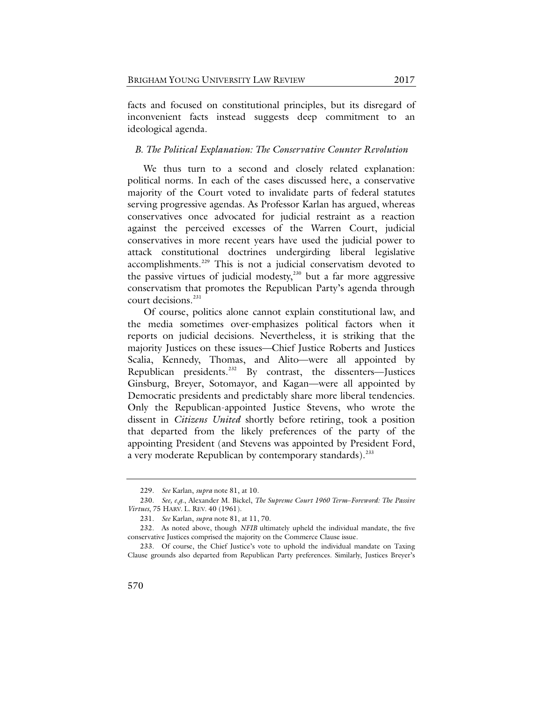facts and focused on constitutional principles, but its disregard of inconvenient facts instead suggests deep commitment to an ideological agenda.

### *B. The Political Explanation: The Conservative Counter Revolution*

We thus turn to a second and closely related explanation: political norms. In each of the cases discussed here, a conservative majority of the Court voted to invalidate parts of federal statutes serving progressive agendas. As Professor Karlan has argued, whereas conservatives once advocated for judicial restraint as a reaction against the perceived excesses of the Warren Court, judicial conservatives in more recent years have used the judicial power to attack constitutional doctrines undergirding liberal legislative accomplishments.<sup>229</sup> This is not a judicial conservatism devoted to the passive virtues of judicial modesty, $230$  but a far more aggressive conservatism that promotes the Republican Party's agenda through court decisions<sup>[231](#page-47-2)</sup>

Of course, politics alone cannot explain constitutional law, and the media sometimes over-emphasizes political factors when it reports on judicial decisions. Nevertheless, it is striking that the majority Justices on these issues—Chief Justice Roberts and Justices Scalia, Kennedy, Thomas, and Alito—were all appointed by Republican presidents.<sup>[232](#page-47-3)</sup> By contrast, the dissenters—Justices Ginsburg, Breyer, Sotomayor, and Kagan—were all appointed by Democratic presidents and predictably share more liberal tendencies. Only the Republican-appointed Justice Stevens, who wrote the dissent in *Citizens United* shortly before retiring, took a position that departed from the likely preferences of the party of the appointing President (and Stevens was appointed by President Ford, a very moderate Republican by contemporary standards).<sup>233</sup>

<sup>229.</sup> *See* Karlan, *supra* note [81,](#page-18-0) at 10.

<span id="page-47-1"></span><span id="page-47-0"></span><sup>230.</sup> *See, e.g*., Alexander M. Bickel, *The Supreme Court 1960 Term*–*Foreword: The Passive Virtues*, 75 HARV. L. REV. 40 (1961).

<sup>231.</sup> *See* Karlan, *supra* not[e 81,](#page-18-0) at 11, 70.

<span id="page-47-3"></span><span id="page-47-2"></span><sup>232.</sup> As noted above, though *NFIB* ultimately upheld the individual mandate, the five conservative Justices comprised the majority on the Commerce Clause issue.

<span id="page-47-4"></span><sup>233.</sup> Of course, the Chief Justice's vote to uphold the individual mandate on Taxing Clause grounds also departed from Republican Party preferences. Similarly, Justices Breyer's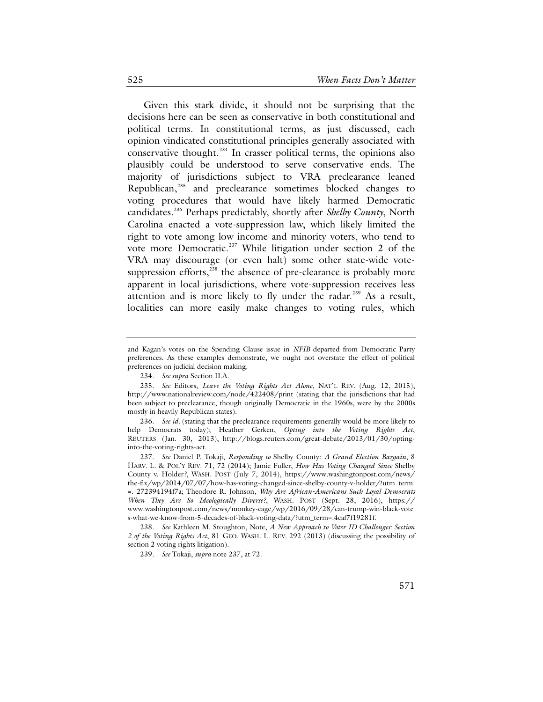Given this stark divide, it should not be surprising that the decisions here can be seen as conservative in both constitutional and political terms. In constitutional terms, as just discussed, each opinion vindicated constitutional principles generally associated with conservative thought.<sup>234</sup> In crasser political terms, the opinions also plausibly could be understood to serve conservative ends. The majority of jurisdictions subject to VRA preclearance leaned Republican,[235](#page-48-2) and preclearance sometimes blocked changes to voting procedures that would have likely harmed Democratic candidates.[236](#page-48-3) Perhaps predictably, shortly after *Shelby County*, North Carolina enacted a vote-suppression law, which likely limited the right to vote among low income and minority voters, who tend to vote more Democratic.<sup>[237](#page-48-4)</sup> While litigation under section 2 of the VRA may discourage (or even halt) some other state-wide votesuppression efforts, $238$  the absence of pre-clearance is probably more apparent in local jurisdictions, where vote-suppression receives less attention and is more likely to fly under the radar.<sup>[239](#page-48-6)</sup> As a result, localities can more easily make changes to voting rules, which

<span id="page-48-0"></span>and Kagan's votes on the Spending Clause issue in *NFIB* departed from Democratic Party preferences. As these examples demonstrate, we ought not overstate the effect of political preferences on judicial decision making.

<sup>234.</sup> *See supra* Section II.A.

<span id="page-48-2"></span><span id="page-48-1"></span><sup>235.</sup> *See* Editors, *Leave the Voting Rights Act Alone*, NAT'L REV. (Aug. 12, 2015), http://www.nationalreview.com/node/422408/print (stating that the jurisdictions that had been subject to preclearance, though originally Democratic in the 1960s, were by the 2000s mostly in heavily Republican states).

<span id="page-48-3"></span><sup>236.</sup> *See id.* (stating that the preclearance requirements generally would be more likely to help Democrats today); Heather Gerken, *Opting into the Voting Rights Act*, REUTERS (Jan. 30, 2013), http://blogs.reuters.com/great-debate/2013/01/30/optinginto-the-voting-rights-act.

<span id="page-48-4"></span><sup>237.</sup> *See* Daniel P. Tokaji, *Responding to* Shelby County: *A Grand Election Bargain*, 8 HARV. L. & POL'Y REV. 71, 72 (2014); Jamie Fuller, *How Has Voting Changed Since* Shelby County v. Holder*?*, WASH. POST (July 7, 2014), https://www.washingtonpost.com/news/ the-fix/wp/2014/07/07/how-has-voting-changed-since-shelby-county-v-holder/?utm\_term =. 272394194f7a; Theodore R. Johnson, *Why Are African-Americans Such Loyal Democrats When They Are So Ideologically Diverse?*, WASH. POST (Sept. 28, 2016), https:// www.washingtonpost.com/news/monkey-cage/wp/2016/09/28/can-trump-win-black-vote s-what-we-know-from-5-decades-of-black-voting-data/?utm\_term=.4caf7f19281f.

<span id="page-48-6"></span><span id="page-48-5"></span><sup>238.</sup> *See* Kathleen M. Stoughton, Note, *A New Approach to Voter ID Challenges: Section 2 of the Voting Rights Act*, 81 GEO. WASH. L. REV. 292 (2013) (discussing the possibility of section 2 voting rights litigation).

<sup>239.</sup> *See* Tokaji, *supra* note [237,](#page-48-0) at 72.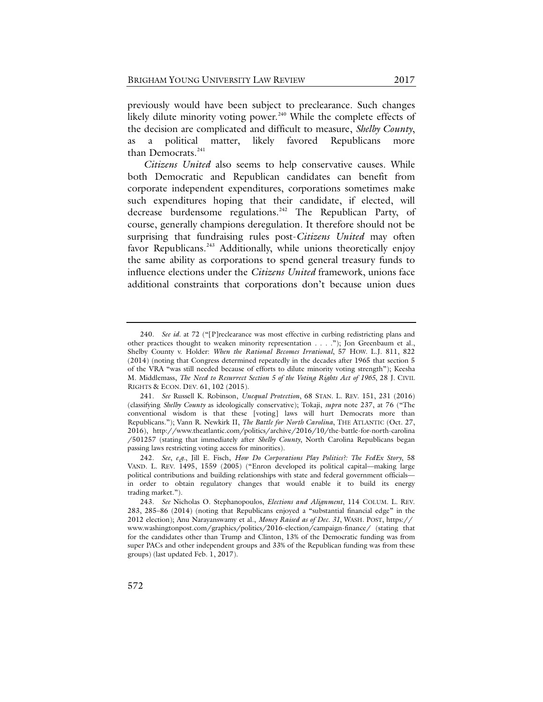previously would have been subject to preclearance. Such changes likely dilute minority voting power.<sup>[240](#page-49-0)</sup> While the complete effects of the decision are complicated and difficult to measure, *Shelby County*, as a political matter, likely favored Republicans more than Democrats.<sup>[241](#page-49-1)</sup>

*Citizens United* also seems to help conservative causes. While both Democratic and Republican candidates can benefit from corporate independent expenditures, corporations sometimes make such expenditures hoping that their candidate, if elected, will decrease burdensome regulations.<sup>[242](#page-49-2)</sup> The Republican Party, of course, generally champions deregulation. It therefore should not be surprising that fundraising rules post-*Citizens United* may often favor Republicans.<sup>[243](#page-49-3)</sup> Additionally, while unions theoretically enjoy the same ability as corporations to spend general treasury funds to influence elections under the *Citizens United* framework, unions face additional constraints that corporations don't because union dues

<span id="page-49-0"></span><sup>240.</sup> *See id.* at 72 ("[P]reclearance was most effective in curbing redistricting plans and other practices thought to weaken minority representation . . . ."); Jon Greenbaum et al., Shelby County v. Holder: *When the Rational Becomes Irrational*, 57 HOW. L.J. 811, 822 (2014) (noting that Congress determined repeatedly in the decades after 1965 that section 5 of the VRA "was still needed because of efforts to dilute minority voting strength"); Keesha M. Middlemass, *The Need to Resurrect Section 5 of the Voting Rights Act of 1965*, 28 J. CIVIL RIGHTS & ECON. DEV. 61, 102 (2015).

<span id="page-49-1"></span><sup>241.</sup> *See* Russell K. Robinson, *Unequal Protection*, 68 STAN. L. REV. 151, 231 (2016) (classifying *Shelby County* as ideologically conservative); Tokaji, *supra* note [237,](#page-48-0) at 76 ("The conventional wisdom is that these [voting] laws will hurt Democrats more than Republicans."); Vann R. Newkirk II, *The Battle for North Carolina*, THE ATLANTIC (Oct. 27, 2016), http://www.theatlantic.com/politics/archive/2016/10/the-battle-for-north-carolina /501257 (stating that immediately after *Shelby County*, North Carolina Republicans began passing laws restricting voting access for minorities).

<span id="page-49-2"></span><sup>242.</sup> *See*, *e.g.*, Jill E. Fisch, *How Do Corporations Play Politics?: The FedEx Story*, 58 VAND. L. REV. 1495, 1559 (2005) ("Enron developed its political capital—making large political contributions and building relationships with state and federal government officials in order to obtain regulatory changes that would enable it to build its energy trading market.").

<span id="page-49-3"></span><sup>243.</sup> *See* Nicholas O. Stephanopoulos, *Elections and Alignment*, 114 COLUM. L. REV. 283, 285–86 (2014) (noting that Republicans enjoyed a "substantial financial edge" in the 2012 election); Anu Narayanswamy et al., *Money Raised as of Dec. 31*, WASH. POST, https:// www.washingtonpost.com/graphics/politics/2016-election/campaign-finance/ (stating that for the candidates other than Trump and Clinton, 13% of the Democratic funding was from super PACs and other independent groups and 33% of the Republican funding was from these groups) (last updated Feb. 1, 2017).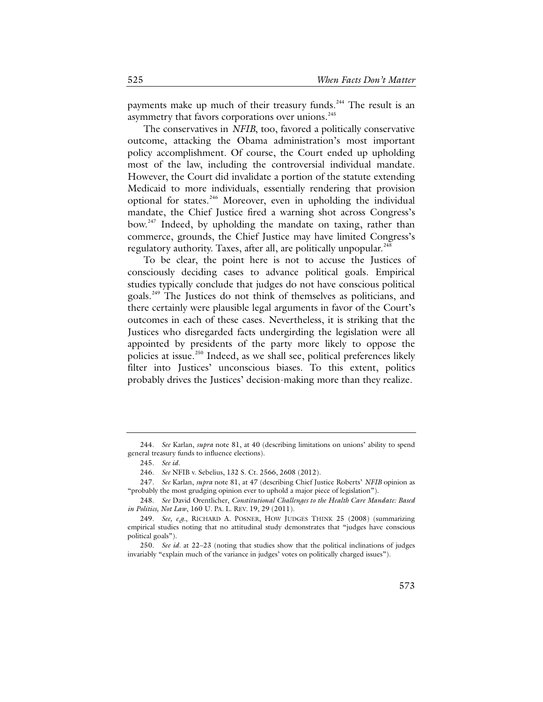payments make up much of their treasury funds.<sup>[244](#page-50-0)</sup> The result is an asymmetry that favors corporations over unions.<sup>[245](#page-50-1)</sup>

The conservatives in *NFIB*, too, favored a politically conservative outcome, attacking the Obama administration's most important policy accomplishment. Of course, the Court ended up upholding most of the law, including the controversial individual mandate. However, the Court did invalidate a portion of the statute extending Medicaid to more individuals, essentially rendering that provision optional for states.[246](#page-50-2) Moreover, even in upholding the individual mandate, the Chief Justice fired a warning shot across Congress's bow.<sup>[247](#page-50-3)</sup> Indeed, by upholding the mandate on taxing, rather than commerce, grounds, the Chief Justice may have limited Congress's regulatory authority. Taxes, after all, are politically unpopular.<sup>[248](#page-50-4)</sup>

<span id="page-50-7"></span>To be clear, the point here is not to accuse the Justices of consciously deciding cases to advance political goals. Empirical studies typically conclude that judges do not have conscious political goals.[249](#page-50-5) The Justices do not think of themselves as politicians, and there certainly were plausible legal arguments in favor of the Court's outcomes in each of these cases. Nevertheless, it is striking that the Justices who disregarded facts undergirding the legislation were all appointed by presidents of the party more likely to oppose the policies at issue.<sup>[250](#page-50-6)</sup> Indeed, as we shall see, political preferences likely filter into Justices' unconscious biases. To this extent, politics probably drives the Justices' decision-making more than they realize.

<span id="page-50-1"></span><span id="page-50-0"></span><sup>244.</sup> *See* Karlan, *supra* note [81,](#page-18-0) at 40 (describing limitations on unions' ability to spend general treasury funds to influence elections).

<sup>245.</sup> *See id.*

<sup>246.</sup> *See* NFIB v. Sebelius, 132 S. Ct. 2566, 2608 (2012).

<span id="page-50-3"></span><span id="page-50-2"></span><sup>247.</sup> *See* Karlan, *supra* not[e 81,](#page-18-0) at 47 (describing Chief Justice Roberts' *NFIB* opinion as "probably the most grudging opinion ever to uphold a major piece of legislation").

<span id="page-50-4"></span><sup>248.</sup> *See* David Orentlicher, *Constitutional Challenges to the Health Care Mandate: Based in Politics, Not Law*, 160 U. PA. L. REV. 19, 29 (2011).

<span id="page-50-5"></span><sup>249.</sup> *See, e.g.*, RICHARD A. POSNER, HOW JUDGES THINK 25 (2008) (summarizing empirical studies noting that no attitudinal study demonstrates that "judges have conscious political goals").

<span id="page-50-6"></span><sup>250.</sup> *See id.* at 22–23 (noting that studies show that the political inclinations of judges invariably "explain much of the variance in judges' votes on politically charged issues").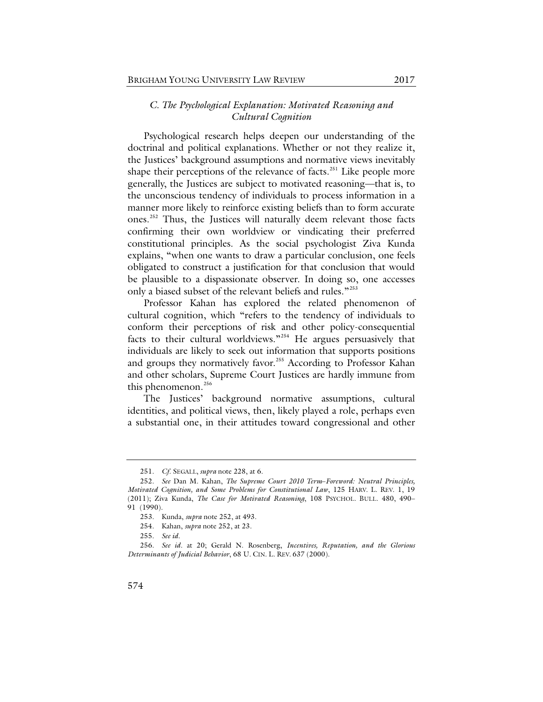# *C. The Psychological Explanation: Motivated Reasoning and Cultural Cognition*

<span id="page-51-0"></span>Psychological research helps deepen our understanding of the doctrinal and political explanations. Whether or not they realize it, the Justices' background assumptions and normative views inevitably shape their perceptions of the relevance of facts.<sup>[251](#page-51-1)</sup> Like people more generally, the Justices are subject to motivated reasoning—that is, to the unconscious tendency of individuals to process information in a manner more likely to reinforce existing beliefs than to form accurate ones.[252](#page-51-2) Thus, the Justices will naturally deem relevant those facts confirming their own worldview or vindicating their preferred constitutional principles. As the social psychologist Ziva Kunda explains, "when one wants to draw a particular conclusion, one feels obligated to construct a justification for that conclusion that would be plausible to a dispassionate observer. In doing so, one accesses only a biased subset of the relevant beliefs and rules."<sup>[253](#page-51-3)</sup>

Professor Kahan has explored the related phenomenon of cultural cognition, which "refers to the tendency of individuals to conform their perceptions of risk and other policy-consequential facts to their cultural worldviews."<sup>[254](#page-51-4)</sup> He argues persuasively that individuals are likely to seek out information that supports positions and groups they normatively favor.<sup>[255](#page-51-5)</sup> According to Professor Kahan and other scholars, Supreme Court Justices are hardly immune from this phenomenon. [256](#page-51-6)

The Justices' background normative assumptions, cultural identities, and political views, then, likely played a role, perhaps even a substantial one, in their attitudes toward congressional and other

<sup>251.</sup> *Cf*. SEGALL, *supra* not[e 228,](#page-46-5) at 6.

<span id="page-51-2"></span><span id="page-51-1"></span><sup>252.</sup> *See* Dan M. Kahan, *The Supreme Court 2010 Term*–*Foreword: Neutral Principles, Motivated Cognition, and Some Problems for Constitutional Law*, 125 HARV. L. REV. 1, 19 (2011); Ziva Kunda, *The Case for Motivated Reasoning*, 108 PSYCHOL. BULL. 480, 490– 91 (1990).

<sup>253.</sup> Kunda, *supra* not[e 252,](#page-51-0) at 493.

<sup>254.</sup> Kahan, *supra* not[e 252,](#page-51-0) at 23.

<sup>255.</sup> *See id.*

<span id="page-51-6"></span><span id="page-51-5"></span><span id="page-51-4"></span><span id="page-51-3"></span><sup>256.</sup> *See id.* at 20; Gerald N. Rosenberg, *Incentives, Reputation, and the Glorious Determinants of Judicial Behavior*, 68 U. CIN. L. REV. 637 (2000).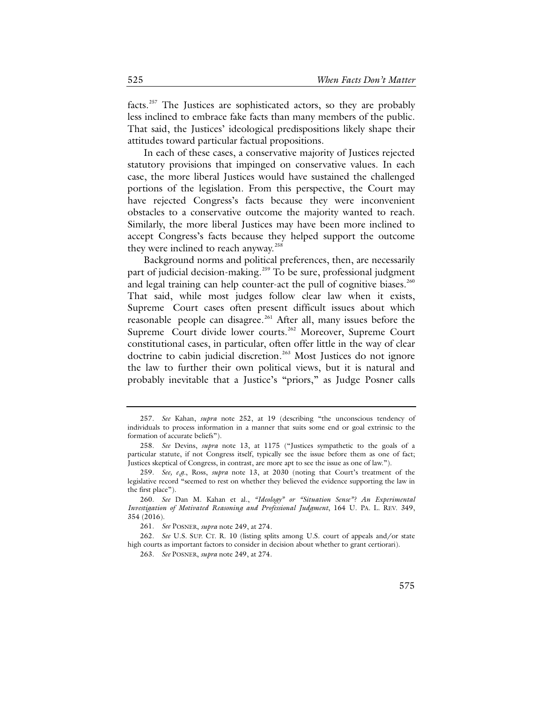facts.[257](#page-52-0) The Justices are sophisticated actors, so they are probably less inclined to embrace fake facts than many members of the public. That said, the Justices' ideological predispositions likely shape their attitudes toward particular factual propositions.

In each of these cases, a conservative majority of Justices rejected statutory provisions that impinged on conservative values. In each case, the more liberal Justices would have sustained the challenged portions of the legislation. From this perspective, the Court may have rejected Congress's facts because they were inconvenient obstacles to a conservative outcome the majority wanted to reach. Similarly, the more liberal Justices may have been more inclined to accept Congress's facts because they helped support the outcome they were inclined to reach anyway.<sup>[258](#page-52-1)</sup>

Background norms and political preferences, then, are necessarily part of judicial decision-making.<sup>[259](#page-52-2)</sup> To be sure, professional judgment and legal training can help counter-act the pull of cognitive biases.<sup>[260](#page-52-3)</sup> That said, while most judges follow clear law when it exists, Supreme Court cases often present difficult issues about which reasonable people can disagree.<sup>[261](#page-52-4)</sup> After all, many issues before the Supreme Court divide lower courts.<sup>[262](#page-52-5)</sup> Moreover, Supreme Court constitutional cases, in particular, often offer little in the way of clear doctrine to cabin judicial discretion.<sup>[263](#page-52-6)</sup> Most Justices do not ignore the law to further their own political views, but it is natural and probably inevitable that a Justice's "priors," as Judge Posner calls

<span id="page-52-0"></span><sup>257.</sup> *See* Kahan, *supra* note [252,](#page-51-0) at 19 (describing "the unconscious tendency of individuals to process information in a manner that suits some end or goal extrinsic to the formation of accurate beliefs").

<span id="page-52-1"></span><sup>258.</sup> *See* Devins, *supra* note [13,](#page-7-0) at 1175 ("Justices sympathetic to the goals of a particular statute, if not Congress itself, typically see the issue before them as one of fact; Justices skeptical of Congress, in contrast, are more apt to see the issue as one of law.").

<span id="page-52-2"></span><sup>259.</sup> *See, e.g.*, Ross, *supra* note [13,](#page-7-0) at 2030 (noting that Court's treatment of the legislative record "seemed to rest on whether they believed the evidence supporting the law in the first place").

<span id="page-52-3"></span><sup>260.</sup> *See* Dan M. Kahan et al., *"Ideology" or "Situation Sense"? An Experimental Investigation of Motivated Reasoning and Professional Judgment*, 164 U. PA. L. REV. 349, 354 (2016).

<sup>261.</sup> *See* POSNER, *supra* note [249,](#page-50-7) at 274.

<span id="page-52-6"></span><span id="page-52-5"></span><span id="page-52-4"></span><sup>262.</sup> *See* U.S. SUP. CT. R. 10 (listing splits among U.S. court of appeals and/or state high courts as important factors to consider in decision about whether to grant certiorari).

<sup>263.</sup> *See* POSNER, *supra* note [249,](#page-50-7) at 274.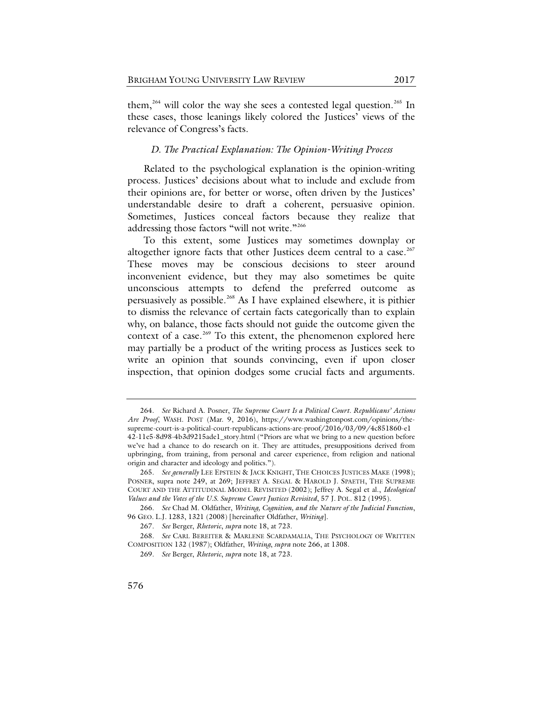them,<sup>[264](#page-53-1)</sup> will color the way she sees a contested legal question.<sup>[265](#page-53-2)</sup> In these cases, those leanings likely colored the Justices' views of the relevance of Congress's facts.

#### <span id="page-53-0"></span>*D. The Practical Explanation: The Opinion-Writing Process*

Related to the psychological explanation is the opinion-writing process. Justices' decisions about what to include and exclude from their opinions are, for better or worse, often driven by the Justices' understandable desire to draft a coherent, persuasive opinion. Sometimes, Justices conceal factors because they realize that addressing those factors "will not write."<sup>[266](#page-53-3)</sup>

To this extent, some Justices may sometimes downplay or altogether ignore facts that other Justices deem central to a case.<sup>[267](#page-53-4)</sup> These moves may be conscious decisions to steer around inconvenient evidence, but they may also sometimes be quite unconscious attempts to defend the preferred outcome as persuasively as possible.<sup>[268](#page-53-5)</sup> As I have explained elsewhere, it is pithier to dismiss the relevance of certain facts categorically than to explain why, on balance, those facts should not guide the outcome given the context of a case.<sup>[269](#page-53-6)</sup> To this extent, the phenomenon explored here may partially be a product of the writing process as Justices seek to write an opinion that sounds convincing, even if upon closer inspection, that opinion dodges some crucial facts and arguments.

<span id="page-53-1"></span><sup>264.</sup> *See* Richard A. Posner, *The Supreme Court Is a Political Court. Republicans' Actions Are Proof*, WASH. POST (Mar. 9, 2016), https://www.washingtonpost.com/opinions/thesupreme-court-is-a-political-court-republicans-actions-are-proof/2016/03/09/4c851860-e1 42-11e5-8d98-4b3d9215ade1\_story.html ("Priors are what we bring to a new question before we've had a chance to do research on it. They are attitudes, presuppositions derived from upbringing, from training, from personal and career experience, from religion and national origin and character and ideology and politics.").

<span id="page-53-2"></span><sup>265.</sup> See generally LEE EPSTEIN & JACK KNIGHT, THE CHOICES JUSTICES MAKE (1998); POSNER, supra note [249,](#page-50-7) at 269; JEFFREY A. SEGAL & HAROLD J. SPAETH, THE SUPREME COURT AND THE ATTITUDINAL MODEL REVISITED (2002); Jeffrey A. Segal et al., *Ideological Values and the Votes of the U.S. Supreme Court Justices Revisited*, 57 J. POL. 812 (1995).

<span id="page-53-3"></span><sup>266.</sup> *See* Chad M. Oldfather, *Writing, Cognition, and the Nature of the Judicial Function*, 96 GEO. L.J. 1283, 1321 (2008) [hereinafter Oldfather, *Writing*].

<sup>267.</sup> *See* Berger, *Rhetoric*, *supra* note [18,](#page-8-0) at 723.

<span id="page-53-6"></span><span id="page-53-5"></span><span id="page-53-4"></span><sup>268.</sup> *See* CARL BEREITER & MARLENE SCARDAMALIA, THE PSYCHOLOGY OF WRITTEN COMPOSITION 132 (1987); Oldfather, *Writing*, *supra* not[e 266,](#page-53-0) at 1308.

<sup>269.</sup> *See* Berger, *Rhetoric*, *supra* note [18,](#page-8-0) at 723.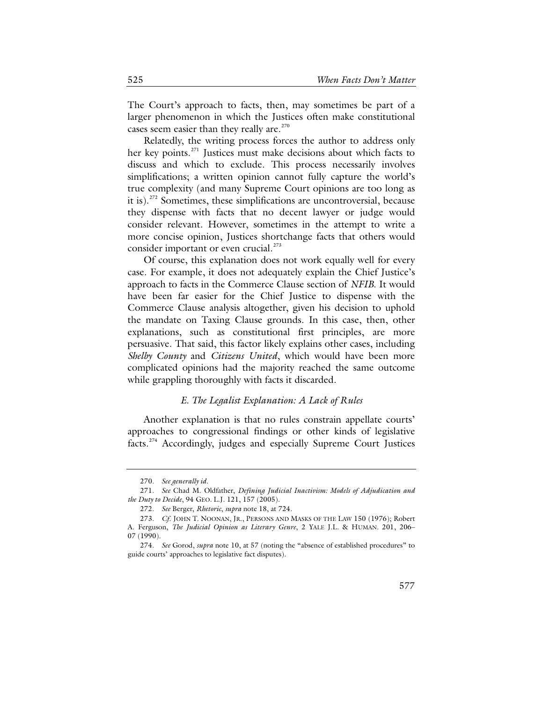The Court's approach to facts, then, may sometimes be part of a larger phenomenon in which the Justices often make constitutional cases seem easier than they really are. $270$ 

Relatedly, the writing process forces the author to address only her key points.<sup>[271](#page-54-1)</sup> Justices must make decisions about which facts to discuss and which to exclude. This process necessarily involves simplifications; a written opinion cannot fully capture the world's true complexity (and many Supreme Court opinions are too long as it is).[272](#page-54-2) Sometimes, these simplifications are uncontroversial, because they dispense with facts that no decent lawyer or judge would consider relevant. However, sometimes in the attempt to write a more concise opinion, Justices shortchange facts that others would consider important or even crucial. $^{273}$  $^{273}$  $^{273}$ 

Of course, this explanation does not work equally well for every case. For example, it does not adequately explain the Chief Justice's approach to facts in the Commerce Clause section of *NFIB*. It would have been far easier for the Chief Justice to dispense with the Commerce Clause analysis altogether, given his decision to uphold the mandate on Taxing Clause grounds. In this case, then, other explanations, such as constitutional first principles, are more persuasive. That said, this factor likely explains other cases, including *Shelby County* and *Citizens United*, which would have been more complicated opinions had the majority reached the same outcome while grappling thoroughly with facts it discarded.

# *E. The Legalist Explanation: A Lack of Rules*

Another explanation is that no rules constrain appellate courts' approaches to congressional findings or other kinds of legislative facts.<sup>[274](#page-54-4)</sup> Accordingly, judges and especially Supreme Court Justices

<sup>270.</sup> *See generally id.*

<span id="page-54-1"></span><span id="page-54-0"></span><sup>271.</sup> *See* Chad M. Oldfather, *Defining Judicial Inactivism: Models of Adjudication and the Duty to Decide*, 94 GEO. L.J. 121, 157 (2005).

<sup>272.</sup> *See* Berger, *Rhetoric*, *supra* note [18,](#page-8-0) at 724.

<span id="page-54-3"></span><span id="page-54-2"></span><sup>273.</sup> *Cf*. JOHN T. NOONAN, JR., PERSONS AND MASKS OF THE LAW 150 (1976); Robert A. Ferguson, *The Judicial Opinion as Literary Genre*, 2 YALE J.L. & HUMAN. 201, 206– 07 (1990).

<span id="page-54-4"></span><sup>274.</sup> *See* Gorod, *supra* not[e 10,](#page-7-1) at 57 (noting the "absence of established procedures" to guide courts' approaches to legislative fact disputes).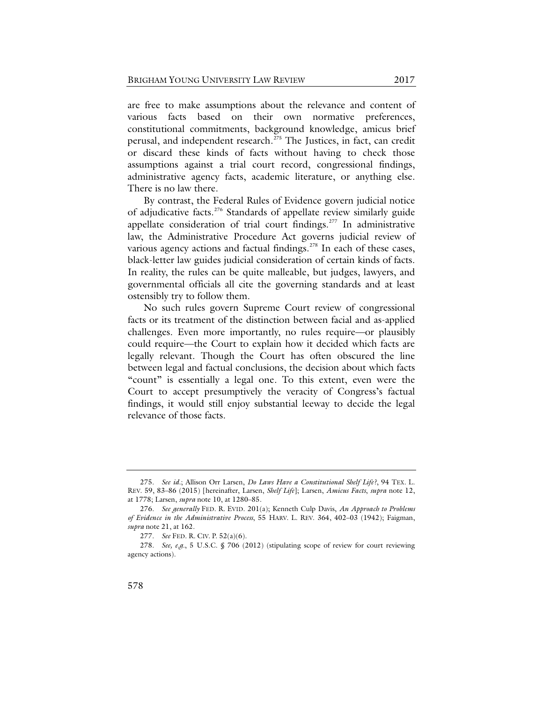<span id="page-55-4"></span>are free to make assumptions about the relevance and content of various facts based on their own normative preferences, constitutional commitments, background knowledge, amicus brief perusal, and independent research.<sup>[275](#page-55-0)</sup> The Justices, in fact, can credit or discard these kinds of facts without having to check those assumptions against a trial court record, congressional findings, administrative agency facts, academic literature, or anything else. There is no law there.

By contrast, the Federal Rules of Evidence govern judicial notice of adjudicative facts. [276](#page-55-1) Standards of appellate review similarly guide appellate consideration of trial court findings. $277$  In administrative law, the Administrative Procedure Act governs judicial review of various agency actions and factual findings. $^{278}$  $^{278}$  $^{278}$  In each of these cases, black-letter law guides judicial consideration of certain kinds of facts. In reality, the rules can be quite malleable, but judges, lawyers, and governmental officials all cite the governing standards and at least ostensibly try to follow them.

No such rules govern Supreme Court review of congressional facts or its treatment of the distinction between facial and as-applied challenges. Even more importantly, no rules require—or plausibly could require—the Court to explain how it decided which facts are legally relevant. Though the Court has often obscured the line between legal and factual conclusions, the decision about which facts "count" is essentially a legal one. To this extent, even were the Court to accept presumptively the veracity of Congress's factual findings, it would still enjoy substantial leeway to decide the legal relevance of those facts.

<span id="page-55-0"></span><sup>275.</sup> *See id.*; Allison Orr Larsen, *Do Laws Have a Constitutional Shelf Life?*, 94 TEX. L. REV. 59, 83–86 (2015) [hereinafter, Larsen, *Shelf Life*]; Larsen, *Amicus Facts*, *supra* note [12,](#page-7-2) at 1778; Larsen, *supra* note [10,](#page-7-1) at 1280–85.

<span id="page-55-1"></span><sup>276.</sup> *See generally* FED. R. EVID. 201(a); Kenneth Culp Davis, *An Approach to Problems of Evidence in the Administrative Process*, 55 HARV. L. REV. 364, 402–03 (1942); Faigman, *supra* note [21,](#page-9-0) at 162.

<sup>277.</sup> *See* FED. R. CIV. P. 52(a)(6).

<span id="page-55-3"></span><span id="page-55-2"></span><sup>278.</sup> *See, e.g.*, 5 U.S.C. § 706 (2012) (stipulating scope of review for court reviewing agency actions).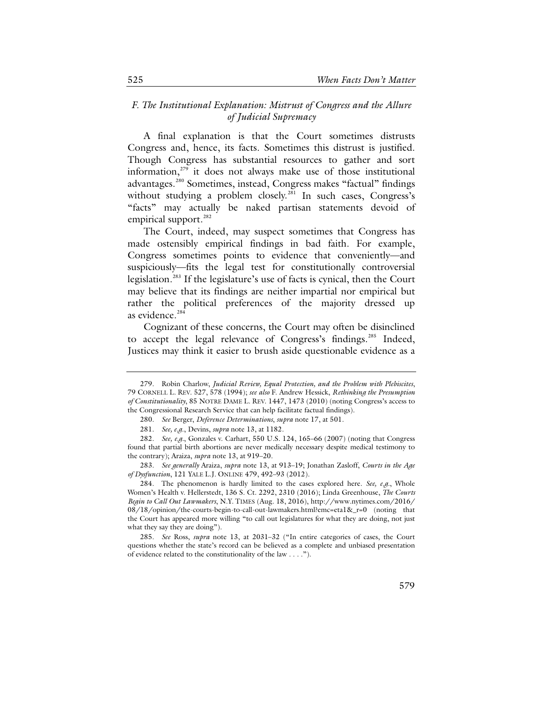# *F. The Institutional Explanation: Mistrust of Congress and the Allure of Judicial Supremacy*

A final explanation is that the Court sometimes distrusts Congress and, hence, its facts. Sometimes this distrust is justified. Though Congress has substantial resources to gather and sort information, [279](#page-56-0) it does not always make use of those institutional advantages.<sup>[280](#page-56-1)</sup> Sometimes, instead, Congress makes "factual" findings without studying a problem closely.<sup>[281](#page-56-2)</sup> In such cases, Congress's "facts" may actually be naked partisan statements devoid of empirical support.<sup>[282](#page-56-3)</sup>

The Court, indeed, may suspect sometimes that Congress has made ostensibly empirical findings in bad faith. For example, Congress sometimes points to evidence that conveniently—and suspiciously—fits the legal test for constitutionally controversial legislation.[283](#page-56-4) If the legislature's use of facts is cynical, then the Court may believe that its findings are neither impartial nor empirical but rather the political preferences of the majority dressed up as evidence.<sup>[284](#page-56-5)</sup>

Cognizant of these concerns, the Court may often be disinclined to accept the legal relevance of Congress's findings.<sup>[285](#page-56-6)</sup> Indeed, Justices may think it easier to brush aside questionable evidence as a

<span id="page-56-0"></span><sup>279.</sup> Robin Charlow, *Judicial Review, Equal Protection, and the Problem with Plebiscites*, 79 CORNELL L. REV. 527, 578 (1994); *see also* F. Andrew Hessick, *Rethinking the Presumption of Constitutionality*, 85 NOTRE DAME L. REV. 1447, 1473 (2010) (noting Congress's access to the Congressional Research Service that can help facilitate factual findings).

<sup>280.</sup> *See* Berger, *Deference Determinations*, *supra* not[e 17,](#page-8-1) at 501.

<sup>281.</sup> *See, e.g*., Devins, *supra* note [13,](#page-7-3) at 1182.

<span id="page-56-3"></span><span id="page-56-2"></span><span id="page-56-1"></span><sup>282.</sup> *See, e.g.*, Gonzales v. Carhart, 550 U.S. 124, 165–66 (2007) (noting that Congress found that partial birth abortions are never medically necessary despite medical testimony to the contrary); Araiza, *supra* not[e 13,](#page-7-3) at 919–20.

<span id="page-56-4"></span><sup>283.</sup> *See generally* Araiza, *supra* note [13,](#page-7-3) at 913–19; Jonathan Zasloff, *Courts in the Age of Dysfunction*, 121 YALE L.J. ONLINE 479, 492–93 (2012).

<span id="page-56-5"></span><sup>284.</sup> The phenomenon is hardly limited to the cases explored here. *See, e.g.*, Whole Women's Health v. Hellerstedt, 136 S. Ct. 2292, 2310 (2016); Linda Greenhouse, *The Courts Begin to Call Out Lawmakers*, N.Y. TIMES (Aug. 18, 2016), http://www.nytimes.com/2016/ 08/18/opinion/the-courts-begin-to-call-out-lawmakers.html?emc=eta1&\_r=0 (noting that the Court has appeared more willing "to call out legislatures for what they are doing, not just what they say they are doing").

<span id="page-56-6"></span><sup>285.</sup> *See* Ross, *supra* note [13,](#page-7-3) at 2031–32 ("In entire categories of cases, the Court questions whether the state's record can be believed as a complete and unbiased presentation of evidence related to the constitutionality of the law . . . .").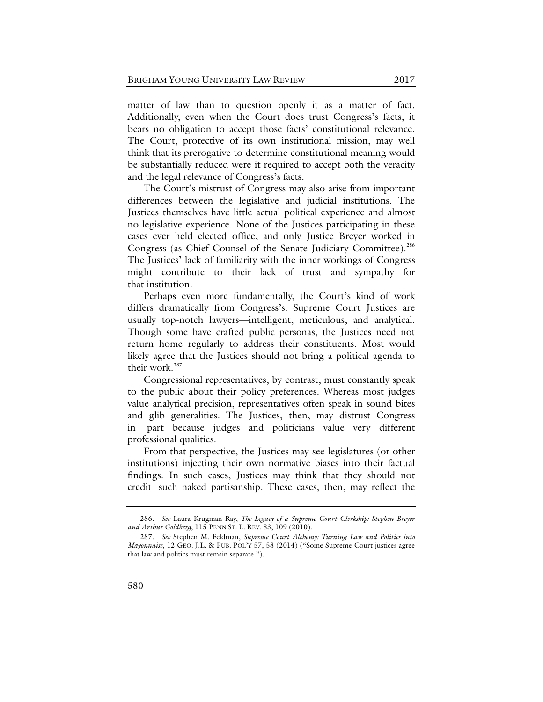matter of law than to question openly it as a matter of fact. Additionally, even when the Court does trust Congress's facts, it bears no obligation to accept those facts' constitutional relevance. The Court, protective of its own institutional mission, may well think that its prerogative to determine constitutional meaning would be substantially reduced were it required to accept both the veracity and the legal relevance of Congress's facts.

The Court's mistrust of Congress may also arise from important differences between the legislative and judicial institutions. The Justices themselves have little actual political experience and almost no legislative experience. None of the Justices participating in these cases ever held elected office, and only Justice Breyer worked in Congress (as Chief Counsel of the Senate Judiciary Committee).<sup>[286](#page-57-0)</sup> The Justices' lack of familiarity with the inner workings of Congress might contribute to their lack of trust and sympathy for that institution.

Perhaps even more fundamentally, the Court's kind of work differs dramatically from Congress's. Supreme Court Justices are usually top-notch lawyers—intelligent, meticulous, and analytical. Though some have crafted public personas, the Justices need not return home regularly to address their constituents. Most would likely agree that the Justices should not bring a political agenda to their work.<sup>[287](#page-57-1)</sup>

Congressional representatives, by contrast, must constantly speak to the public about their policy preferences. Whereas most judges value analytical precision, representatives often speak in sound bites and glib generalities. The Justices, then, may distrust Congress in part because judges and politicians value very different professional qualities.

From that perspective, the Justices may see legislatures (or other institutions) injecting their own normative biases into their factual findings. In such cases, Justices may think that they should not credit such naked partisanship. These cases, then, may reflect the

<span id="page-57-0"></span><sup>286.</sup> *See* Laura Krugman Ray, *The Legacy of a Supreme Court Clerkship: Stephen Breyer and Arthur Goldberg*, 115 PENN ST. L. REV. 83, 109 (2010).

<span id="page-57-1"></span><sup>287.</sup> *See* Stephen M. Feldman, *Supreme Court Alchemy: Turning Law and Politics into Mayonnaise*, 12 GEO. J.L. & PUB. POL'Y 57, 58 (2014) ("Some Supreme Court justices agree that law and politics must remain separate.").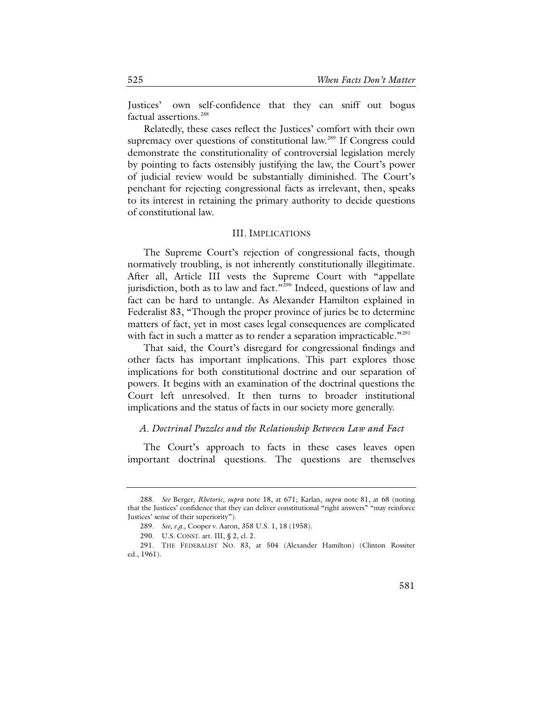Justices' own self-confidence that they can sniff out bogus factual assertions.<sup>[288](#page-58-0)</sup>

Relatedly, these cases reflect the Justices' comfort with their own supremacy over questions of constitutional law.<sup>[289](#page-58-1)</sup> If Congress could demonstrate the constitutionality of controversial legislation merely by pointing to facts ostensibly justifying the law, the Court's power of judicial review would be substantially diminished. The Court's penchant for rejecting congressional facts as irrelevant, then, speaks to its interest in retaining the primary authority to decide questions of constitutional law.

#### III. IMPLICATIONS

The Supreme Court's rejection of congressional facts, though normatively troubling, is not inherently constitutionally illegitimate. After all, Article III vests the Supreme Court with "appellate jurisdiction, both as to law and fact."<sup>[290](#page-58-2)</sup> Indeed, questions of law and fact can be hard to untangle. As Alexander Hamilton explained in Federalist 83, "Though the proper province of juries be to determine matters of fact, yet in most cases legal consequences are complicated with fact in such a matter as to render a separation impracticable."<sup>[291](#page-58-3)</sup>

That said, the Court's disregard for congressional findings and other facts has important implications. This part explores those implications for both constitutional doctrine and our separation of powers. It begins with an examination of the doctrinal questions the Court left unresolved. It then turns to broader institutional implications and the status of facts in our society more generally.

### *A. Doctrinal Puzzles and the Relationship Between Law and Fact*

The Court's approach to facts in these cases leaves open important doctrinal questions. The questions are themselves

<span id="page-58-0"></span><sup>288.</sup> *See* Berger, *Rhetoric*, *supra* note [18,](#page-8-0) at 671; Karlan, *supra* note [81,](#page-18-0) at 68 (noting that the Justices' confidence that they can deliver constitutional "right answers" "may reinforce Justices' sense of their superiority").

<sup>289.</sup> *See, e.g.*, Cooper v. Aaron, 358 U.S. 1, 18 (1958).

<sup>290.</sup> U.S. CONST. art. III, § 2, cl. 2.

<span id="page-58-3"></span><span id="page-58-2"></span><span id="page-58-1"></span><sup>291.</sup> THE FEDERALIST NO. 83, at 504 (Alexander Hamilton) (Clinton Rossiter ed., 1961).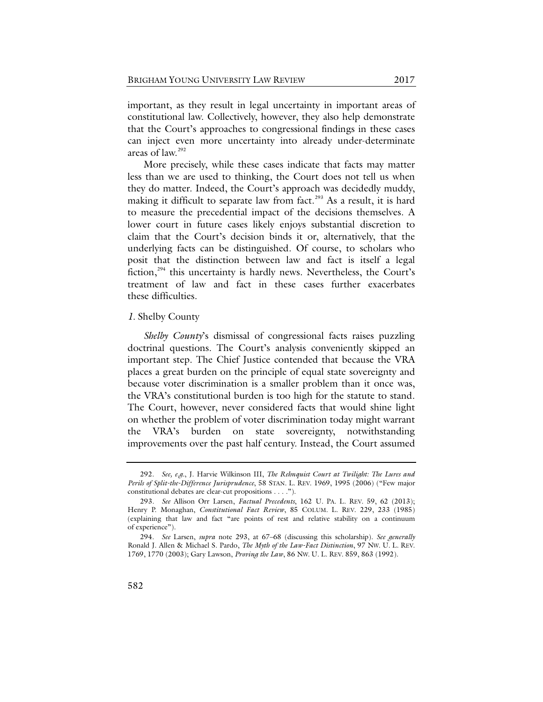important, as they result in legal uncertainty in important areas of constitutional law. Collectively, however, they also help demonstrate that the Court's approaches to congressional findings in these cases can inject even more uncertainty into already under-determinate areas of law.[292](#page-59-1)

<span id="page-59-0"></span>More precisely, while these cases indicate that facts may matter less than we are used to thinking, the Court does not tell us when they do matter. Indeed, the Court's approach was decidedly muddy, making it difficult to separate law from fact.<sup>[293](#page-59-2)</sup> As a result, it is hard to measure the precedential impact of the decisions themselves. A lower court in future cases likely enjoys substantial discretion to claim that the Court's decision binds it or, alternatively, that the underlying facts can be distinguished. Of course, to scholars who posit that the distinction between law and fact is itself a legal fiction, $294$  this uncertainty is hardly news. Nevertheless, the Court's treatment of law and fact in these cases further exacerbates these difficulties.

## *1.* Shelby County

*Shelby County*'s dismissal of congressional facts raises puzzling doctrinal questions. The Court's analysis conveniently skipped an important step. The Chief Justice contended that because the VRA places a great burden on the principle of equal state sovereignty and because voter discrimination is a smaller problem than it once was, the VRA's constitutional burden is too high for the statute to stand. The Court, however, never considered facts that would shine light on whether the problem of voter discrimination today might warrant the VRA's burden on state sovereignty, notwithstanding improvements over the past half century. Instead, the Court assumed

<span id="page-59-1"></span><sup>292.</sup> *See, e.g.*, J. Harvie Wilkinson III, *The Rehnquist Court at Twilight: The Lures and Perils of Split-the-Difference Jurisprudence*, 58 STAN. L. REV. 1969, 1995 (2006) ("Few major constitutional debates are clear-cut propositions . . . .").

<span id="page-59-2"></span><sup>293.</sup> *See* Allison Orr Larsen, *Factual Precedents*, 162 U. PA. L. REV. 59, 62 (2013); Henry P. Monaghan, *Constitutional Fact Review*, 85 COLUM. L. REV. 229, 233 (1985) (explaining that law and fact "are points of rest and relative stability on a continuum of experience").

<span id="page-59-3"></span><sup>294.</sup> *See* Larsen, *supra* note [293,](#page-59-0) at 67–68 (discussing this scholarship). *See generally* Ronald J. Allen & Michael S. Pardo, *The Myth of the Law-Fact Distinction*, 97 NW. U. L. REV. 1769, 1770 (2003); Gary Lawson, *Proving the Law*, 86 NW. U. L. REV. 859, 863 (1992).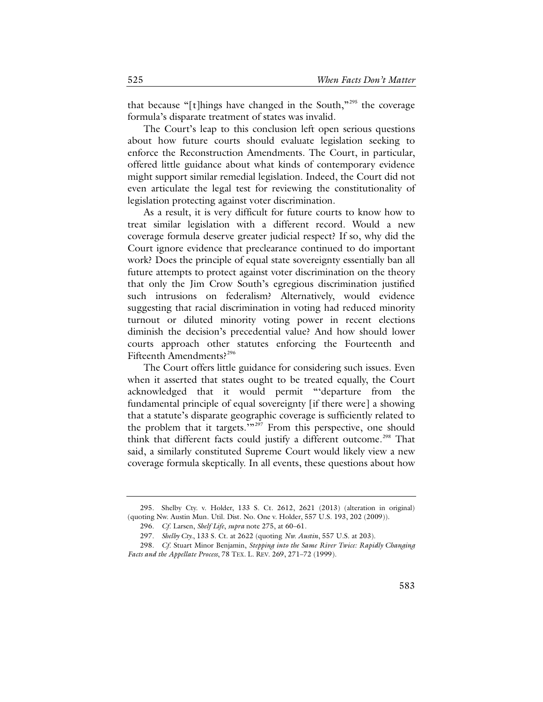that because "[t]hings have changed in the South,"[295](#page-60-0) the coverage formula's disparate treatment of states was invalid.

The Court's leap to this conclusion left open serious questions about how future courts should evaluate legislation seeking to enforce the Reconstruction Amendments. The Court, in particular, offered little guidance about what kinds of contemporary evidence might support similar remedial legislation. Indeed, the Court did not even articulate the legal test for reviewing the constitutionality of legislation protecting against voter discrimination.

As a result, it is very difficult for future courts to know how to treat similar legislation with a different record. Would a new coverage formula deserve greater judicial respect? If so, why did the Court ignore evidence that preclearance continued to do important work? Does the principle of equal state sovereignty essentially ban all future attempts to protect against voter discrimination on the theory that only the Jim Crow South's egregious discrimination justified such intrusions on federalism? Alternatively, would evidence suggesting that racial discrimination in voting had reduced minority turnout or diluted minority voting power in recent elections diminish the decision's precedential value? And how should lower courts approach other statutes enforcing the Fourteenth and Fifteenth Amendments?<sup>[296](#page-60-1)</sup>

The Court offers little guidance for considering such issues. Even when it asserted that states ought to be treated equally, the Court acknowledged that it would permit "'departure from the fundamental principle of equal sovereignty [if there were] a showing that a statute's disparate geographic coverage is sufficiently related to the problem that it targets.'"<sup>[297](#page-60-2)</sup> From this perspective, one should think that different facts could justify a different outcome.<sup>[298](#page-60-3)</sup> That said, a similarly constituted Supreme Court would likely view a new coverage formula skeptically. In all events, these questions about how

<span id="page-60-1"></span><span id="page-60-0"></span><sup>295.</sup> Shelby Cty. v. Holder, 133 S. Ct. 2612, 2621 (2013) (alteration in original) (quoting Nw. Austin Mun. Util. Dist. No. One v. Holder, 557 U.S. 193, 202 (2009)).

<sup>296.</sup> *Cf*. Larsen, *Shelf Life*, *supra* not[e 275,](#page-55-4) at 60–61.

<sup>297.</sup> *Shelby Cty.*, 133 S. Ct. at 2622 (quoting *Nw. Austin*, 557 U.S. at 203).

<span id="page-60-3"></span><span id="page-60-2"></span><sup>298.</sup> *Cf*. Stuart Minor Benjamin, *Stepping into the Same River Twice: Rapidly Changing Facts and the Appellate Process*, 78 TEX. L. REV. 269, 271–72 (1999).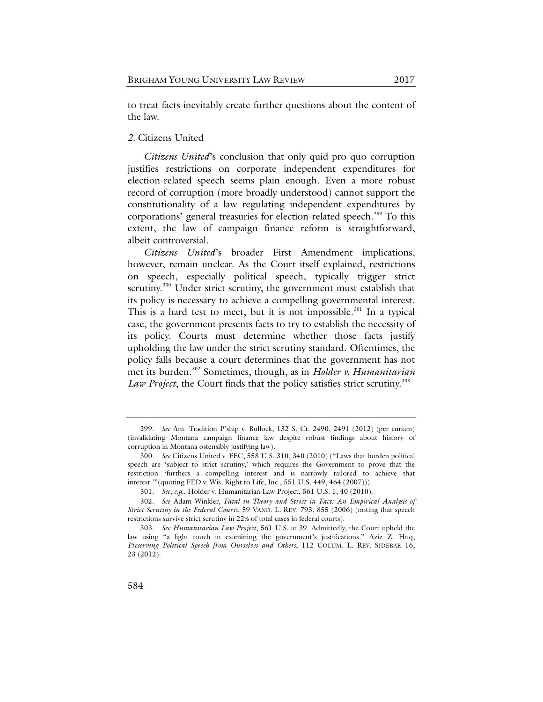to treat facts inevitably create further questions about the content of the law.

# *2.* Citizens United

*Citizens United*'s conclusion that only quid pro quo corruption justifies restrictions on corporate independent expenditures for election-related speech seems plain enough. Even a more robust record of corruption (more broadly understood) cannot support the constitutionality of a law regulating independent expenditures by corporations' general treasuries for election-related speech.<sup>[299](#page-61-0)</sup> To this extent, the law of campaign finance reform is straightforward, albeit controversial.

*Citizens United*'s broader First Amendment implications, however, remain unclear. As the Court itself explained, restrictions on speech, especially political speech, typically trigger strict scrutiny.<sup>[300](#page-61-1)</sup> Under strict scrutiny, the government must establish that its policy is necessary to achieve a compelling governmental interest. This is a hard test to meet, but it is not impossible.<sup>[301](#page-61-2)</sup> In a typical case, the government presents facts to try to establish the necessity of its policy. Courts must determine whether those facts justify upholding the law under the strict scrutiny standard. Oftentimes, the policy falls because a court determines that the government has not met its burden.[302](#page-61-3) Sometimes, though, as in *Holder v. Humanitarian*  Law Project, the Court finds that the policy satisfies strict scrutiny.<sup>[303](#page-61-4)</sup>

<span id="page-61-0"></span><sup>299.</sup> *See* Am. Tradition P'ship v. Bullock, 132 S. Ct. 2490, 2491 (2012) (per curiam) (invalidating Montana campaign finance law despite robust findings about history of corruption in Montana ostensibly justifying law).

<span id="page-61-1"></span><sup>300.</sup> *See* Citizens United v. FEC, 558 U.S. 310, 340 (2010) ("Laws that burden political speech are 'subject to strict scrutiny,' which requires the Government to prove that the restriction 'furthers a compelling interest and is narrowly tailored to achieve that interest.'"(quoting FED v. Wis. Right to Life, Inc., 551 U.S. 449, 464 (2007))).

<sup>301.</sup> *See, e.g.*, Holder v. Humanitarian Law Project, 561 U.S. 1, 40 (2010).

<span id="page-61-3"></span><span id="page-61-2"></span><sup>302.</sup> *See* Adam Winkler, *Fatal in Theory and Strict in Fact: An Empirical Analysis of Strict Scrutiny in the Federal Courts*, 59 VAND. L. REV. 793, 855 (2006) (noting that speech restrictions survive strict scrutiny in 22% of total cases in federal courts).

<span id="page-61-4"></span><sup>303.</sup> *See Humanitarian Law Project*, 561 U.S. at 39. Admittedly, the Court upheld the law using "a light touch in examining the government's justifications." Aziz Z. Huq, *Preserving Political Speech from Ourselves and Others*, 112 COLUM. L. REV. SIDEBAR 16, 23 (2012).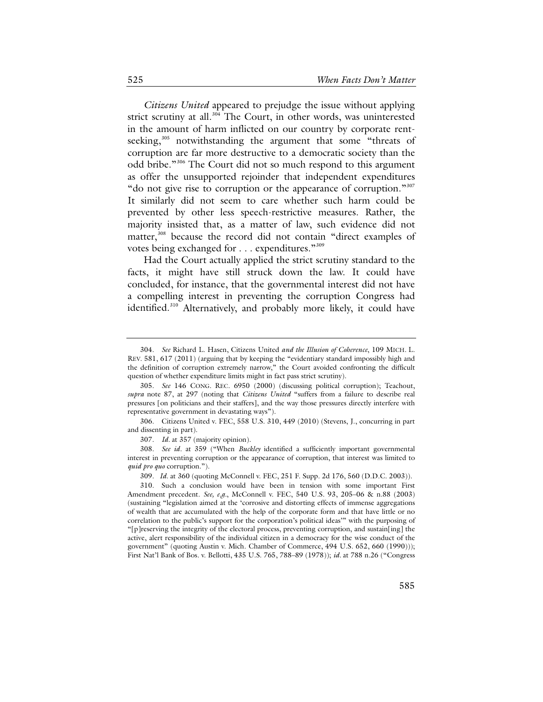*Citizens United* appeared to prejudge the issue without applying strict scrutiny at all.<sup>[304](#page-62-0)</sup> The Court, in other words, was uninterested in the amount of harm inflicted on our country by corporate rent-seeking,<sup>[305](#page-62-1)</sup> notwithstanding the argument that some "threats of corruption are far more destructive to a democratic society than the odd bribe."[306](#page-62-2) The Court did not so much respond to this argument as offer the unsupported rejoinder that independent expenditures "do not give rise to corruption or the appearance of corruption."<sup>[307](#page-62-3)</sup> It similarly did not seem to care whether such harm could be prevented by other less speech-restrictive measures. Rather, the majority insisted that, as a matter of law, such evidence did not matter,<sup>[308](#page-62-4)</sup> because the record did not contain "direct examples of votes being exchanged for . . . expenditures."<sup>[309](#page-62-5)</sup>

Had the Court actually applied the strict scrutiny standard to the facts, it might have still struck down the law. It could have concluded, for instance, that the governmental interest did not have a compelling interest in preventing the corruption Congress had identified. [310](#page-62-6) Alternatively, and probably more likely, it could have

<span id="page-62-2"></span>306. Citizens United v. FEC, 558 U.S. 310, 449 (2010) (Stevens, J., concurring in part and dissenting in part).

<span id="page-62-4"></span><span id="page-62-3"></span>308. *See id.* at 359 ("When *Buckley* identified a sufficiently important governmental interest in preventing corruption or the appearance of corruption, that interest was limited to *quid pro quo* corruption.").

<span id="page-62-0"></span><sup>304.</sup> *See* Richard L. Hasen, Citizens United *and the Illusion of Coherence*, 109 MICH. L. REV. 581, 617 (2011) (arguing that by keeping the "evidentiary standard impossibly high and the definition of corruption extremely narrow," the Court avoided confronting the difficult question of whether expenditure limits might in fact pass strict scrutiny).

<span id="page-62-1"></span><sup>305.</sup> *See* 146 CONG. REC. 6950 (2000) (discussing political corruption); Teachout, *supra* note [87,](#page-19-0) at 297 (noting that *Citizens United* "suffers from a failure to describe real pressures [on politicians and their staffers], and the way those pressures directly interfere with representative government in devastating ways").

<sup>307.</sup> *Id.* at 357 (majority opinion).

<sup>309.</sup> *Id.* at 360 (quoting McConnell v. FEC, 251 F. Supp. 2d 176, 560 (D.D.C. 2003)).

<span id="page-62-6"></span><span id="page-62-5"></span><sup>310.</sup> Such a conclusion would have been in tension with some important First Amendment precedent. *See, e.g.*, McConnell v. FEC, 540 U.S. 93, 205–06 & n.88 (2003) (sustaining "legislation aimed at the 'corrosive and distorting effects of immense aggregations of wealth that are accumulated with the help of the corporate form and that have little or no correlation to the public's support for the corporation's political ideas'" with the purposing of "[p] reserving the integrity of the electoral process, preventing corruption, and sustain [ing] the active, alert responsibility of the individual citizen in a democracy for the wise conduct of the government" (quoting Austin v. Mich. Chamber of Commerce, 494 U.S. 652, 660 (1990))); First Nat'l Bank of Bos. v. Bellotti, 435 U.S. 765, 788–89 (1978)); *id.* at 788 n.26 ("Congress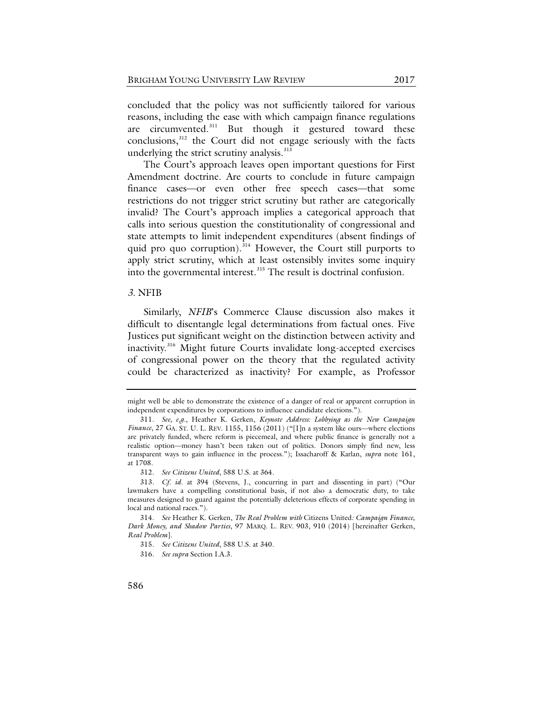concluded that the policy was not sufficiently tailored for various reasons, including the ease with which campaign finance regulations are circumvented.<sup>[311](#page-63-0)</sup> But though it gestured toward these conclusions,[312](#page-63-1) the Court did not engage seriously with the facts underlying the strict scrutiny analysis. $313$ 

The Court's approach leaves open important questions for First Amendment doctrine. Are courts to conclude in future campaign finance cases—or even other free speech cases—that some restrictions do not trigger strict scrutiny but rather are categorically invalid? The Court's approach implies a categorical approach that calls into serious question the constitutionality of congressional and state attempts to limit independent expenditures (absent findings of quid pro quo corruption).<sup>[314](#page-63-3)</sup> However, the Court still purports to apply strict scrutiny, which at least ostensibly invites some inquiry into the governmental interest. [315](#page-63-4) The result is doctrinal confusion.

### <span id="page-63-6"></span>*3.* NFIB

Similarly, *NFIB*'s Commerce Clause discussion also makes it difficult to disentangle legal determinations from factual ones. Five Justices put significant weight on the distinction between activity and inactivity.<sup>[316](#page-63-5)</sup> Might future Courts invalidate long-accepted exercises of congressional power on the theory that the regulated activity could be characterized as inactivity? For example, as Professor

might well be able to demonstrate the existence of a danger of real or apparent corruption in independent expenditures by corporations to influence candidate elections.").

<span id="page-63-0"></span><sup>311.</sup> *See, e.g.*, Heather K. Gerken, *Keynote Address: Lobbying as the New Campaign Finance*, 27 GA. ST. U. L. REV. 1155, 1156 (2011) ("[I]n a system like ours—where elections are privately funded, where reform is piecemeal, and where public finance is generally not a realistic option—money hasn't been taken out of politics. Donors simply find new, less transparent ways to gain influence in the process."); Issacharoff & Karlan, *supra* note [161,](#page-32-0) at 1708.

<sup>312.</sup> *See Citizens United*, 588 U.S. at 364.

<span id="page-63-2"></span><span id="page-63-1"></span><sup>313.</sup> *Cf. id.* at 394 (Stevens, J., concurring in part and dissenting in part) ("Our lawmakers have a compelling constitutional basis, if not also a democratic duty, to take measures designed to guard against the potentially deleterious effects of corporate spending in local and national races.").

<span id="page-63-5"></span><span id="page-63-4"></span><span id="page-63-3"></span><sup>314.</sup> *See* Heather K. Gerken, *The Real Problem with* Citizens United*: Campaign Finance, Dark Money, and Shadow Parties*, 97 MARQ. L. REV. 903, 910 (2014) [hereinafter Gerken, *Real Problem*].

<sup>315.</sup> *See Citizens United*, 588 U.S. at 340.

<sup>316.</sup> *See supra* Section I.A.3.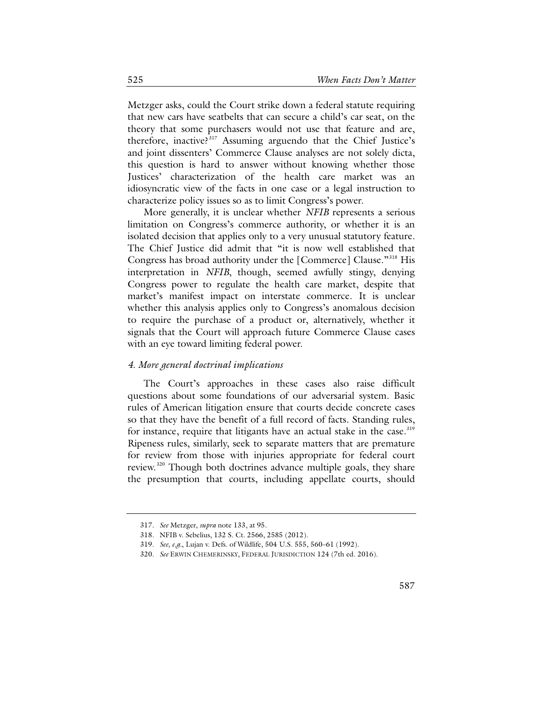Metzger asks, could the Court strike down a federal statute requiring that new cars have seatbelts that can secure a child's car seat, on the theory that some purchasers would not use that feature and are, therefore, inactive?<sup>[317](#page-64-0)</sup> Assuming arguendo that the Chief Justice's and joint dissenters' Commerce Clause analyses are not solely dicta, this question is hard to answer without knowing whether those Justices' characterization of the health care market was an idiosyncratic view of the facts in one case or a legal instruction to characterize policy issues so as to limit Congress's power.

More generally, it is unclear whether *NFIB* represents a serious limitation on Congress's commerce authority, or whether it is an isolated decision that applies only to a very unusual statutory feature. The Chief Justice did admit that "it is now well established that Congress has broad authority under the [Commerce] Clause."<sup>[318](#page-64-1)</sup> His interpretation in *NFIB*, though, seemed awfully stingy, denying Congress power to regulate the health care market, despite that market's manifest impact on interstate commerce. It is unclear whether this analysis applies only to Congress's anomalous decision to require the purchase of a product or, alternatively, whether it signals that the Court will approach future Commerce Clause cases with an eye toward limiting federal power.

### *4. More general doctrinal implications*

The Court's approaches in these cases also raise difficult questions about some foundations of our adversarial system. Basic rules of American litigation ensure that courts decide concrete cases so that they have the benefit of a full record of facts. Standing rules, for instance, require that litigants have an actual stake in the case.<sup>[319](#page-64-2)</sup> Ripeness rules, similarly, seek to separate matters that are premature for review from those with injuries appropriate for federal court review.<sup>[320](#page-64-3)</sup> Though both doctrines advance multiple goals, they share the presumption that courts, including appellate courts, should

<sup>317.</sup> *See* Metzger, *supra* not[e 133,](#page-27-1) at 95.

<span id="page-64-3"></span><span id="page-64-2"></span><span id="page-64-1"></span><span id="page-64-0"></span><sup>318.</sup> NFIB v. Sebelius, 132 S. Ct. 2566, 2585 (2012).

<sup>319.</sup> *See, e.g.*, Lujan v. Defs. of Wildlife, 504 U.S. 555, 560–61 (1992).

<sup>320.</sup> *See* ERWIN CHEMERINSKY, FEDERAL JURISDICTION 124 (7th ed. 2016).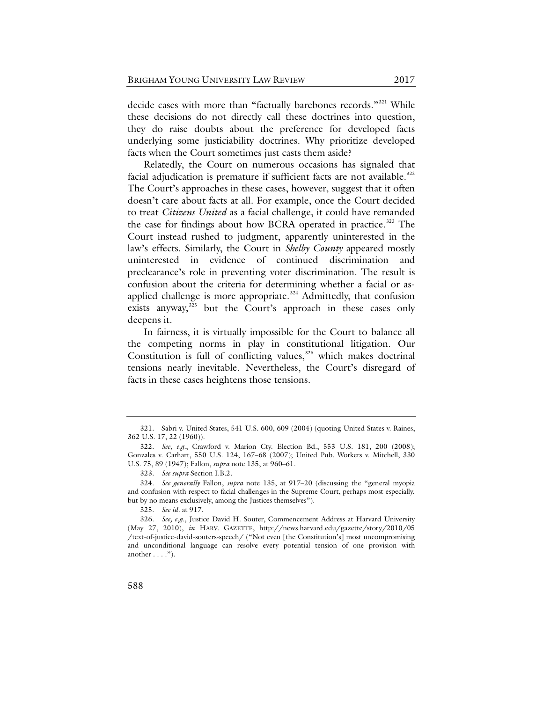decide cases with more than "factually barebones records."[321](#page-65-0) While these decisions do not directly call these doctrines into question, they do raise doubts about the preference for developed facts underlying some justiciability doctrines. Why prioritize developed facts when the Court sometimes just casts them aside?

Relatedly, the Court on numerous occasions has signaled that facial adjudication is premature if sufficient facts are not available.<sup>[322](#page-65-1)</sup> The Court's approaches in these cases, however, suggest that it often doesn't care about facts at all. For example, once the Court decided to treat *Citizens United* as a facial challenge, it could have remanded the case for findings about how BCRA operated in practice.<sup>[323](#page-65-2)</sup> The Court instead rushed to judgment, apparently uninterested in the law's effects. Similarly, the Court in *Shelby County* appeared mostly uninterested in evidence of continued discrimination and preclearance's role in preventing voter discrimination. The result is confusion about the criteria for determining whether a facial or as-applied challenge is more appropriate.<sup>[324](#page-65-3)</sup> Admittedly, that confusion exists anyway,<sup>[325](#page-65-4)</sup> but the Court's approach in these cases only deepens it.

In fairness, it is virtually impossible for the Court to balance all the competing norms in play in constitutional litigation. Our Constitution is full of conflicting values,<sup>[326](#page-65-5)</sup> which makes doctrinal tensions nearly inevitable. Nevertheless, the Court's disregard of facts in these cases heightens those tensions.

<span id="page-65-0"></span><sup>321.</sup> Sabri v. United States, 541 U.S. 600, 609 (2004) (quoting United States v. Raines, 362 U.S. 17, 22 (1960)).

<span id="page-65-1"></span><sup>322.</sup> *See, e.g.*, Crawford v. Marion Cty. Election Bd., 553 U.S. 181, 200 (2008); Gonzales v. Carhart, 550 U.S. 124, 167–68 (2007); United Pub. Workers v. Mitchell, 330 U.S. 75, 89 (1947); Fallon, *supra* not[e 135,](#page-27-0) at 960–61.

<sup>323.</sup> *See supra* Section I.B.2.

<span id="page-65-3"></span><span id="page-65-2"></span><sup>324.</sup> *See generally* Fallon, *supra* note [135,](#page-27-0) at 917–20 (discussing the "general myopia and confusion with respect to facial challenges in the Supreme Court, perhaps most especially, but by no means exclusively, among the Justices themselves").

<sup>325.</sup> *See id.* at 917.

<span id="page-65-5"></span><span id="page-65-4"></span><sup>326.</sup> *See, e.g.*, Justice David H. Souter, Commencement Address at Harvard University (May 27, 2010), *in* HARV. GAZETTE, http://news.harvard.edu/gazette/story/2010/05 /text-of-justice-david-souters-speech/ ("Not even [the Constitution's] most uncompromising and unconditional language can resolve every potential tension of one provision with another  $\dots$ .").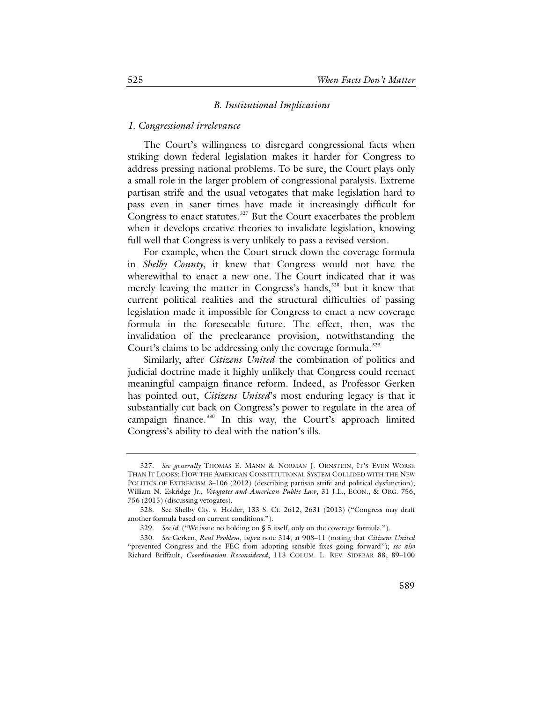#### <span id="page-66-4"></span>*B. Institutional Implications*

## *1. Congressional irrelevance*

The Court's willingness to disregard congressional facts when striking down federal legislation makes it harder for Congress to address pressing national problems. To be sure, the Court plays only a small role in the larger problem of congressional paralysis. Extreme partisan strife and the usual vetogates that make legislation hard to pass even in saner times have made it increasingly difficult for Congress to enact statutes.<sup>[327](#page-66-0)</sup> But the Court exacerbates the problem when it develops creative theories to invalidate legislation, knowing full well that Congress is very unlikely to pass a revised version.

For example, when the Court struck down the coverage formula in *Shelby County*, it knew that Congress would not have the wherewithal to enact a new one. The Court indicated that it was merely leaving the matter in Congress's hands,<sup>[328](#page-66-1)</sup> but it knew that current political realities and the structural difficulties of passing legislation made it impossible for Congress to enact a new coverage formula in the foreseeable future. The effect, then, was the invalidation of the preclearance provision, notwithstanding the Court's claims to be addressing only the coverage formula.<sup>[329](#page-66-2)</sup>

Similarly, after *Citizens United* the combination of politics and judicial doctrine made it highly unlikely that Congress could reenact meaningful campaign finance reform. Indeed, as Professor Gerken has pointed out, *Citizens United*'s most enduring legacy is that it substantially cut back on Congress's power to regulate in the area of campaign finance.<sup>[330](#page-66-3)</sup> In this way, the Court's approach limited Congress's ability to deal with the nation's ills.

<span id="page-66-0"></span><sup>327.</sup> *See generally* THOMAS E. MANN & NORMAN J. ORNSTEIN, IT'S EVEN WORSE THAN IT LOOKS: HOW THE AMERICAN CONSTITUTIONAL SYSTEM COLLIDED WITH THE NEW POLITICS OF EXTREMISM 3-106 (2012) (describing partisan strife and political dysfunction); William N. Eskridge Jr., *Vetogates and American Public Law*, 31 J.L., ECON., & ORG. 756, 756 (2015) (discussing vetogates).

<span id="page-66-1"></span><sup>328.</sup> See Shelby Cty. v. Holder, 133 S. Ct. 2612, 2631 (2013) ("Congress may draft another formula based on current conditions.").

<sup>329.</sup> *See id.* ("We issue no holding on § 5 itself, only on the coverage formula.").

<span id="page-66-3"></span><span id="page-66-2"></span><sup>330.</sup> *See* Gerken, *Real Problem*, *supra* note [314,](#page-63-6) at 908–11 (noting that *Citizens United* "prevented Congress and the FEC from adopting sensible fixes going forward"); *see also*  Richard Briffault, *Coordination Reconsidered*, 113 COLUM. L. REV. SIDEBAR 88, 89–100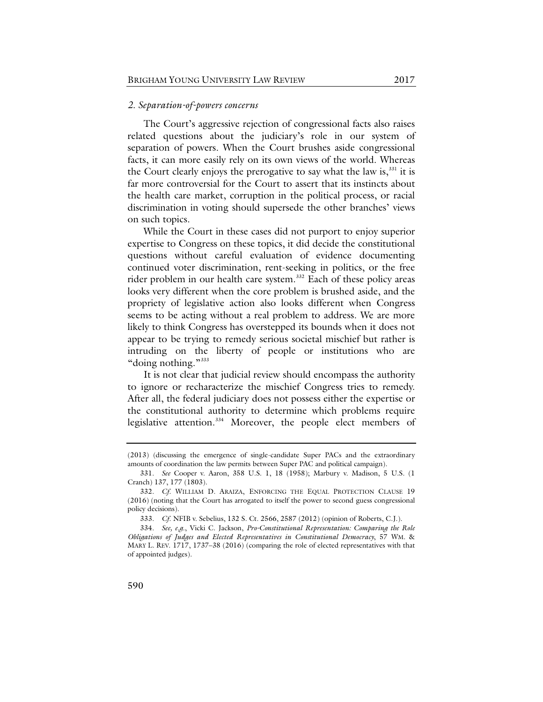#### *2. Separation-of-powers concerns*

The Court's aggressive rejection of congressional facts also raises related questions about the judiciary's role in our system of separation of powers. When the Court brushes aside congressional facts, it can more easily rely on its own views of the world. Whereas the Court clearly enjoys the prerogative to say what the law is, $331$  it is far more controversial for the Court to assert that its instincts about the health care market, corruption in the political process, or racial discrimination in voting should supersede the other branches' views on such topics.

While the Court in these cases did not purport to enjoy superior expertise to Congress on these topics, it did decide the constitutional questions without careful evaluation of evidence documenting continued voter discrimination, rent-seeking in politics, or the free rider problem in our health care system.<sup>[332](#page-67-1)</sup> Each of these policy areas looks very different when the core problem is brushed aside, and the propriety of legislative action also looks different when Congress seems to be acting without a real problem to address. We are more likely to think Congress has overstepped its bounds when it does not appear to be trying to remedy serious societal mischief but rather is intruding on the liberty of people or institutions who are "doing nothing."<sup>[333](#page-67-2)</sup>

It is not clear that judicial review should encompass the authority to ignore or recharacterize the mischief Congress tries to remedy. After all, the federal judiciary does not possess either the expertise or the constitutional authority to determine which problems require legislative attention.<sup>[334](#page-67-3)</sup> Moreover, the people elect members of

<sup>(2013) (</sup>discussing the emergence of single-candidate Super PACs and the extraordinary amounts of coordination the law permits between Super PAC and political campaign).

<sup>331.</sup> *See* Cooper v. Aaron, 358 U.S. 1, 18 (1958); Marbury v. Madison, 5 U.S. (1 Cranch) 137, 177 (1803).

<span id="page-67-1"></span><span id="page-67-0"></span><sup>332.</sup> *Cf*. WILLIAM D. ARAIZA, ENFORCING THE EQUAL PROTECTION CLAUSE 19 (2016) (noting that the Court has arrogated to itself the power to second guess congressional policy decisions).

<sup>333.</sup> *Cf*. NFIB v. Sebelius, 132 S. Ct. 2566, 2587 (2012) (opinion of Roberts, C.J.).

<span id="page-67-3"></span><span id="page-67-2"></span><sup>334.</sup> *See, e.g*., Vicki C. Jackson, *Pro-Constitutional Representation: Comparing the Role Obligations of Judges and Elected Representatives in Constitutional Democracy*, 57 WM. & MARY L. REV. 1717, 1737–38 (2016) (comparing the role of elected representatives with that of appointed judges).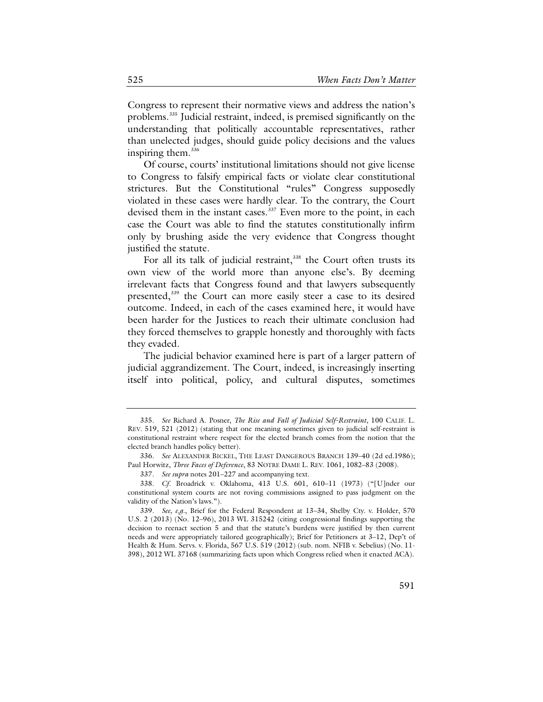Congress to represent their normative views and address the nation's problems.<sup>[335](#page-68-0)</sup> Judicial restraint, indeed, is premised significantly on the understanding that politically accountable representatives, rather than unelected judges, should guide policy decisions and the values inspiring them.<sup>[336](#page-68-1)</sup>

Of course, courts' institutional limitations should not give license to Congress to falsify empirical facts or violate clear constitutional strictures. But the Constitutional "rules" Congress supposedly violated in these cases were hardly clear. To the contrary, the Court devised them in the instant cases.<sup>[337](#page-68-2)</sup> Even more to the point, in each case the Court was able to find the statutes constitutionally infirm only by brushing aside the very evidence that Congress thought justified the statute.

For all its talk of judicial restraint, $338$  the Court often trusts its own view of the world more than anyone else's. By deeming irrelevant facts that Congress found and that lawyers subsequently presented,<sup>[339](#page-68-4)</sup> the Court can more easily steer a case to its desired outcome. Indeed, in each of the cases examined here, it would have been harder for the Justices to reach their ultimate conclusion had they forced themselves to grapple honestly and thoroughly with facts they evaded.

The judicial behavior examined here is part of a larger pattern of judicial aggrandizement. The Court, indeed, is increasingly inserting itself into political, policy, and cultural disputes, sometimes

<span id="page-68-0"></span><sup>335.</sup> *See* Richard A. Posner, *The Rise and Fall of Judicial Self-Restraint*, 100 CALIF. L. REV. 519, 521 (2012) (stating that one meaning sometimes given to judicial self-restraint is constitutional restraint where respect for the elected branch comes from the notion that the elected branch handles policy better).

<span id="page-68-1"></span><sup>336.</sup> *See* ALEXANDER BICKEL, THE LEAST DANGEROUS BRANCH 139–40 (2d ed.1986); Paul Horwitz, *Three Faces of Deference*, 83 NOTRE DAME L. REV. 1061, 1082–83 (2008).

<sup>337.</sup> *See supra* note[s 201](#page-43-9)[–227](#page-46-6) and accompanying text.

<span id="page-68-3"></span><span id="page-68-2"></span><sup>338.</sup> *Cf*. Broadrick v. Oklahoma, 413 U.S. 601, 610–11 (1973) ("[U]nder our constitutional system courts are not roving commissions assigned to pass judgment on the validity of the Nation's laws.").

<span id="page-68-4"></span><sup>339.</sup> *See, e.g.*, Brief for the Federal Respondent at 13–34, Shelby Cty. v. Holder, 570 U.S. 2 (2013) (No. 12–96), 2013 WL 315242 (citing congressional findings supporting the decision to reenact section 5 and that the statute's burdens were justified by then current needs and were appropriately tailored geographically); Brief for Petitioners at 3–12, Dep't of Health & Hum. Servs. v. Florida, 567 U.S. 519 (2012) (sub. nom. NFIB v. Sebelius) (No. 11- 398), 2012 WL 37168 (summarizing facts upon which Congress relied when it enacted ACA).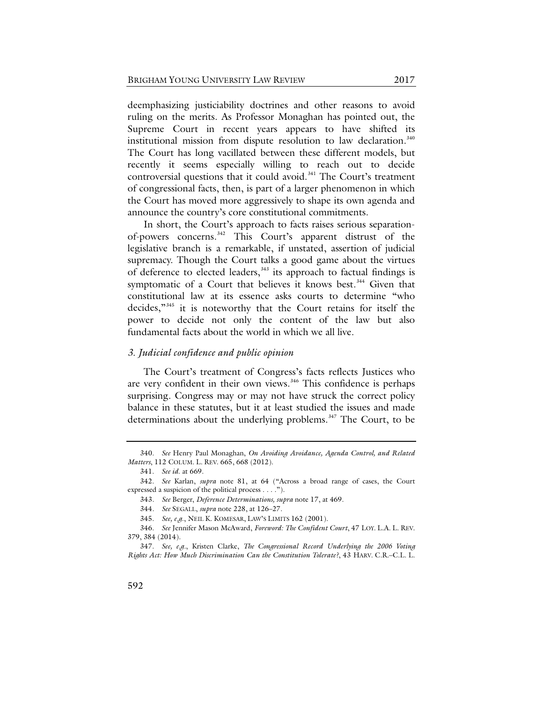deemphasizing justiciability doctrines and other reasons to avoid ruling on the merits. As Professor Monaghan has pointed out, the Supreme Court in recent years appears to have shifted its institutional mission from dispute resolution to law declaration.<sup>[340](#page-69-0)</sup> The Court has long vacillated between these different models, but recently it seems especially willing to reach out to decide controversial questions that it could avoid.<sup>[341](#page-69-1)</sup> The Court's treatment of congressional facts, then, is part of a larger phenomenon in which the Court has moved more aggressively to shape its own agenda and announce the country's core constitutional commitments.

In short, the Court's approach to facts raises serious separationof-powers concerns.[342](#page-69-2) This Court's apparent distrust of the legislative branch is a remarkable, if unstated, assertion of judicial supremacy. Though the Court talks a good game about the virtues of deference to elected leaders,<sup>[343](#page-69-3)</sup> its approach to factual findings is symptomatic of a Court that believes it knows best.<sup>[344](#page-69-4)</sup> Given that constitutional law at its essence asks courts to determine "who decides,["345](#page-69-5) it is noteworthy that the Court retains for itself the power to decide not only the content of the law but also fundamental facts about the world in which we all live.

## *3. Judicial confidence and public opinion*

The Court's treatment of Congress's facts reflects Justices who are very confident in their own views.<sup>[346](#page-69-6)</sup> This confidence is perhaps surprising. Congress may or may not have struck the correct policy balance in these statutes, but it at least studied the issues and made determinations about the underlying problems.<sup>347</sup> The Court, to be

<span id="page-69-0"></span><sup>340.</sup> *See* Henry Paul Monaghan, *On Avoiding Avoidance, Agenda Control, and Related Matters*, 112 COLUM. L. REV. 665, 668 (2012).

<sup>341.</sup> *See id*. at 669.

<span id="page-69-3"></span><span id="page-69-2"></span><span id="page-69-1"></span><sup>342.</sup> *See* Karlan, *supra* note [81,](#page-18-0) at 64 ("Across a broad range of cases, the Court expressed a suspicion of the political process . . . .").

<sup>343.</sup> *See* Berger, *Deference Determinations, supra* note [17,](#page-8-1) at 469.

<sup>344.</sup> *See* SEGALL, *supra* not[e 228,](#page-46-5) at 126–27.

<sup>345.</sup> *See, e.g*., NEIL K. KOMESAR, LAW'S LIMITS 162 (2001).

<span id="page-69-6"></span><span id="page-69-5"></span><span id="page-69-4"></span><sup>346.</sup> *See* Jennifer Mason McAward, *Foreword: The Confident Court*, 47 LOY. L.A. L. REV. 379, 384 (2014).

<span id="page-69-7"></span><sup>347.</sup> *See, e.g.*, Kristen Clarke, *The Congressional Record Underlying the 2006 Voting Rights Act: How Much Discrimination Can the Constitution Tolerate?*, 43 HARV. C.R.–C.L. L.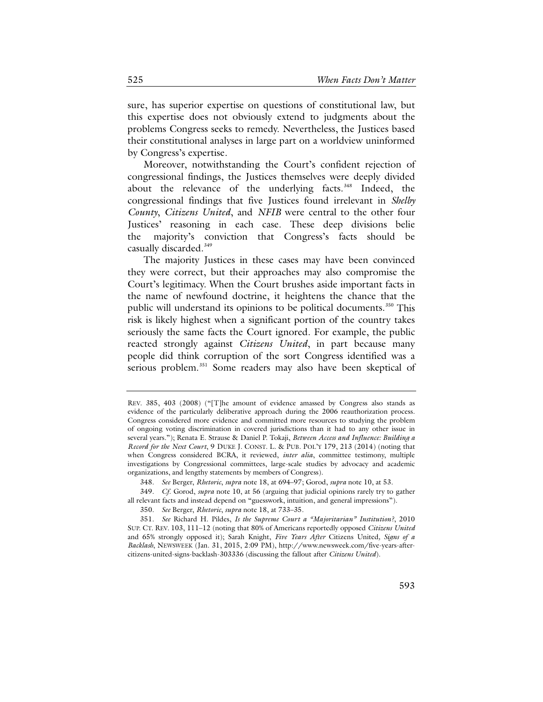sure, has superior expertise on questions of constitutional law, but this expertise does not obviously extend to judgments about the problems Congress seeks to remedy. Nevertheless, the Justices based their constitutional analyses in large part on a worldview uninformed by Congress's expertise.

Moreover, notwithstanding the Court's confident rejection of congressional findings, the Justices themselves were deeply divided about the relevance of the underlying facts. $348$  Indeed, the congressional findings that five Justices found irrelevant in *Shelby County*, *Citizens United*, and *NFIB* were central to the other four Justices' reasoning in each case. These deep divisions belie the majority's conviction that Congress's facts should be casually discarded.<sup>[349](#page-70-1)</sup>

The majority Justices in these cases may have been convinced they were correct, but their approaches may also compromise the Court's legitimacy. When the Court brushes aside important facts in the name of newfound doctrine, it heightens the chance that the public will understand its opinions to be political documents.<sup>[350](#page-70-2)</sup> This risk is likely highest when a significant portion of the country takes seriously the same facts the Court ignored. For example, the public reacted strongly against *Citizens United*, in part because many people did think corruption of the sort Congress identified was a serious problem.<sup>[351](#page-70-3)</sup> Some readers may also have been skeptical of

REV. 385, 403 (2008) ("[T]he amount of evidence amassed by Congress also stands as evidence of the particularly deliberative approach during the 2006 reauthorization process. Congress considered more evidence and committed more resources to studying the problem of ongoing voting discrimination in covered jurisdictions than it had to any other issue in several years."); Renata E. Strause & Daniel P. Tokaji, *Between Access and Influence: Building a Record for the Next Court*, 9 DUKE J. CONST. L. & PUB. POL'Y 179, 213 (2014) (noting that when Congress considered BCRA, it reviewed, *inter alia*, committee testimony, multiple investigations by Congressional committees, large-scale studies by advocacy and academic organizations, and lengthy statements by members of Congress).

<sup>348.</sup> *See* Berger, *Rhetoric*, *supra* not[e 18,](#page-8-0) at 694–97; Gorod, *supra* not[e 10,](#page-7-4) at 53.

<span id="page-70-1"></span><span id="page-70-0"></span><sup>349.</sup> *Cf*. Gorod, *supra* note [10,](#page-7-4) at 56 (arguing that judicial opinions rarely try to gather all relevant facts and instead depend on "guesswork, intuition, and general impressions").

<sup>350.</sup> *See* Berger, *Rhetoric*, *supra* note [18,](#page-8-0) at 733–35.

<span id="page-70-3"></span><span id="page-70-2"></span><sup>351.</sup> *See* Richard H. Pildes, *Is the Supreme Court a "Majoritarian" Institution?*, 2010 SUP. CT. REV. 103, 111–12 (noting that 80% of Americans reportedly opposed *Citizens United* and 65% strongly opposed it); Sarah Knight, *Five Years After* Citizens United*, Signs of a Backlash*, NEWSWEEK (Jan. 31, 2015, 2:09 PM), http://www.newsweek.com/five-years-aftercitizens-united-signs-backlash-303336 (discussing the fallout after *Citizens United*).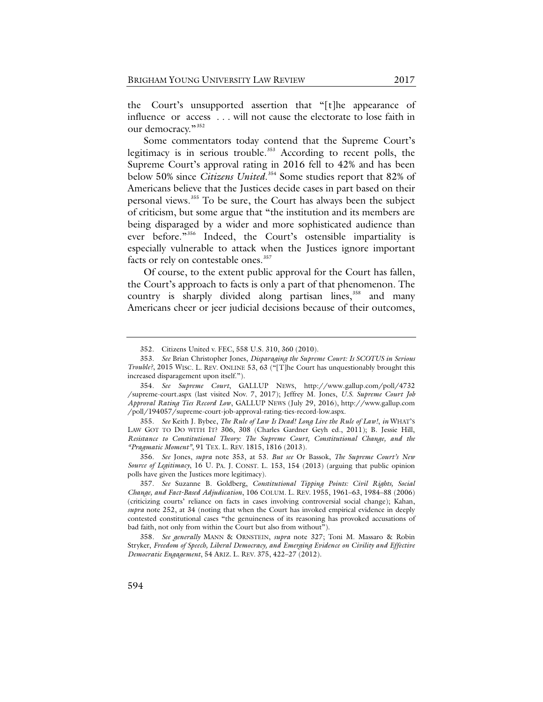the Court's unsupported assertion that "[t]he appearance of influence or access . . . will not cause the electorate to lose faith in our democracy."<sup>[352](#page-71-1)</sup>

<span id="page-71-0"></span>Some commentators today contend that the Supreme Court's legitimacy is in serious trouble.<sup>[353](#page-71-2)</sup> According to recent polls, the Supreme Court's approval rating in 2016 fell to 42% and has been below 50% since *Citizens United*. [354](#page-71-3) Some studies report that 82% of Americans believe that the Justices decide cases in part based on their personal views.[355](#page-71-4) To be sure, the Court has always been the subject of criticism, but some argue that "the institution and its members are being disparaged by a wider and more sophisticated audience than ever before."[356](#page-71-5) Indeed, the Court's ostensible impartiality is especially vulnerable to attack when the Justices ignore important facts or rely on contestable ones.<sup>[357](#page-71-6)</sup>

Of course, to the extent public approval for the Court has fallen, the Court's approach to facts is only a part of that phenomenon. The country is sharply divided along partisan lines, $358$  and many Americans cheer or jeer judicial decisions because of their outcomes,

<sup>352.</sup> Citizens United v. FEC, 558 U.S. 310, 360 (2010).

<span id="page-71-2"></span><span id="page-71-1"></span><sup>353.</sup> *See* Brian Christopher Jones, *Disparaging the Supreme Court: Is SCOTUS in Serious Trouble?*, 2015 WISC. L. REV. ONLINE 53, 63 ("[T]he Court has unquestionably brought this increased disparagement upon itself.").

<span id="page-71-3"></span><sup>354.</sup> *See Supreme Court*, GALLUP NEWS, http://www.gallup.com/poll/4732 /supreme-court.aspx (last visited Nov. 7, 2017); Jeffrey M. Jones, *U.S. Supreme Court Job Approval Rating Ties Record Low*, GALLUP NEWS (July 29, 2016), http://www.gallup.com /poll/194057/supreme-court-job-approval-rating-ties-record-low.aspx.

<span id="page-71-4"></span><sup>355.</sup> *See* Keith J. Bybee, *The Rule of Law Is Dead! Long Live the Rule of Law!*, *in* WHAT'S LAW GOT TO DO WITH IT? 306, 308 (Charles Gardner Geyh ed., 2011); B. Jessie Hill, *Resistance to Constitutional Theory: The Supreme Court, Constitutional Change, and the "Pragmatic Moment"*, 91 TEX. L. REV. 1815, 1816 (2013).

<span id="page-71-5"></span><sup>356.</sup> *See* Jones, *supra* note [353,](#page-71-0) at 53. *But see* Or Bassok, *The Supreme Court's New Source of Legitimacy*, 16 U. PA. J. CONST. L. 153, 154 (2013) (arguing that public opinion polls have given the Justices more legitimacy).

<span id="page-71-6"></span><sup>357.</sup> *See* Suzanne B. Goldberg, *Constitutional Tipping Points: Civil Rights, Social Change, and Fact-Based Adjudication*, 106 COLUM. L. REV. 1955, 1961–63, 1984–88 (2006) (criticizing courts' reliance on facts in cases involving controversial social change); Kahan, *supra* note [252,](#page-51-0) at 34 (noting that when the Court has invoked empirical evidence in deeply contested constitutional cases "the genuineness of its reasoning has provoked accusations of bad faith, not only from within the Court but also from without").

<span id="page-71-7"></span><sup>358.</sup> *See generally* MANN & ORNSTEIN, *supra* note [327;](#page-66-4) Toni M. Massaro & Robin Stryker, *Freedom of Speech, Liberal Democracy, and Emerging Evidence on Civility and Effective Democratic Engagement*, 54 ARIZ. L. REV. 375, 422–27 (2012).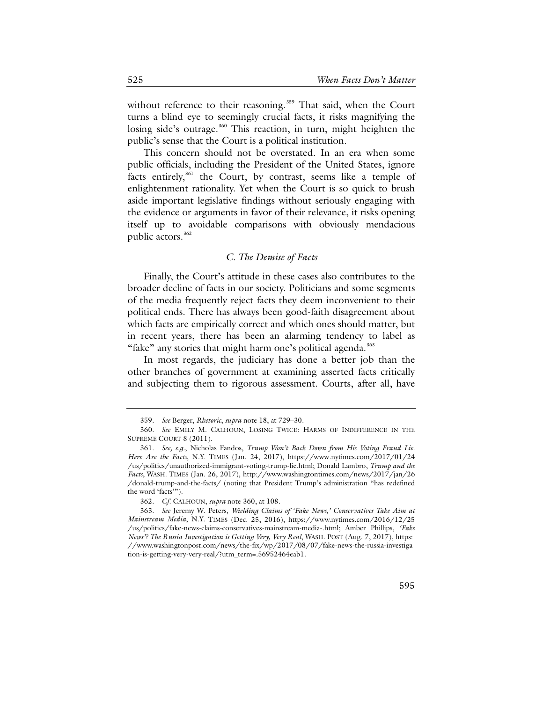<span id="page-72-0"></span>without reference to their reasoning.<sup>[359](#page-72-1)</sup> That said, when the Court turns a blind eye to seemingly crucial facts, it risks magnifying the losing side's outrage.<sup>[360](#page-72-2)</sup> This reaction, in turn, might heighten the public's sense that the Court is a political institution.

This concern should not be overstated. In an era when some public officials, including the President of the United States, ignore facts entirely, $361$  the Court, by contrast, seems like a temple of enlightenment rationality. Yet when the Court is so quick to brush aside important legislative findings without seriously engaging with the evidence or arguments in favor of their relevance, it risks opening itself up to avoidable comparisons with obviously mendacious public actors.[362](#page-72-4)

### *C. The Demise of Facts*

Finally, the Court's attitude in these cases also contributes to the broader decline of facts in our society. Politicians and some segments of the media frequently reject facts they deem inconvenient to their political ends. There has always been good-faith disagreement about which facts are empirically correct and which ones should matter, but in recent years, there has been an alarming tendency to label as "fake" any stories that might harm one's political agenda.<sup>[363](#page-72-5)</sup>

In most regards, the judiciary has done a better job than the other branches of government at examining asserted facts critically and subjecting them to rigorous assessment. Courts, after all, have

<sup>359.</sup> *See* Berger, *Rhetoric*, *supra* not[e 18,](#page-8-0) at 729–30.

<span id="page-72-2"></span><span id="page-72-1"></span><sup>360.</sup> *See* EMILY M. CALHOUN, LOSING TWICE: HARMS OF INDIFFERENCE IN THE SUPREME COURT 8 (2011).

<span id="page-72-3"></span><sup>361.</sup> *See, e.g.*, Nicholas Fandos, *Trump Won't Back Down from His Voting Fraud Lie. Here Are the Facts*, N.Y. TIMES (Jan. 24, 2017), https://www.nytimes.com/2017/01/24 /us/politics/unauthorized-immigrant-voting-trump-lie.html; Donald Lambro, *Trump and the Facts*, WASH. TIMES (Jan. 26, 2017), http://www.washingtontimes.com/news/2017/jan/26 /donald-trump-and-the-facts/ (noting that President Trump's administration "has redefined the word 'facts'").

<sup>362.</sup> *Cf*. CALHOUN, *supra* note [360,](#page-72-0) at 108.

<span id="page-72-5"></span><span id="page-72-4"></span><sup>363.</sup> *See* Jeremy W. Peters, *Wielding Claims of 'Fake News,' Conservatives Take Aim at Mainstream Media*, N.Y. TIMES (Dec. 25, 2016), https://www.nytimes.com/2016/12/25 /us/politics/fake-news-claims-conservatives-mainstream-media-.html; Amber Phillips, *'Fake News'? The Russia Investigation is Getting Very, Very Real*, WASH. POST (Aug. 7, 2017), https: //www.washingtonpost.com/news/the-fix/wp/2017/08/07/fake-news-the-russia-investiga tion-is-getting-very-very-real/?utm\_term=.56952464eab1.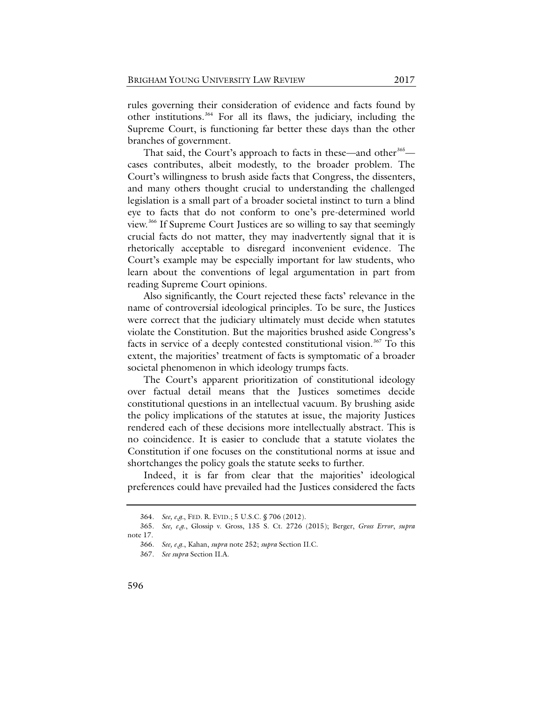rules governing their consideration of evidence and facts found by other institutions.[364](#page-73-0) For all its flaws, the judiciary, including the Supreme Court, is functioning far better these days than the other branches of government.

That said, the Court's approach to facts in these—and other<sup>[365](#page-73-1)</sup> cases contributes, albeit modestly, to the broader problem. The Court's willingness to brush aside facts that Congress, the dissenters, and many others thought crucial to understanding the challenged legislation is a small part of a broader societal instinct to turn a blind eye to facts that do not conform to one's pre-determined world view.[366](#page-73-2) If Supreme Court Justices are so willing to say that seemingly crucial facts do not matter, they may inadvertently signal that it is rhetorically acceptable to disregard inconvenient evidence. The Court's example may be especially important for law students, who learn about the conventions of legal argumentation in part from reading Supreme Court opinions.

Also significantly, the Court rejected these facts' relevance in the name of controversial ideological principles. To be sure, the Justices were correct that the judiciary ultimately must decide when statutes violate the Constitution. But the majorities brushed aside Congress's facts in service of a deeply contested constitutional vision.<sup>[367](#page-73-3)</sup> To this extent, the majorities' treatment of facts is symptomatic of a broader societal phenomenon in which ideology trumps facts.

The Court's apparent prioritization of constitutional ideology over factual detail means that the Justices sometimes decide constitutional questions in an intellectual vacuum. By brushing aside the policy implications of the statutes at issue, the majority Justices rendered each of these decisions more intellectually abstract. This is no coincidence. It is easier to conclude that a statute violates the Constitution if one focuses on the constitutional norms at issue and shortchanges the policy goals the statute seeks to further.

Indeed, it is far from clear that the majorities' ideological preferences could have prevailed had the Justices considered the facts

<sup>364.</sup> *See, e.g.*, FED. R. EVID.; 5 U.S.C. § 706 (2012).

<span id="page-73-3"></span><span id="page-73-2"></span><span id="page-73-1"></span><span id="page-73-0"></span><sup>365.</sup> *See, e.g*., Glossip v. Gross, 135 S. Ct. 2726 (2015); Berger, *Gross Error*, *supra*  note [17.](#page-8-1)

<sup>366.</sup> *See, e.g*., Kahan, *supra* not[e 252;](#page-51-0) *supra* Section II.C.

<sup>367.</sup> *See supra* Section II.A.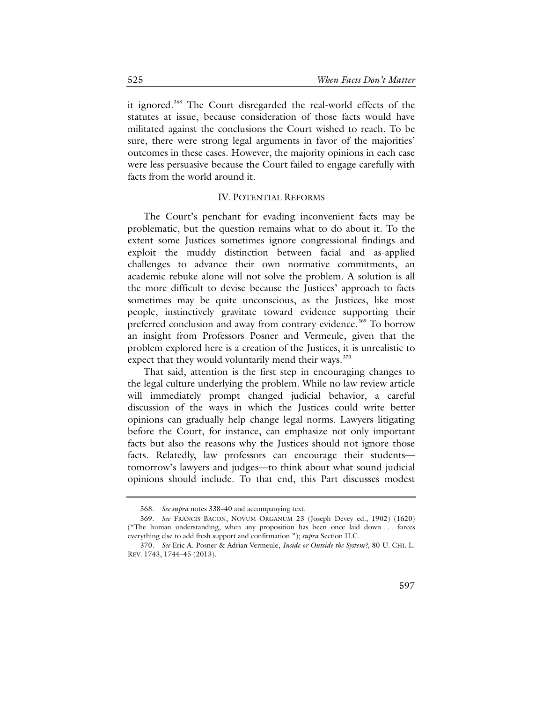it ignored.<sup>[368](#page-74-0)</sup> The Court disregarded the real-world effects of the statutes at issue, because consideration of those facts would have militated against the conclusions the Court wished to reach. To be sure, there were strong legal arguments in favor of the majorities' outcomes in these cases. However, the majority opinions in each case were less persuasive because the Court failed to engage carefully with facts from the world around it.

## IV. POTENTIAL REFORMS

The Court's penchant for evading inconvenient facts may be problematic, but the question remains what to do about it. To the extent some Justices sometimes ignore congressional findings and exploit the muddy distinction between facial and as-applied challenges to advance their own normative commitments, an academic rebuke alone will not solve the problem. A solution is all the more difficult to devise because the Justices' approach to facts sometimes may be quite unconscious, as the Justices, like most people, instinctively gravitate toward evidence supporting their preferred conclusion and away from contrary evidence.<sup>[369](#page-74-1)</sup> To borrow an insight from Professors Posner and Vermeule, given that the problem explored here is a creation of the Justices, it is unrealistic to expect that they would voluntarily mend their ways.<sup>[370](#page-74-2)</sup>

That said, attention is the first step in encouraging changes to the legal culture underlying the problem. While no law review article will immediately prompt changed judicial behavior, a careful discussion of the ways in which the Justices could write better opinions can gradually help change legal norms. Lawyers litigating before the Court, for instance, can emphasize not only important facts but also the reasons why the Justices should not ignore those facts. Relatedly, law professors can encourage their students tomorrow's lawyers and judges—to think about what sound judicial opinions should include. To that end, this Part discusses modest

<sup>368.</sup> *See supra* note[s 338–](#page-68-0)40 and accompanying text.

<span id="page-74-1"></span><span id="page-74-0"></span><sup>369.</sup> *See* FRANCIS BACON, NOVUM ORGANUM 23 (Joseph Devey ed., 1902) (1620) ("The human understanding, when any proposition has been once laid down . . . forces everything else to add fresh support and confirmation."); *supra* Section II.C.

<span id="page-74-2"></span><sup>370.</sup> *See* Eric A. Posner & Adrian Vermeule, *Inside or Outside the System?*, 80 U. CHI. L. REV. 1743, 1744–45 (2013).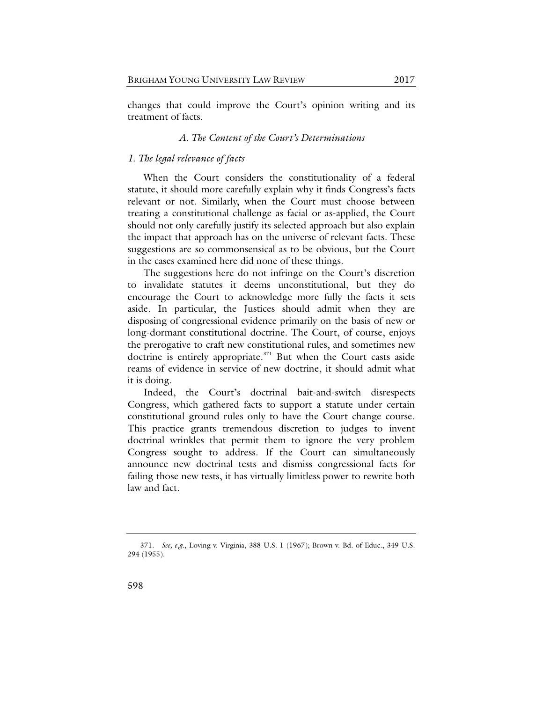changes that could improve the Court's opinion writing and its treatment of facts.

## *A. The Content of the Court's Determinations*

## *1. The legal relevance of facts*

When the Court considers the constitutionality of a federal statute, it should more carefully explain why it finds Congress's facts relevant or not. Similarly, when the Court must choose between treating a constitutional challenge as facial or as-applied, the Court should not only carefully justify its selected approach but also explain the impact that approach has on the universe of relevant facts. These suggestions are so commonsensical as to be obvious, but the Court in the cases examined here did none of these things.

The suggestions here do not infringe on the Court's discretion to invalidate statutes it deems unconstitutional, but they do encourage the Court to acknowledge more fully the facts it sets aside. In particular, the Justices should admit when they are disposing of congressional evidence primarily on the basis of new or long-dormant constitutional doctrine. The Court, of course, enjoys the prerogative to craft new constitutional rules, and sometimes new doctrine is entirely appropriate. $371$  But when the Court casts aside reams of evidence in service of new doctrine, it should admit what it is doing.

Indeed, the Court's doctrinal bait-and-switch disrespects Congress, which gathered facts to support a statute under certain constitutional ground rules only to have the Court change course. This practice grants tremendous discretion to judges to invent doctrinal wrinkles that permit them to ignore the very problem Congress sought to address. If the Court can simultaneously announce new doctrinal tests and dismiss congressional facts for failing those new tests, it has virtually limitless power to rewrite both law and fact.

<span id="page-75-0"></span><sup>371.</sup> *See, e.g.*, Loving v. Virginia, 388 U.S. 1 (1967); Brown v. Bd. of Educ., 349 U.S. 294 (1955).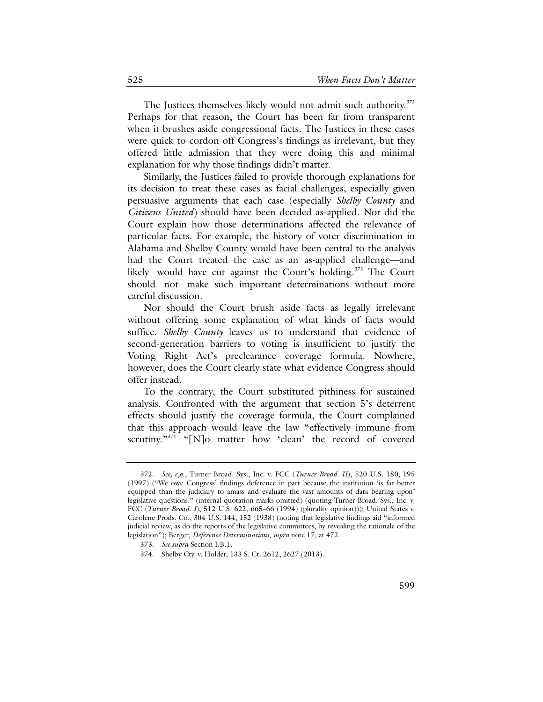The Justices themselves likely would not admit such authority.<sup>[372](#page-76-0)</sup> Perhaps for that reason, the Court has been far from transparent when it brushes aside congressional facts. The Justices in these cases were quick to cordon off Congress's findings as irrelevant, but they offered little admission that they were doing this and minimal explanation for why those findings didn't matter.

Similarly, the Justices failed to provide thorough explanations for its decision to treat these cases as facial challenges, especially given persuasive arguments that each case (especially *Shelby County* and *Citizens United*) should have been decided as-applied. Nor did the Court explain how those determinations affected the relevance of particular facts. For example, the history of voter discrimination in Alabama and Shelby County would have been central to the analysis had the Court treated the case as an as-applied challenge—and likely would have cut against the Court's holding.<sup>[373](#page-76-1)</sup> The Court should not make such important determinations without more careful discussion.

Nor should the Court brush aside facts as legally irrelevant without offering some explanation of what kinds of facts would suffice. *Shelby County* leaves us to understand that evidence of second-generation barriers to voting is insufficient to justify the Voting Right Act's preclearance coverage formula. Nowhere, however, does the Court clearly state what evidence Congress should offer instead.

To the contrary, the Court substituted pithiness for sustained analysis. Confronted with the argument that section 5's deterrent effects should justify the coverage formula, the Court complained that this approach would leave the law "effectively immune from scrutiny."<sup>[374](#page-76-2)</sup> "[N]o matter how 'clean' the record of covered

<span id="page-76-0"></span><sup>372.</sup> *See, e.g*., Turner Broad. Sys., Inc. v. FCC (*Turner Broad. II*), 520 U.S. 180, 195 (1997) ("We owe Congress' findings deference in part because the institution 'is far better equipped than the judiciary to amass and evaluate the vast amounts of data bearing upon' legislative questions." (internal quotation marks omitted) (quoting Turner Broad. Sys., Inc. v. FCC (*Turner Broad. I*), 512 U.S. 622, 665–66 (1994) (plurality opinion))); United States v. Carolene Prods. Co., 304 U.S. 144, 152 (1938) (noting that legislative findings aid "informed judicial review, as do the reports of the legislative committees, by revealing the rationale of the legislation"); Berger, *Deference Determinations*, *supra* note [17,](#page-8-1) at 472.

<span id="page-76-2"></span><span id="page-76-1"></span><sup>373.</sup> *See supra* Section I.B.1.

<sup>374.</sup> Shelby Cty. v. Holder, 133 S. Ct. 2612, 2627 (2013).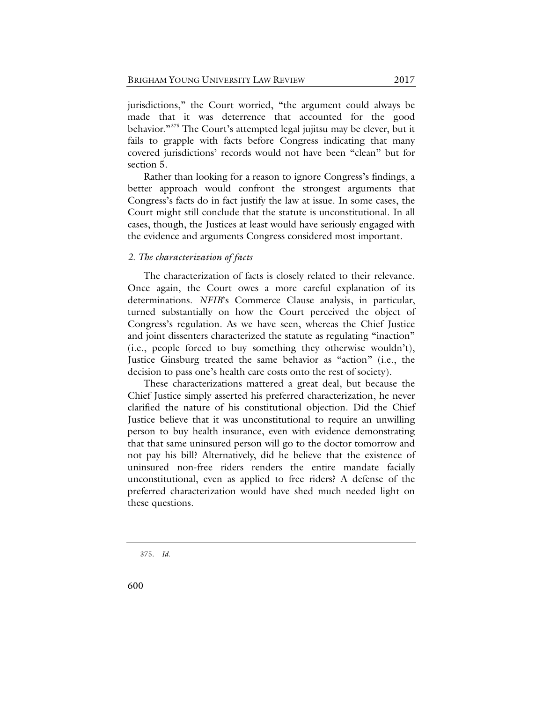jurisdictions," the Court worried, "the argument could always be made that it was deterrence that accounted for the good behavior."<sup>[375](#page-77-0)</sup> The Court's attempted legal jujitsu may be clever, but it fails to grapple with facts before Congress indicating that many covered jurisdictions' records would not have been "clean" but for section 5.

Rather than looking for a reason to ignore Congress's findings, a better approach would confront the strongest arguments that Congress's facts do in fact justify the law at issue. In some cases, the Court might still conclude that the statute is unconstitutional. In all cases, though, the Justices at least would have seriously engaged with the evidence and arguments Congress considered most important.

# *2. The characterization of facts*

The characterization of facts is closely related to their relevance. Once again, the Court owes a more careful explanation of its determinations. *NFIB*'s Commerce Clause analysis, in particular, turned substantially on how the Court perceived the object of Congress's regulation. As we have seen, whereas the Chief Justice and joint dissenters characterized the statute as regulating "inaction" (i.e., people forced to buy something they otherwise wouldn't), Justice Ginsburg treated the same behavior as "action" (i.e., the decision to pass one's health care costs onto the rest of society).

These characterizations mattered a great deal, but because the Chief Justice simply asserted his preferred characterization, he never clarified the nature of his constitutional objection. Did the Chief Justice believe that it was unconstitutional to require an unwilling person to buy health insurance, even with evidence demonstrating that that same uninsured person will go to the doctor tomorrow and not pay his bill? Alternatively, did he believe that the existence of uninsured non-free riders renders the entire mandate facially unconstitutional, even as applied to free riders? A defense of the preferred characterization would have shed much needed light on these questions.

<span id="page-77-0"></span>375. *Id.*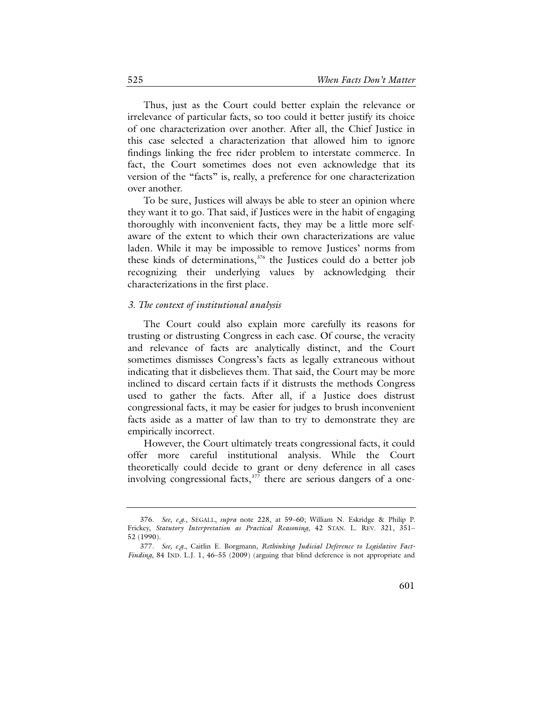Thus, just as the Court could better explain the relevance or irrelevance of particular facts, so too could it better justify its choice of one characterization over another. After all, the Chief Justice in this case selected a characterization that allowed him to ignore findings linking the free rider problem to interstate commerce. In fact, the Court sometimes does not even acknowledge that its version of the "facts" is, really, a preference for one characterization over another.

To be sure, Justices will always be able to steer an opinion where they want it to go. That said, if Justices were in the habit of engaging thoroughly with inconvenient facts, they may be a little more selfaware of the extent to which their own characterizations are value laden. While it may be impossible to remove Justices' norms from these kinds of determinations, $376$  the Justices could do a better job recognizing their underlying values by acknowledging their characterizations in the first place.

### *3. The context of institutional analysis*

The Court could also explain more carefully its reasons for trusting or distrusting Congress in each case. Of course, the veracity and relevance of facts are analytically distinct, and the Court sometimes dismisses Congress's facts as legally extraneous without indicating that it disbelieves them. That said, the Court may be more inclined to discard certain facts if it distrusts the methods Congress used to gather the facts. After all, if a Justice does distrust congressional facts, it may be easier for judges to brush inconvenient facts aside as a matter of law than to try to demonstrate they are empirically incorrect.

<span id="page-78-2"></span>However, the Court ultimately treats congressional facts, it could offer more careful institutional analysis. While the Court theoretically could decide to grant or deny deference in all cases involving congressional facts,<sup>[377](#page-78-1)</sup> there are serious dangers of a one-

<span id="page-78-0"></span><sup>376.</sup> *See, e.g.*, SEGALL, *supra* note [228,](#page-46-0) at 59–60; William N. Eskridge & Philip P. Frickey, *Statutory Interpretation as Practical Reasoning*, 42 STAN. L. REV. 321, 351– 52 (1990).

<span id="page-78-1"></span><sup>377.</sup> *See, e.g.*, Caitlin E. Borgmann*, Rethinking Judicial Deference to Legislative Fact-Finding*, 84 IND. L.J. 1, 46–55 (2009) (arguing that blind deference is not appropriate and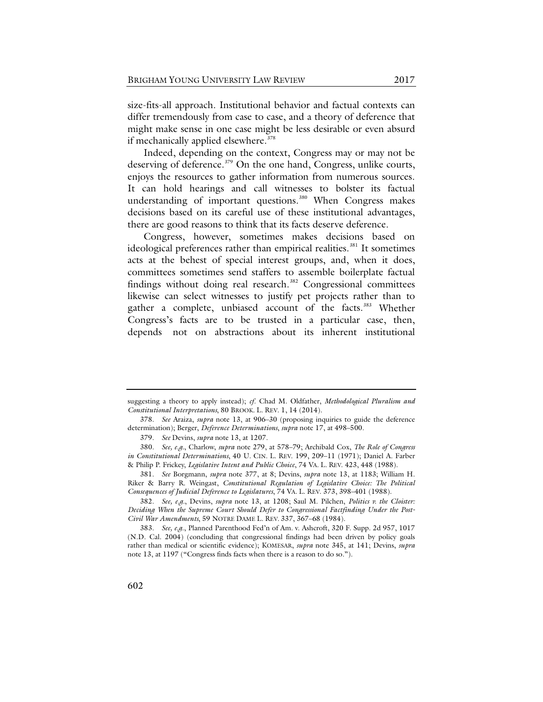size-fits-all approach. Institutional behavior and factual contexts can differ tremendously from case to case, and a theory of deference that might make sense in one case might be less desirable or even absurd if mechanically applied elsewhere. [378](#page-79-0)

Indeed, depending on the context, Congress may or may not be deserving of deference. [379](#page-79-1) On the one hand, Congress, unlike courts, enjoys the resources to gather information from numerous sources. It can hold hearings and call witnesses to bolster its factual understanding of important questions.<sup>[380](#page-79-2)</sup> When Congress makes decisions based on its careful use of these institutional advantages, there are good reasons to think that its facts deserve deference.

Congress, however, sometimes makes decisions based on ideological preferences rather than empirical realities.<sup>[381](#page-79-3)</sup> It sometimes acts at the behest of special interest groups, and, when it does, committees sometimes send staffers to assemble boilerplate factual findings without doing real research. $382$  Congressional committees likewise can select witnesses to justify pet projects rather than to gather a complete, unbiased account of the facts.<sup>[383](#page-79-5)</sup> Whether Congress's facts are to be trusted in a particular case, then, depends not on abstractions about its inherent institutional

suggesting a theory to apply instead); *cf*. Chad M. Oldfather, *Methodological Pluralism and Constitutional Interpretations*, 80 BROOK. L. REV. 1, 14 (2014).

<span id="page-79-0"></span><sup>378.</sup> *See* Araiza, *supra* note [13,](#page-7-0) at 906–30 (proposing inquiries to guide the deference determination); Berger, *Deference Determinations*, *supra* not[e 17,](#page-8-1) at 498–500.

<sup>379.</sup> *See* Devins, *supra* note [13,](#page-7-1) at 1207.

<span id="page-79-2"></span><span id="page-79-1"></span><sup>380.</sup> *See, e.g.*, Charlow, *supra* note 279, at 578–79; Archibald Cox, *The Role of Congress in Constitutional Determinations*, 40 U. CIN. L. REV. 199, 209–11 (1971); Daniel A. Farber & Philip P. Frickey, *Legislative Intent and Public Choice*, 74 VA. L. REV. 423, 448 (1988).

<span id="page-79-3"></span><sup>381.</sup> *See* Borgmann, *supra* note [377,](#page-78-2) at 8; Devins, *supra* note [13,](#page-7-0) at 1183; William H. Riker & Barry R. Weingast, *Constitutional Regulation of Legislative Choice: The Political Consequences of Judicial Deference to Legislatures*, 74 VA. L. REV. 373, 398–401 (1988).

<span id="page-79-4"></span><sup>382.</sup> *See, e.g.*, Devins, *supra* note [13,](#page-7-1) at 1208; Saul M. Pilchen, *Politics v. the Cloister: Deciding When the Supreme Court Should Defer to Congressional Factfinding Under the Post-Civil War Amendments*, 59 NOTRE DAME L. REV. 337, 367–68 (1984).

<span id="page-79-5"></span><sup>383.</sup> *See, e.g*., Planned Parenthood Fed'n of Am. v. Ashcroft, 320 F. Supp. 2d 957, 1017 (N.D. Cal. 2004) (concluding that congressional findings had been driven by policy goals rather than medical or scientific evidence); KOMESAR, *supra* note [345,](#page-69-0) at 141; Devins, *supra* not[e 13,](#page-7-0) at 1197 ("Congress finds facts when there is a reason to do so.").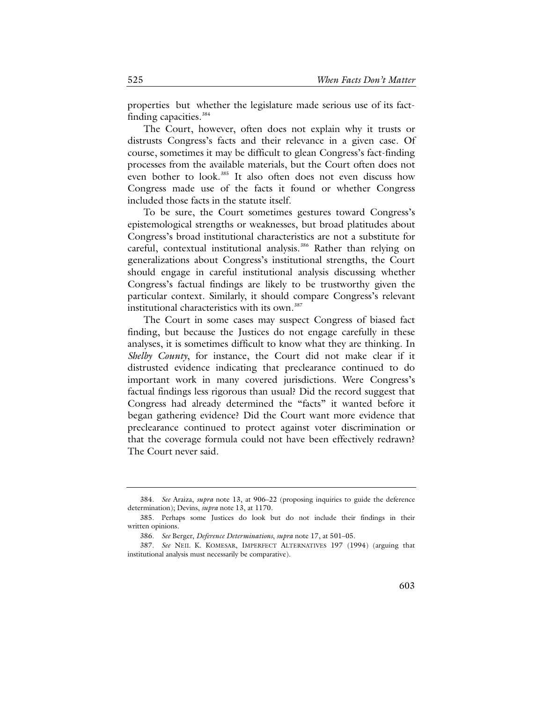properties but whether the legislature made serious use of its fact-finding capacities.<sup>[384](#page-80-0)</sup>

The Court, however, often does not explain why it trusts or distrusts Congress's facts and their relevance in a given case. Of course, sometimes it may be difficult to glean Congress's fact-finding processes from the available materials, but the Court often does not even bother to look.<sup>[385](#page-80-1)</sup> It also often does not even discuss how Congress made use of the facts it found or whether Congress included those facts in the statute itself.

To be sure, the Court sometimes gestures toward Congress's epistemological strengths or weaknesses, but broad platitudes about Congress's broad institutional characteristics are not a substitute for careful, contextual institutional analysis.<sup>[386](#page-80-2)</sup> Rather than relying on generalizations about Congress's institutional strengths, the Court should engage in careful institutional analysis discussing whether Congress's factual findings are likely to be trustworthy given the particular context. Similarly, it should compare Congress's relevant institutional characteristics with its own.<sup>[387](#page-80-3)</sup>

The Court in some cases may suspect Congress of biased fact finding, but because the Justices do not engage carefully in these analyses, it is sometimes difficult to know what they are thinking. In *Shelby County*, for instance, the Court did not make clear if it distrusted evidence indicating that preclearance continued to do important work in many covered jurisdictions. Were Congress's factual findings less rigorous than usual? Did the record suggest that Congress had already determined the "facts" it wanted before it began gathering evidence? Did the Court want more evidence that preclearance continued to protect against voter discrimination or that the coverage formula could not have been effectively redrawn? The Court never said.

<span id="page-80-0"></span><sup>384.</sup> *See* Araiza, *supra* note [13,](#page-7-0) at 906–22 (proposing inquiries to guide the deference determination); Devins, *supra* not[e 13,](#page-7-0) at 1170.

<span id="page-80-1"></span><sup>385.</sup> Perhaps some Justices do look but do not include their findings in their written opinions.

<sup>386.</sup> *See* Berger, *Deference Determinations*, *supra* not[e 17,](#page-8-1) at 501–05.

<span id="page-80-3"></span><span id="page-80-2"></span><sup>387.</sup> *See* NEIL K. KOMESAR, IMPERFECT ALTERNATIVES 197 (1994) (arguing that institutional analysis must necessarily be comparative).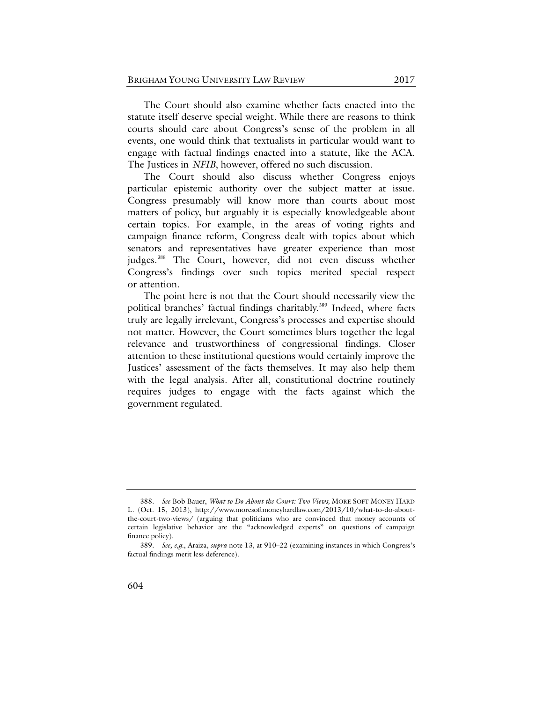The Court should also examine whether facts enacted into the statute itself deserve special weight. While there are reasons to think courts should care about Congress's sense of the problem in all events, one would think that textualists in particular would want to engage with factual findings enacted into a statute, like the ACA. The Justices in *NFIB*, however, offered no such discussion.

The Court should also discuss whether Congress enjoys particular epistemic authority over the subject matter at issue. Congress presumably will know more than courts about most matters of policy, but arguably it is especially knowledgeable about certain topics. For example, in the areas of voting rights and campaign finance reform, Congress dealt with topics about which senators and representatives have greater experience than most judges.<sup>[388](#page-81-0)</sup> The Court, however, did not even discuss whether Congress's findings over such topics merited special respect or attention.

The point here is not that the Court should necessarily view the political branches' factual findings charitably.<sup>[389](#page-81-1)</sup> Indeed, where facts truly are legally irrelevant, Congress's processes and expertise should not matter. However, the Court sometimes blurs together the legal relevance and trustworthiness of congressional findings. Closer attention to these institutional questions would certainly improve the Justices' assessment of the facts themselves. It may also help them with the legal analysis. After all, constitutional doctrine routinely requires judges to engage with the facts against which the government regulated.

<span id="page-81-0"></span><sup>388.</sup> *See* Bob Bauer, *What to Do About the Court: Two Views,* MORE SOFT MONEY HARD L. (Oct. 15, 2013), [http://www.moresoftmoneyhardlaw.com/2013/10/what-to-do-about](http://www.moresoftmoneyhardlaw.com/2013/10/what-to-do-about-the-court-two-views/)[the-court-two-views/](http://www.moresoftmoneyhardlaw.com/2013/10/what-to-do-about-the-court-two-views/) (arguing that politicians who are convinced that money accounts of certain legislative behavior are the "acknowledged experts" on questions of campaign finance policy).

<span id="page-81-1"></span><sup>389.</sup> *See, e.g.*, Araiza, *supra* note [13,](#page-7-0) at 910–22 (examining instances in which Congress's factual findings merit less deference).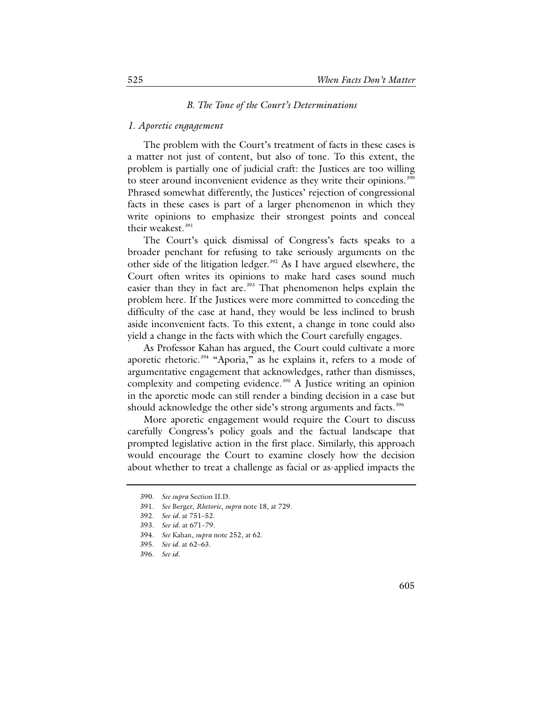#### *B. The Tone of the Court's Determinations*

### *1. Aporetic engagement*

The problem with the Court's treatment of facts in these cases is a matter not just of content, but also of tone. To this extent, the problem is partially one of judicial craft: the Justices are too willing to steer around inconvenient evidence as they write their opinions.<sup>[390](#page-82-0)</sup> Phrased somewhat differently, the Justices' rejection of congressional facts in these cases is part of a larger phenomenon in which they write opinions to emphasize their strongest points and conceal their weakest.<sup>[391](#page-82-1)</sup>

The Court's quick dismissal of Congress's facts speaks to a broader penchant for refusing to take seriously arguments on the other side of the litigation ledger.<sup>[392](#page-82-2)</sup> As I have argued elsewhere, the Court often writes its opinions to make hard cases sound much easier than they in fact are.<sup>[393](#page-82-3)</sup> That phenomenon helps explain the problem here. If the Justices were more committed to conceding the difficulty of the case at hand, they would be less inclined to brush aside inconvenient facts. To this extent, a change in tone could also yield a change in the facts with which the Court carefully engages.

As Professor Kahan has argued, the Court could cultivate a more aporetic rhetoric.<sup>[394](#page-82-4)</sup> "Aporia," as he explains it, refers to a mode of argumentative engagement that acknowledges, rather than dismisses, complexity and competing evidence.<sup>[395](#page-82-5)</sup> A Justice writing an opinion in the aporetic mode can still render a binding decision in a case but should acknowledge the other side's strong arguments and facts.<sup>[396](#page-82-6)</sup>

More aporetic engagement would require the Court to discuss carefully Congress's policy goals and the factual landscape that prompted legislative action in the first place. Similarly, this approach would encourage the Court to examine closely how the decision about whether to treat a challenge as facial or as-applied impacts the

<span id="page-82-0"></span><sup>390.</sup> *See supra* Section II.D.

<span id="page-82-1"></span><sup>391.</sup> *See* Berger, *Rhetoric*, *supra* note [18,](#page-8-0) at 729.

<span id="page-82-2"></span><sup>392.</sup> *See id.* at 751–52.

<span id="page-82-3"></span><sup>393.</sup> *See id.* at 671–79.

<span id="page-82-4"></span><sup>394.</sup> *See* Kahan, *supra* not[e 252,](#page-51-0) at 62.

<span id="page-82-5"></span><sup>395.</sup> *See id.* at 62–63.

<span id="page-82-6"></span><sup>396.</sup> *See id.*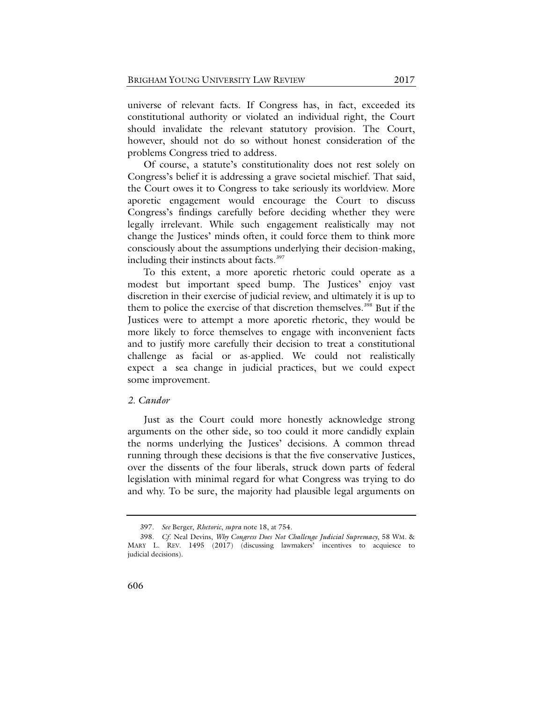universe of relevant facts. If Congress has, in fact, exceeded its constitutional authority or violated an individual right, the Court should invalidate the relevant statutory provision. The Court, however, should not do so without honest consideration of the problems Congress tried to address.

Of course, a statute's constitutionality does not rest solely on Congress's belief it is addressing a grave societal mischief. That said, the Court owes it to Congress to take seriously its worldview. More aporetic engagement would encourage the Court to discuss Congress's findings carefully before deciding whether they were legally irrelevant. While such engagement realistically may not change the Justices' minds often, it could force them to think more consciously about the assumptions underlying their decision-making, including their instincts about facts.<sup>[397](#page-83-0)</sup>

To this extent, a more aporetic rhetoric could operate as a modest but important speed bump. The Justices' enjoy vast discretion in their exercise of judicial review, and ultimately it is up to them to police the exercise of that discretion themselves.<sup>[398](#page-83-1)</sup> But if the Justices were to attempt a more aporetic rhetoric, they would be more likely to force themselves to engage with inconvenient facts and to justify more carefully their decision to treat a constitutional challenge as facial or as-applied. We could not realistically expect a sea change in judicial practices, but we could expect some improvement.

## *2. Candor*

Just as the Court could more honestly acknowledge strong arguments on the other side, so too could it more candidly explain the norms underlying the Justices' decisions. A common thread running through these decisions is that the five conservative Justices, over the dissents of the four liberals, struck down parts of federal legislation with minimal regard for what Congress was trying to do and why. To be sure, the majority had plausible legal arguments on

<sup>397.</sup> *See* Berger, *Rhetoric*, *supra* not[e 18,](#page-8-0) at 754.

<span id="page-83-1"></span><span id="page-83-0"></span><sup>398.</sup> *Cf*. Neal Devins, *Why Congress Does Not Challenge Judicial Supremacy*, 58 WM. & MARY L. REV. 1495 (2017) (discussing lawmakers' incentives to acquiesce to judicial decisions).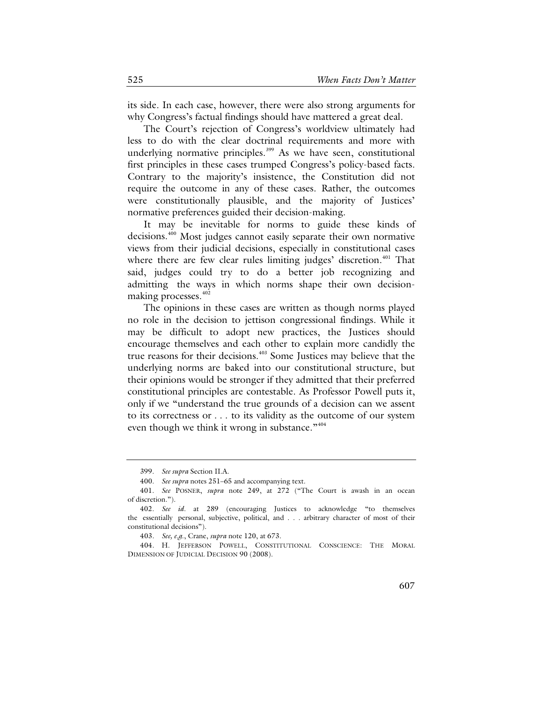its side. In each case, however, there were also strong arguments for why Congress's factual findings should have mattered a great deal.

The Court's rejection of Congress's worldview ultimately had less to do with the clear doctrinal requirements and more with underlying normative principles. [399](#page-84-0) As we have seen, constitutional first principles in these cases trumped Congress's policy-based facts. Contrary to the majority's insistence, the Constitution did not require the outcome in any of these cases. Rather, the outcomes were constitutionally plausible, and the majority of Justices' normative preferences guided their decision-making.

It may be inevitable for norms to guide these kinds of decisions.<sup>[400](#page-84-1)</sup> Most judges cannot easily separate their own normative views from their judicial decisions, especially in constitutional cases where there are few clear rules limiting judges' discretion.<sup>[401](#page-84-2)</sup> That said, judges could try to do a better job recognizing and admitting the ways in which norms shape their own decision-making processes.<sup>[402](#page-84-3)</sup>

The opinions in these cases are written as though norms played no role in the decision to jettison congressional findings. While it may be difficult to adopt new practices, the Justices should encourage themselves and each other to explain more candidly the true reasons for their decisions.[403](#page-84-4) Some Justices may believe that the underlying norms are baked into our constitutional structure, but their opinions would be stronger if they admitted that their preferred constitutional principles are contestable. As Professor Powell puts it, only if we "understand the true grounds of a decision can we assent to its correctness or . . . to its validity as the outcome of our system even though we think it wrong in substance."<sup>[404](#page-84-5)</sup>

<sup>399.</sup> *See supra* Section II.A.

<sup>400.</sup> *See supra* note[s 251–](#page-51-1)65 and accompanying text.

<span id="page-84-2"></span><span id="page-84-1"></span><span id="page-84-0"></span><sup>401.</sup> *See* POSNER, *supra* note [249,](#page-50-0) at 272 ("The Court is awash in an ocean of discretion.").

<span id="page-84-3"></span><sup>402.</sup> *See id.* at 289 (encouraging Justices to acknowledge "to themselves the essentially personal, subjective, political, and . . . arbitrary character of most of their constitutional decisions").

<sup>403.</sup> *See, e.g*., Crane, *supra* not[e 120,](#page-24-0) at 673.

<span id="page-84-5"></span><span id="page-84-4"></span><sup>404.</sup> H. JEFFERSON POWELL, CONSTITUTIONAL CONSCIENCE: THE MORAL DIMENSION OF JUDICIAL DECISION 90 (2008).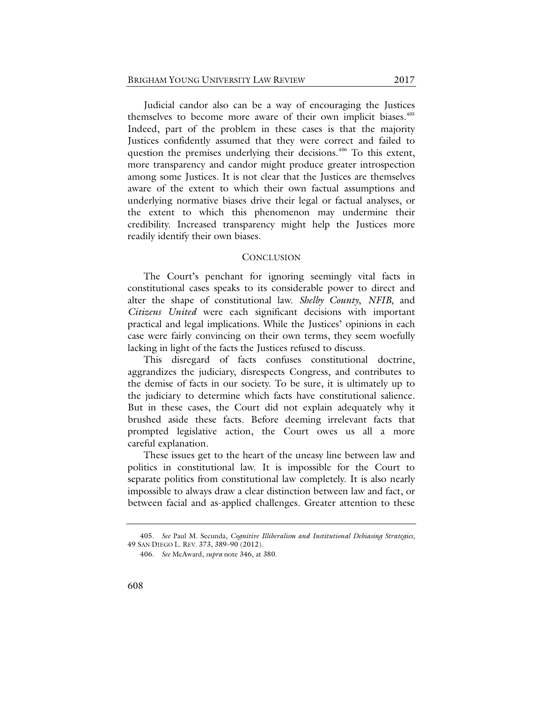Judicial candor also can be a way of encouraging the Justices themselves to become more aware of their own implicit biases.<sup>[405](#page-85-0)</sup> Indeed, part of the problem in these cases is that the majority Justices confidently assumed that they were correct and failed to question the premises underlying their decisions.<sup>[406](#page-85-1)</sup> To this extent, more transparency and candor might produce greater introspection among some Justices. It is not clear that the Justices are themselves aware of the extent to which their own factual assumptions and underlying normative biases drive their legal or factual analyses, or the extent to which this phenomenon may undermine their credibility. Increased transparency might help the Justices more readily identify their own biases.

## **CONCLUSION**

The Court's penchant for ignoring seemingly vital facts in constitutional cases speaks to its considerable power to direct and alter the shape of constitutional law. *Shelby County*, *NFIB*, and *Citizens United* were each significant decisions with important practical and legal implications. While the Justices' opinions in each case were fairly convincing on their own terms, they seem woefully lacking in light of the facts the Justices refused to discuss.

This disregard of facts confuses constitutional doctrine, aggrandizes the judiciary, disrespects Congress, and contributes to the demise of facts in our society. To be sure, it is ultimately up to the judiciary to determine which facts have constitutional salience. But in these cases, the Court did not explain adequately why it brushed aside these facts. Before deeming irrelevant facts that prompted legislative action, the Court owes us all a more careful explanation.

These issues get to the heart of the uneasy line between law and politics in constitutional law. It is impossible for the Court to separate politics from constitutional law completely. It is also nearly impossible to always draw a clear distinction between law and fact, or between facial and as-applied challenges. Greater attention to these

<span id="page-85-1"></span><span id="page-85-0"></span><sup>405.</sup> *See* Paul M. Secunda, *Cognitive Illiberalism and Institutional Debiasing Strategies*, 49 SAN DIEGO L. REV. 373, 389–90 (2012).

<sup>406.</sup> *See* McAward, *supra* not[e 346,](#page-69-1) at 380.